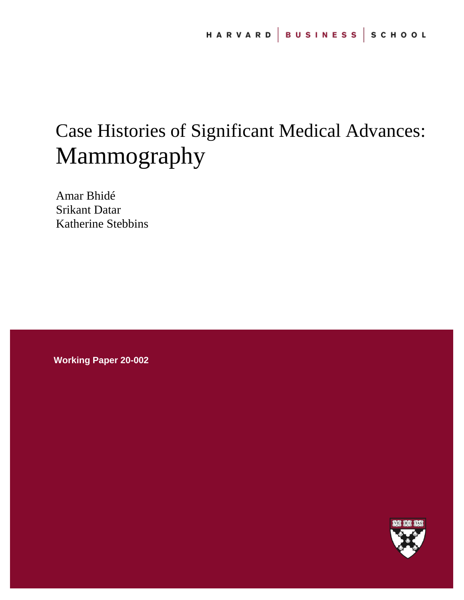# Case Histories of Significant Medical Advances: Mammography

Amar Bhidé Srikant Datar Katherine Stebbins

**Working Paper 20-002**

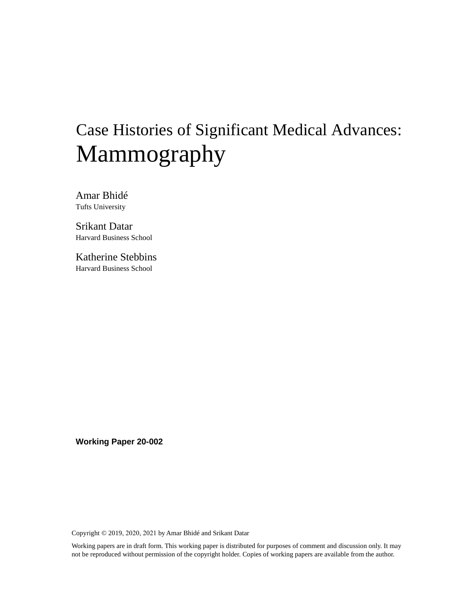# Case Histories of Significant Medical Advances: Mammography

Amar Bhidé Tufts University

Srikant Datar Harvard Business School

Katherine Stebbins Harvard Business School

**Working Paper 20-002**

Copyright © 2019, 2020, 2021 by Amar Bhidé and Srikant Datar

Working papers are in draft form. This working paper is distributed for purposes of comment and discussion only. It may not be reproduced without permission of the copyright holder. Copies of working papers are available from the author.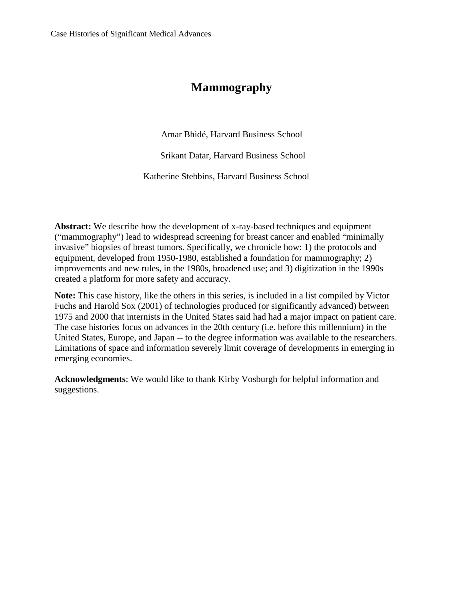# **Mammography**

Amar Bhidé, Harvard Business School

Srikant Datar, Harvard Business School

Katherine Stebbins, Harvard Business School

**Abstract:** We describe how the development of x-ray-based techniques and equipment ("mammography") lead to widespread screening for breast cancer and enabled "minimally invasive" biopsies of breast tumors. Specifically, we chronicle how: 1) the protocols and equipment, developed from 1950-1980, established a foundation for mammography; 2) improvements and new rules, in the 1980s, broadened use; and 3) digitization in the 1990s created a platform for more safety and accuracy.

**Note:** This case history, like the others in this series, is included in a list compiled by Victor Fuchs and Harold Sox (2001) of technologies produced (or significantly advanced) between 1975 and 2000 that internists in the United States said had had a major impact on patient care. The case histories focus on advances in the 20th century (i.e. before this millennium) in the United States, Europe, and Japan -- to the degree information was available to the researchers. Limitations of space and information severely limit coverage of developments in emerging in emerging economies.

**Acknowledgments**: We would like to thank Kirby Vosburgh for helpful information and suggestions.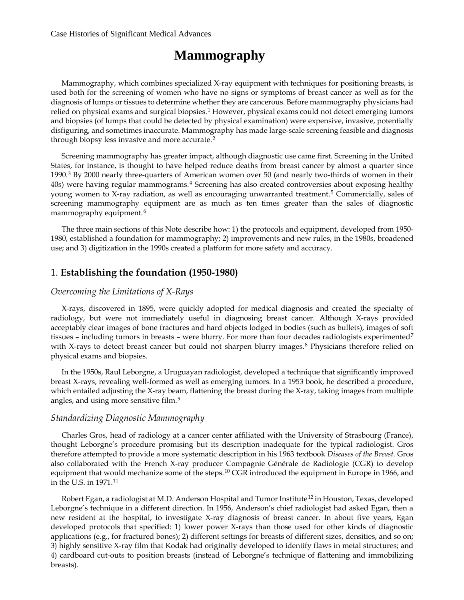# **Mammography**

Mammography, which combines specialized X-ray equipment with techniques for positioning breasts, is used both for the screening of women who have no signs or symptoms of breast cancer as well as for the diagnosis of lumps or tissues to determine whether they are cancerous. Before mammography physicians had relied on physical exams and surgical biopsies.<sup>[1](#page-34-0)</sup> However, physical exams could not detect emerging tumors and biopsies (of lumps that could be detected by physical examination) were expensive, invasive, potentially disfiguring, and sometimes inaccurate. Mammography has made large-scale screening feasible and diagnosis through biopsy less invasive and more accurate.<sup>[2](#page-34-1)</sup>

Screening mammography has greater impact, although diagnostic use came first. Screening in the United States, for instance, is thought to have helped reduce deaths from breast cancer by almost a quarter since 1990.[3](#page-35-0) By 2000 nearly three-quarters of American women over 50 (and nearly two-thirds of women in their 40s) were having regular mammograms.[4](#page-35-1) Screening has also created controversies about exposing healthy young women to X-ray radiation, as well as encouraging unwarranted treatment.<sup>[5](#page-35-2)</sup> Commercially, sales of screening mammography equipment are as much as ten times greater than the sales of diagnostic mammography equipment.<sup>[6](#page-35-3)</sup>

The three main sections of this Note describe how: 1) the protocols and equipment, developed from 1950- 1980, established a foundation for mammography; 2) improvements and new rules, in the 1980s, broadened use; and 3) digitization in the 1990s created a platform for more safety and accuracy.

# 1. **Establishing the foundation (1950-1980)**

#### *Overcoming the Limitations of X-Rays*

X-rays, discovered in 1895, were quickly adopted for medical diagnosis and created the specialty of radiology, but were not immediately useful in diagnosing breast cancer. Although X-rays provided acceptably clear images of bone fractures and hard objects lodged in bodies (such as bullets), images of soft tissues – including tumors in breasts – were blurry. For more than four decades radiologists experimented<sup>[7](#page-35-4)</sup> with X-rays to detect breast cancer but could not sharpen blurry images.<sup>[8](#page-35-5)</sup> Physicians therefore relied on physical exams and biopsies.

In the 1950s, Raul Leborgne, a Uruguayan radiologist, developed a technique that significantly improved breast X-rays, revealing well-formed as well as emerging tumors. In a 1953 book, he described a procedure, which entailed adjusting the X-ray beam, flattening the breast during the X-ray, taking images from multiple angles, and using more sensitive film.[9](#page-35-6)

#### *Standardizing Diagnostic Mammography*

Charles Gros, head of radiology at a cancer center affiliated with the University of Strasbourg (France), thought Leborgne's procedure promising but its description inadequate for the typical radiologist. Gros therefore attempted to provide a more systematic description in his 1963 textbook *Diseases of the Breast.* Gros also collaborated with the French X-ray producer Compagnie Générale de Radiologie (CGR) to develop equipment that would mechanize some of the steps.<sup>[10](#page-35-7)</sup> CGR introduced the equipment in Europe in 1966, and in the U.S. in 1971.[11](#page-35-8)

Robert Egan, a radiologist at M.D. Anderson Hospital and Tumor Institute<sup>[12](#page-35-9)</sup> in Houston, Texas, developed Leborgne's technique in a different direction. In 1956, Anderson's chief radiologist had asked Egan, then a new resident at the hospital, to investigate X-ray diagnosis of breast cancer. In about five years, Egan developed protocols that specified: 1) lower power X-rays than those used for other kinds of diagnostic applications (e.g., for fractured bones); 2) different settings for breasts of different sizes, densities, and so on; 3) highly sensitive X-ray film that Kodak had originally developed to identify flaws in metal structures; and 4) cardboard cut-outs to position breasts (instead of Leborgne's technique of flattening and immobilizing breasts).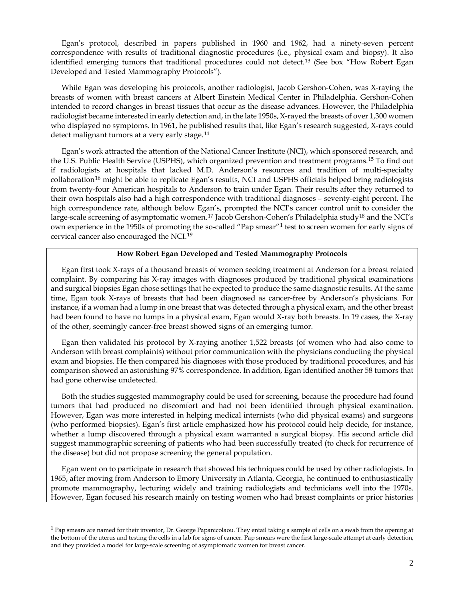Egan's protocol, described in papers published in 1960 and 1962, had a ninety-seven percent correspondence with results of traditional diagnostic procedures (i.e., physical exam and biopsy). It also identified emerging tumors that traditional procedures could not detect.<sup>[13](#page-35-10)</sup> (See box "How Robert Egan Developed and Tested Mammography Protocols").

While Egan was developing his protocols, another radiologist, Jacob Gershon-Cohen, was X-raying the breasts of women with breast cancers at Albert Einstein Medical Center in Philadelphia. Gershon-Cohen intended to record changes in breast tissues that occur as the disease advances. However, the Philadelphia radiologist became interested in early detection and, in the late 1950s, X-rayed the breasts of over 1,300 women who displayed no symptoms. In 1961, he published results that, like Egan's research suggested, X-rays could detect malignant tumors at a very early stage.<sup>[14](#page-36-0)</sup>

Egan's work attracted the attention of the National Cancer Institute (NCI), which sponsored research, and the U.S. Public Health Service (USPHS), which organized prevention and treatment programs.<sup>[15](#page-36-1)</sup> To find out if radiologists at hospitals that lacked M.D. Anderson's resources and tradition of multi-specialty collaboration[16](#page-36-2) might be able to replicate Egan's results, NCI and USPHS officials helped bring radiologists from twenty-four American hospitals to Anderson to train under Egan. Their results after they returned to their own hospitals also had a high correspondence with traditional diagnoses – seventy-eight percent. The high correspondence rate, although below Egan's, prompted the NCI's cancer control unit to consider the large-scale screening of asymptomatic women.<sup>[17](#page-36-3)</sup> Jacob Gershon-Cohen's Philadelphia study<sup>[18](#page-36-4)</sup> and the NCI's own experience in the 1950s of promoting the so-called "Pap smear"[1](#page-4-0) test to screen women for early signs of cervical cancer also encouraged the NCI.[19](#page-36-5)

#### **How Robert Egan Developed and Tested Mammography Protocols**

Egan first took X-rays of a thousand breasts of women seeking treatment at Anderson for a breast related complaint. By comparing his X-ray images with diagnoses produced by traditional physical examinations and surgical biopsies Egan chose settings that he expected to produce the same diagnostic results. At the same time, Egan took X-rays of breasts that had been diagnosed as cancer-free by Anderson's physicians. For instance, if a woman had a lump in one breast that was detected through a physical exam, and the other breast had been found to have no lumps in a physical exam, Egan would X-ray both breasts. In 19 cases, the X-ray of the other, seemingly cancer-free breast showed signs of an emerging tumor.

Egan then validated his protocol by X-raying another 1,522 breasts (of women who had also come to Anderson with breast complaints) without prior communication with the physicians conducting the physical exam and biopsies. He then compared his diagnoses with those produced by traditional procedures, and his comparison showed an astonishing 97% correspondence. In addition, Egan identified another 58 tumors that had gone otherwise undetected.

Both the studies suggested mammography could be used for screening, because the procedure had found tumors that had produced no discomfort and had not been identified through physical examination. However, Egan was more interested in helping medical internists (who did physical exams) and surgeons (who performed biopsies). Egan's first article emphasized how his protocol could help decide, for instance, whether a lump discovered through a physical exam warranted a surgical biopsy. His second article did suggest mammographic screening of patients who had been successfully treated (to check for recurrence of the disease) but did not propose screening the general population.

Egan went on to participate in research that showed his techniques could be used by other radiologists. In 1965, after moving from Anderson to Emory University in Atlanta, Georgia, he continued to enthusiastically promote mammography, lecturing widely and training radiologists and technicians well into the 1970s. However, Egan focused his research mainly on testing women who had breast complaints or prior histories

**.** 

<span id="page-4-0"></span><sup>&</sup>lt;sup>1</sup> Pap smears are named for their inventor, Dr. George Papanicolaou. They entail taking a sample of cells on a swab from the opening at the bottom of the uterus and testing the cells in a lab for signs of cancer. Pap smears were the first large-scale attempt at early detection, and they provided a model for large-scale screening of asymptomatic women for breast cancer.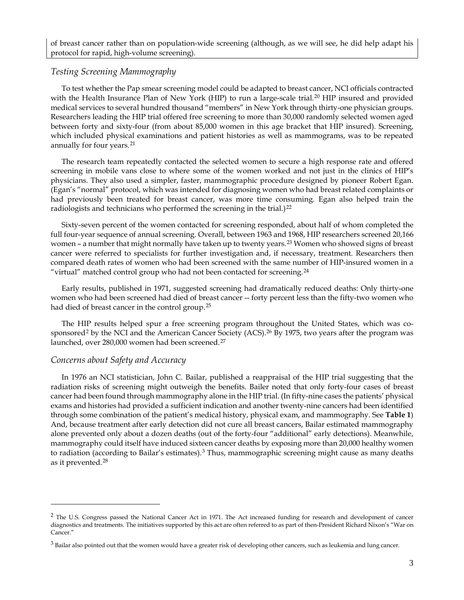of breast cancer rather than on population-wide screening (although, as we will see, he did help adapt his protocol for rapid, high-volume screening).

## *Testing Screening Mammography*

To test whether the Pap smear screening model could be adapted to breast cancer, NCI officials contracted with the Health Insurance Plan of New York (HIP) to run a large-scale trial.<sup>[20](#page-36-6)</sup> HIP insured and provided medical services to several hundred thousand "members" in New York through thirty-one physician groups. Researchers leading the HIP trial offered free screening to more than 30,000 randomly selected women aged between forty and sixty-four (from about 85,000 women in this age bracket that HIP insured). Screening, which included physical examinations and patient histories as well as mammograms, was to be repeated annually for four years.<sup>[21](#page-36-7)</sup>

The research team repeatedly contacted the selected women to secure a high response rate and offered screening in mobile vans close to where some of the women worked and not just in the clinics of HIP's physicians. They also used a simpler, faster, mammographic procedure designed by pioneer Robert Egan. (Egan's "normal" protocol, which was intended for diagnosing women who had breast related complaints or had previously been treated for breast cancer, was more time consuming. Egan also helped train the radiologists and technicians who performed the screening in the trial.)<sup>[22](#page-36-8)</sup>

Sixty-seven percent of the women contacted for screening responded, about half of whom completed the full four-year sequence of annual screening. Overall, between 1963 and 1968, HIP researchers screened 20,166 women – a number that might normally have taken up to twenty years.<sup>[23](#page-36-9)</sup> Women who showed signs of breast cancer were referred to specialists for further investigation and, if necessary, treatment. Researchers then compared death rates of women who had been screened with the same number of HIP-insured women in a "virtual" matched control group who had not been contacted for screening.<sup>[24](#page-36-10)</sup>

Early results, published in 1971, suggested screening had dramatically reduced deaths: Only thirty-one women who had been screened had died of breast cancer -- forty percent less than the fifty-two women who had died of breast cancer in the control group.<sup>[25](#page-36-11)</sup>

The HIP results helped spur a free screening program throughout the United States, which was co-sponsored<sup>[2](#page-5-0)</sup> by the NCI and the American Cancer Society (ACS).<sup>[26](#page-36-12)</sup> By 1975, two years after the program was launched, over 280,000 women had been screened.<sup>[27](#page-36-13)</sup>

# *Concerns about Safety and Accuracy*

**.** 

In 1976 an NCI statistician, John C. Bailar, published a reappraisal of the HIP trial suggesting that the radiation risks of screening might outweigh the benefits. Bailer noted that only forty-four cases of breast cancer had been found through mammography alone in the HIP trial. (In fifty-nine cases the patients' physical exams and histories had provided a sufficient indication and another twenty-nine cancers had been identified through some combination of the patient's medical history, physical exam, and mammography. See **Table 1**) And, because treatment after early detection did not cure all breast cancers, Bailar estimated mammography alone prevented only about a dozen deaths (out of the forty-four "additional" early detections). Meanwhile, mammography could itself have induced sixteen cancer deaths by exposing more than 20,000 healthy women to radiation (according to Bailar's estimates).<sup>[3](#page-5-1)</sup> Thus, mammographic screening might cause as many deaths as it prevented.[28](#page-36-14)

<span id="page-5-0"></span><sup>&</sup>lt;sup>2</sup> The U.S. Congress passed the National Cancer Act in 1971. The Act increased funding for research and development of cancer diagnostics and treatments. The initiatives supported by this act are often referred to as part of then-President Richard Nixon's "War on Cancer."

<span id="page-5-1"></span> $3$  Bailar also pointed out that the women would have a greater risk of developing other cancers, such as leukemia and lung cancer.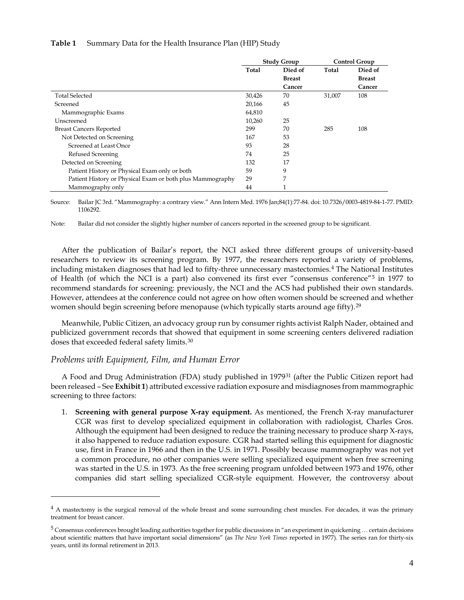#### **Table 1** Summary Data for the Health Insurance Plan (HIP) Study

|                                                           | <b>Study Group</b> |               | <b>Control Group</b> |               |
|-----------------------------------------------------------|--------------------|---------------|----------------------|---------------|
|                                                           | Total              | Died of       | Total                | Died of       |
|                                                           |                    | <b>Breast</b> |                      | <b>Breast</b> |
|                                                           |                    | Cancer        |                      | Cancer        |
| <b>Total Selected</b>                                     | 30,426             | 70            | 31,007               | 108           |
| Screened                                                  | 20,166             | 45            |                      |               |
| Mammographic Exams                                        | 64,810             |               |                      |               |
| Unscreened                                                | 10.260             | 25            |                      |               |
| <b>Breast Cancers Reported</b>                            | 299                | 70            | 285                  | 108           |
| Not Detected on Screening                                 | 167                | 53            |                      |               |
| Screened at Least Once                                    | 93                 | 28            |                      |               |
| Refused Screening                                         | 74                 | 25            |                      |               |
| Detected on Screening                                     | 132                | 17            |                      |               |
| Patient History or Physical Exam only or both             | 59                 | 9             |                      |               |
| Patient History or Physical Exam or both plus Mammography | 29                 | 7             |                      |               |
| Mammography only                                          | 44                 | 1             |                      |               |

Source: Bailar JC 3rd. "Mammography: a contrary view." Ann Intern Med. 1976 Jan;84(1):77-84. doi: 10.7326/0003-4819-84-1-77. PMID: 1106292.

Note: Bailar did not consider the slightly higher number of cancers reported in the screened group to be significant.

After the publication of Bailar's report, the NCI asked three different groups of university-based researchers to review its screening program. By 1977, the researchers reported a variety of problems, including mistaken diagnoses that had led to fifty-three unnecessary mastectomies.[4](#page-6-0) The National Institutes of Health (of which the NCI is a part) also convened its first ever "consensus conference"[5](#page-6-1) in 1977 to recommend standards for screening: previously, the NCI and the ACS had published their own standards. However, attendees at the conference could not agree on how often women should be screened and whether women should begin screening before menopause (which typically starts around age fifty).<sup>[29](#page-37-0)</sup>

Meanwhile, Public Citizen, an advocacy group run by consumer rights activist Ralph Nader, obtained and publicized government records that showed that equipment in some screening centers delivered radiation doses that exceeded federal safety limits.<sup>[30](#page-37-1)</sup>

#### *Problems with Equipment, Film, and Human Error*

**.** 

A Food and Drug Administration (FDA) study published in 1979<sup>[31](#page-37-2)</sup> (after the Public Citizen report had been released – See **Exhibit 1**) attributed excessive radiation exposure and misdiagnoses from mammographic screening to three factors:

1. **Screening with general purpose X-ray equipment.** As mentioned, the French X-ray manufacturer CGR was first to develop specialized equipment in collaboration with radiologist, Charles Gros. Although the equipment had been designed to reduce the training necessary to produce sharp X-rays, it also happened to reduce radiation exposure. CGR had started selling this equipment for diagnostic use, first in France in 1966 and then in the U.S. in 1971. Possibly because mammography was not yet a common procedure, no other companies were selling specialized equipment when free screening was started in the U.S. in 1973. As the free screening program unfolded between 1973 and 1976, other companies did start selling specialized CGR-style equipment. However, the controversy about

<span id="page-6-0"></span><sup>&</sup>lt;sup>4</sup> A mastectomy is the surgical removal of the whole breast and some surrounding chest muscles. For decades, it was the primary treatment for breast cancer.

<span id="page-6-1"></span> $5$  Consensus conferences brought leading authorities together for public discussions in "an experiment in quickening ... certain decisions about scientific matters that have important social dimensions" (as *The New York Times* reported in 1977). The series ran for thirty-six years, until its formal retirement in 2013.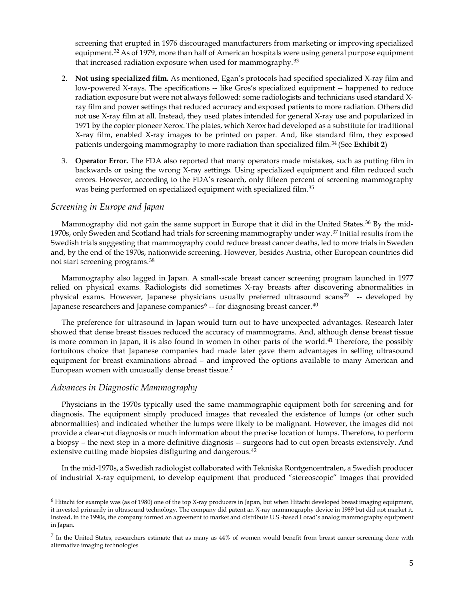screening that erupted in 1976 discouraged manufacturers from marketing or improving specialized equipment.<sup>[32](#page-37-3)</sup> As of 1979, more than half of American hospitals were using general purpose equipment that increased radiation exposure when used for mammography.<sup>33</sup>

- 2. **Not using specialized film.** As mentioned, Egan's protocols had specified specialized X-ray film and low-powered X-rays. The specifications -- like Gros's specialized equipment -- happened to reduce radiation exposure but were not always followed: some radiologists and technicians used standard Xray film and power settings that reduced accuracy and exposed patients to more radiation. Others did not use X-ray film at all. Instead, they used plates intended for general X-ray use and popularized in 1971 by the copier pioneer Xerox. The plates, which Xerox had developed as a substitute for traditional X-ray film, enabled X-ray images to be printed on paper. And, like standard film, they exposed patients undergoing mammography to more radiation than specialized film.[34](#page-37-5) (See **Exhibit 2**)
- 3. **Operator Error.** The FDA also reported that many operators made mistakes, such as putting film in backwards or using the wrong X-ray settings. Using specialized equipment and film reduced such errors. However, according to the FDA's research, only fifteen percent of screening mammography was being performed on specialized equipment with specialized film.<sup>35</sup>

## *Screening in Europe and Japan*

Mammography did not gain the same support in Europe that it did in the United States.<sup>[36](#page-37-7)</sup> By the mid-1970s, only Sweden and Scotland had trials for screening mammography under way.[37](#page-37-8) Initial results from the Swedish trials suggesting that mammography could reduce breast cancer deaths, led to more trials in Sweden and, by the end of the 1970s, nationwide screening. However, besides Austria, other European countries did not start screening programs.[38](#page-37-9)

Mammography also lagged in Japan. A small-scale breast cancer screening program launched in 1977 relied on physical exams. Radiologists did sometimes X-ray breasts after discovering abnormalities in physical exams. However, Japanese physicians usually preferred ultrasound scans<sup>[39](#page-37-10)</sup> -- developed by Japanese researchers and Japanese companies<sup>[6](#page-7-0)</sup> -- for diagnosing breast cancer.<sup>[40](#page-37-11)</sup>

The preference for ultrasound in Japan would turn out to have unexpected advantages. Research later showed that dense breast tissues reduced the accuracy of mammograms. And, although dense breast tissue is more common in Japan, it is also found in women in other parts of the world.<sup>[41](#page-37-12)</sup> Therefore, the possibly fortuitous choice that Japanese companies had made later gave them advantages in selling ultrasound equipment for breast examinations abroad – and improved the options available to many American and European women with unusually dense breast tissue.[7](#page-7-1)

# *Advances in Diagnostic Mammography*

 $\overline{a}$ 

Physicians in the 1970s typically used the same mammographic equipment both for screening and for diagnosis. The equipment simply produced images that revealed the existence of lumps (or other such abnormalities) and indicated whether the lumps were likely to be malignant. However, the images did not provide a clear-cut diagnosis or much information about the precise location of lumps. Therefore, to perform a biopsy – the next step in a more definitive diagnosis -- surgeons had to cut open breasts extensively. And extensive cutting made biopsies disfiguring and dangerous.<sup>[42](#page-38-0)</sup>

In the mid-1970s, a Swedish radiologist collaborated with Tekniska Rontgencentralen, a Swedish producer of industrial X-ray equipment, to develop equipment that produced "stereoscopic" images that provided

<span id="page-7-0"></span> $6$  Hitachi for example was (as of 1980) one of the top X-ray producers in Japan, but when Hitachi developed breast imaging equipment, it invested primarily in ultrasound technology. The company did patent an X-ray mammography device in 1989 but did not market it. Instead, in the 1990s, the company formed an agreement to market and distribute U.S.-based Lorad's analog mammography equipment in Japan.

<span id="page-7-1"></span> $<sup>7</sup>$  In the United States, researchers estimate that as many as  $44\%$  of women would benefit from breast cancer screening done with</sup> alternative imaging technologies.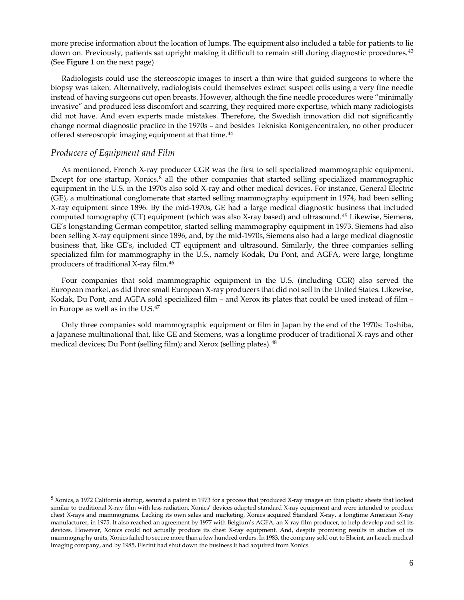more precise information about the location of lumps. The equipment also included a table for patients to lie down on. Previously, patients sat upright making it difficult to remain still during diagnostic procedures.<sup>[43](#page-38-1)</sup> (See **Figure 1** on the next page)

Radiologists could use the stereoscopic images to insert a thin wire that guided surgeons to where the biopsy was taken. Alternatively, radiologists could themselves extract suspect cells using a very fine needle instead of having surgeons cut open breasts. However, although the fine needle procedures were "minimally invasive" and produced less discomfort and scarring, they required more expertise, which many radiologists did not have. And even experts made mistakes. Therefore, the Swedish innovation did not significantly change normal diagnostic practice in the 1970s – and besides Tekniska Rontgencentralen, no other producer offered stereoscopic imaging equipment at that time.<sup>[44](#page-38-2)</sup>

#### *Producers of Equipment and Film*

**.** 

As mentioned, French X-ray producer CGR was the first to sell specialized mammographic equipment. Except for one startup, Xonics,<sup>[8](#page-8-0)</sup> all the other companies that started selling specialized mammographic equipment in the U.S. in the 1970s also sold X-ray and other medical devices. For instance, General Electric (GE), a multinational conglomerate that started selling mammography equipment in 1974, had been selling X-ray equipment since 1896. By the mid-1970s, GE had a large medical diagnostic business that included computed tomography (CT) equipment (which was also X-ray based) and ultrasound.<sup>[45](#page-38-3)</sup> Likewise, Siemens, GE's longstanding German competitor, started selling mammography equipment in 1973. Siemens had also been selling X-ray equipment since 1896, and, by the mid-1970s, Siemens also had a large medical diagnostic business that, like GE's, included CT equipment and ultrasound. Similarly, the three companies selling specialized film for mammography in the U.S., namely Kodak, Du Pont, and AGFA, were large, longtime producers of traditional X-ray film.[46](#page-38-4)

Four companies that sold mammographic equipment in the U.S. (including CGR) also served the European market, as did three small European X-ray producers that did not sell in the United States. Likewise, Kodak, Du Pont, and AGFA sold specialized film – and Xerox its plates that could be used instead of film – in Europe as well as in the U.S.[47](#page-38-5)

Only three companies sold mammographic equipment or film in Japan by the end of the 1970s: Toshiba, a Japanese multinational that, like GE and Siemens, was a longtime producer of traditional X-rays and other medical devices; Du Pont (selling film); and Xerox (selling plates).<sup>[48](#page-38-6)</sup>

<span id="page-8-0"></span> $8$  Xonics, a 1972 California startup, secured a patent in 1973 for a process that produced X-ray images on thin plastic sheets that looked similar to traditional X-ray film with less radiation. Xonics' devices adapted standard X-ray equipment and were intended to produce chest X-rays and mammograms. Lacking its own sales and marketing, Xonics acquired Standard X-ray, a longtime American X-ray manufacturer, in 1975. It also reached an agreement by 1977 with Belgium's AGFA, an X-ray film producer, to help develop and sell its devices. However, Xonics could not actually produce its chest X-ray equipment. And, despite promising results in studies of its mammography units, Xonics failed to secure more than a few hundred orders. In 1983, the company sold out to Elscint, an Israeli medical imaging company, and by 1985, Elscint had shut down the business it had acquired from Xonics.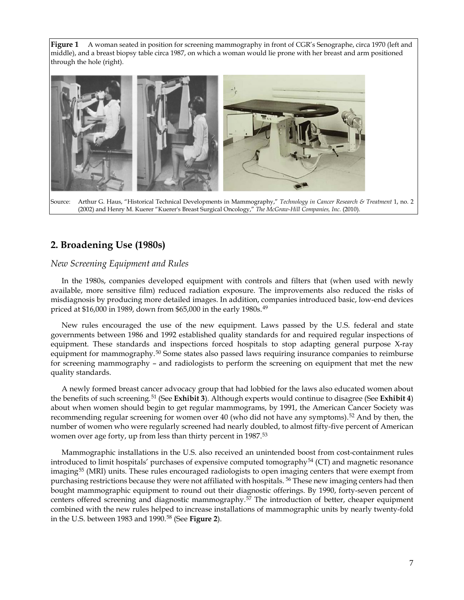**Figure 1** A woman seated in position for screening mammography in front of CGR's Senographe, circa 1970 (left and middle), and a breast biopsy table circa 1987, on which a woman would lie prone with her breast and arm positioned through the hole (right).



# **2. Broadening Use (1980s)**

# *New Screening Equipment and Rules*

In the 1980s, companies developed equipment with controls and filters that (when used with newly available, more sensitive film) reduced radiation exposure. The improvements also reduced the risks of misdiagnosis by producing more detailed images. In addition, companies introduced basic, low-end devices priced at \$16,000 in 1989, down from \$65,000 in the early 1980s.<sup>[49](#page-38-7)</sup>

New rules encouraged the use of the new equipment. Laws passed by the U.S. federal and state governments between 1986 and 1992 established quality standards for and required regular inspections of equipment. These standards and inspections forced hospitals to stop adapting general purpose X-ray equipment for mammography.<sup>[50](#page-38-8)</sup> Some states also passed laws requiring insurance companies to reimburse for screening mammography – and radiologists to perform the screening on equipment that met the new quality standards.

A newly formed breast cancer advocacy group that had lobbied for the laws also educated women about the benefits of such screening.[51](#page-38-9) (See **Exhibit 3**). Although experts would continue to disagree (See **Exhibit 4**) about when women should begin to get regular mammograms, by 1991, the American Cancer Society was recommending regular screening for women over 40 (who did not have any symptoms).<sup>[52](#page-38-10)</sup> And by then, the number of women who were regularly screened had nearly doubled, to almost fifty-five percent of American women over age forty, up from less than thirty percent in 1987.<sup>[53](#page-38-11)</sup>

Mammographic installations in the U.S. also received an unintended boost from cost-containment rules introduced to limit hospitals' purchases of expensive computed tomography<sup>[54](#page-38-12)</sup> (CT) and magnetic resonance imaging<sup>[55](#page-38-13)</sup> (MRI) units. These rules encouraged radiologists to open imaging centers that were exempt from purchasing restrictions because they were not affiliated with hospitals. <sup>[56](#page-39-0)</sup> These new imaging centers had then bought mammographic equipment to round out their diagnostic offerings. By 1990, forty-seven percent of centers offered screening and diagnostic mammography.<sup>[57](#page-39-1)</sup> The introduction of better, cheaper equipment combined with the new rules helped to increase installations of mammographic units by nearly twenty-fold in the U.S. between 1983 and 1990.[58](#page-39-2) (See **Figure 2**).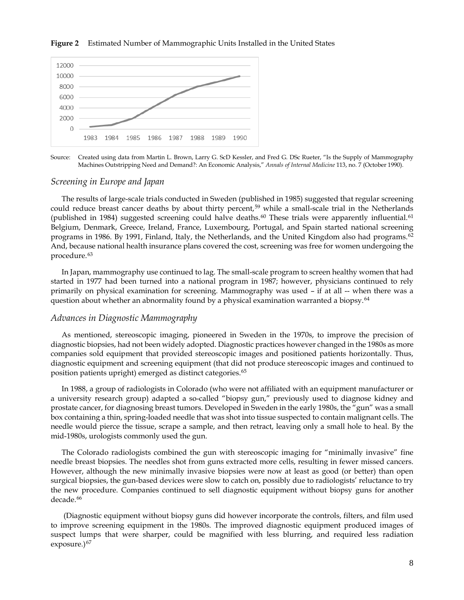#### **Figure 2** Estimated Number of Mammographic Units Installed in the United States



Source: Created using data from Martin L. Brown, Larry G. ScD Kessler, and Fred G. DSc Rueter, "Is the Supply of Mammography Machines Outstripping Need and Demand?: An Economic Analysis," *Annals of Internal Medicine* 113, no. 7 (October 1990).

#### *Screening in Europe and Japan*

The results of large-scale trials conducted in Sweden (published in 1985) suggested that regular screening could reduce breast cancer deaths by about thirty percent,<sup>[59](#page-39-3)</sup> while a small-scale trial in the Netherlands (published in 1984) suggested screening could halve deaths.<sup>[60](#page-39-4)</sup> These trials were apparently influential.<sup>61</sup> Belgium, Denmark, Greece, Ireland, France, Luxembourg, Portugal, and Spain started national screening programs in 1986. By 1991, Finland, Italy, the Netherlands, and the United Kingdom also had programs.<sup>[62](#page-39-6)</sup> And, because national health insurance plans covered the cost, screening was free for women undergoing the procedure.<sup>[63](#page-39-7)</sup>

In Japan, mammography use continued to lag. The small-scale program to screen healthy women that had started in 1977 had been turned into a national program in 1987; however, physicians continued to rely primarily on physical examination for screening. Mammography was used – if at all -- when there was a question about whether an abnormality found by a physical examination warranted a biopsy.<sup>[64](#page-39-8)</sup>

#### *Advances in Diagnostic Mammography*

As mentioned, stereoscopic imaging, pioneered in Sweden in the 1970s, to improve the precision of diagnostic biopsies, had not been widely adopted. Diagnostic practices however changed in the 1980s as more companies sold equipment that provided stereoscopic images and positioned patients horizontally. Thus, diagnostic equipment and screening equipment (that did not produce stereoscopic images and continued to position patients upright) emerged as distinct categories. [65](#page-39-9)

In 1988, a group of radiologists in Colorado (who were not affiliated with an equipment manufacturer or a university research group) adapted a so-called "biopsy gun," previously used to diagnose kidney and prostate cancer, for diagnosing breast tumors. Developed in Sweden in the early 1980s, the "gun" was a small box containing a thin, spring-loaded needle that was shot into tissue suspected to contain malignant cells. The needle would pierce the tissue, scrape a sample, and then retract, leaving only a small hole to heal. By the mid-1980s, urologists commonly used the gun.

The Colorado radiologists combined the gun with stereoscopic imaging for "minimally invasive" fine needle breast biopsies. The needles shot from guns extracted more cells, resulting in fewer missed cancers. However, although the new minimally invasive biopsies were now at least as good (or better) than open surgical biopsies, the gun-based devices were slow to catch on, possibly due to radiologists' reluctance to try the new procedure. Companies continued to sell diagnostic equipment without biopsy guns for another decade.<sup>[66](#page-39-10)</sup>

(Diagnostic equipment without biopsy guns did however incorporate the controls, filters, and film used to improve screening equipment in the 1980s. The improved diagnostic equipment produced images of suspect lumps that were sharper, could be magnified with less blurring, and required less radiation exposure. $67$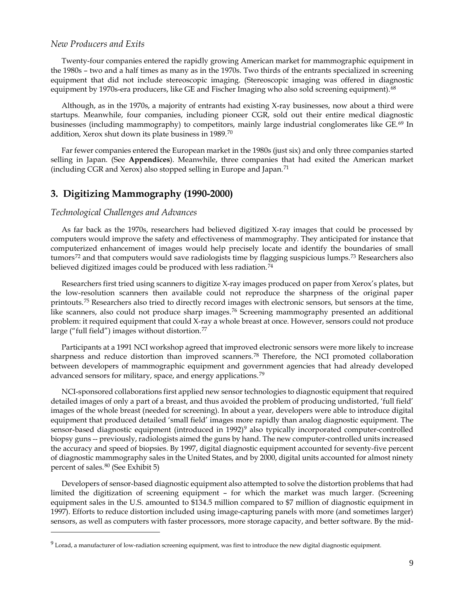#### *New Producers and Exits*

Twenty-four companies entered the rapidly growing American market for mammographic equipment in the 1980s – two and a half times as many as in the 1970s. Two thirds of the entrants specialized in screening equipment that did not include stereoscopic imaging. (Stereoscopic imaging was offered in diagnostic equipment by 1970s-era producers, like GE and Fischer Imaging who also sold screening equipment).<sup>[68](#page-40-0)</sup>

Although, as in the 1970s, a majority of entrants had existing X-ray businesses, now about a third were startups. Meanwhile, four companies, including pioneer CGR, sold out their entire medical diagnostic businesses (including mammography) to competitors, mainly large industrial conglomerates like GE.<sup>[69](#page-40-1)</sup> In addition, Xerox shut down its plate business in 1989.[70](#page-40-2)

Far fewer companies entered the European market in the 1980s (just six) and only three companies started selling in Japan. (See **Appendices**). Meanwhile, three companies that had exited the American market (including CGR and Xerox) also stopped selling in Europe and Japan.<sup>[71](#page-40-3)</sup>

# **3. Digitizing Mammography (1990-2000)**

## *Technological Challenges and Advances*

**.** 

As far back as the 1970s, researchers had believed digitized X-ray images that could be processed by computers would improve the safety and effectiveness of mammography. They anticipated for instance that computerized enhancement of images would help precisely locate and identify the boundaries of small tumors<sup>[72](#page-40-4)</sup> and that computers would save radiologists time by flagging suspicious lumps.<sup>[73](#page-40-5)</sup> Researchers also believed digitized images could be produced with less radiation.<sup>[74](#page-40-6)</sup>

Researchers first tried using scanners to digitize X-ray images produced on paper from Xerox's plates, but the low-resolution scanners then available could not reproduce the sharpness of the original paper printouts.[75](#page-40-7) Researchers also tried to directly record images with electronic sensors, but sensors at the time, like scanners, also could not produce sharp images.<sup>[76](#page-40-8)</sup> Screening mammography presented an additional problem: it required equipment that could X-ray a whole breast at once. However, sensors could not produce large ("full field") images without distortion.<sup>[77](#page-40-9)</sup>

Participants at a 1991 NCI workshop agreed that improved electronic sensors were more likely to increase sharpness and reduce distortion than improved scanners.[78](#page-41-0) Therefore, the NCI promoted collaboration between developers of mammographic equipment and government agencies that had already developed advanced sensors for military, space, and energy applications.[79](#page-41-1)

NCI-sponsored collaborations first applied new sensor technologies to diagnostic equipment that required detailed images of only a part of a breast, and thus avoided the problem of producing undistorted, 'full field' images of the whole breast (needed for screening). In about a year, developers were able to introduce digital equipment that produced detailed 'small field' images more rapidly than analog diagnostic equipment. The sensor-based diagnostic equipment (introduced in  $1992$  $1992$  $1992$ )<sup>9</sup> also typically incorporated computer-controlled biopsy guns -- previously, radiologists aimed the guns by hand. The new computer-controlled units increased the accuracy and speed of biopsies. By 1997, digital diagnostic equipment accounted for seventy-five percent of diagnostic mammography sales in the United States, and by 2000, digital units accounted for almost ninety percent of sales.<sup>[80](#page-41-2)</sup> (See Exhibit 5)

Developers of sensor-based diagnostic equipment also attempted to solve the distortion problems that had limited the digitization of screening equipment – for which the market was much larger. (Screening equipment sales in the U.S. amounted to \$134.5 million compared to \$7 million of diagnostic equipment in 1997). Efforts to reduce distortion included using image-capturing panels with more (and sometimes larger) sensors, as well as computers with faster processors, more storage capacity, and better software. By the mid-

<span id="page-11-0"></span> $9$  Lorad, a manufacturer of low-radiation screening equipment, was first to introduce the new digital diagnostic equipment.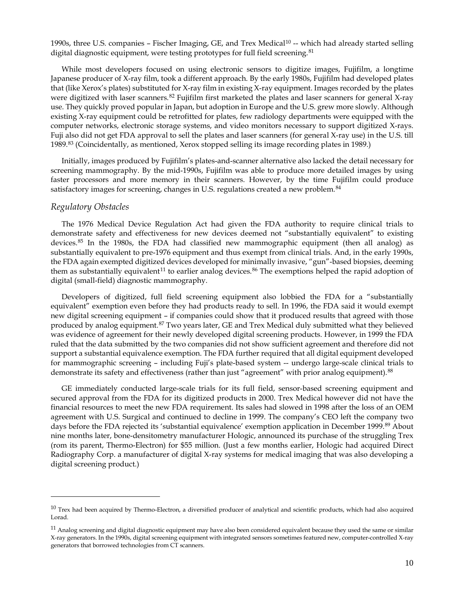1990s, three U.S. companies – Fischer Imaging, GE, and Trex Medical<sup>[10](#page-12-0)</sup> -- which had already started selling digital diagnostic equipment, were testing prototypes for full field screening.<sup>[81](#page-41-3)</sup>

While most developers focused on using electronic sensors to digitize images, Fujifilm, a longtime Japanese producer of X-ray film, took a different approach. By the early 1980s, Fujifilm had developed plates that (like Xerox's plates) substituted for X-ray film in existing X-ray equipment. Images recorded by the plates were digitized with laser scanners.<sup>[82](#page-41-4)</sup> Fujifilm first marketed the plates and laser scanners for general X-ray use. They quickly proved popular in Japan, but adoption in Europe and the U.S. grew more slowly. Although existing X-ray equipment could be retrofitted for plates, few radiology departments were equipped with the computer networks, electronic storage systems, and video monitors necessary to support digitized X-rays. Fuji also did not get FDA approval to sell the plates and laser scanners (for general X-ray use) in the U.S. till 1989.[83](#page-41-5) (Coincidentally, as mentioned, Xerox stopped selling its image recording plates in 1989.)

Initially, images produced by Fujifilm's plates-and-scanner alternative also lacked the detail necessary for screening mammography. By the mid-1990s, Fujifilm was able to produce more detailed images by using faster processors and more memory in their scanners. However, by the time Fujifilm could produce satisfactory images for screening, changes in U.S. regulations created a new problem.<sup>[84](#page-41-6)</sup>

# *Regulatory Obstacles*

**.** 

The 1976 Medical Device Regulation Act had given the FDA authority to require clinical trials to demonstrate safety and effectiveness for new devices deemed not "substantially equivalent" to existing devices.<sup>[85](#page-41-7)</sup> In the 1980s, the FDA had classified new mammographic equipment (then all analog) as substantially equivalent to pre-1976 equipment and thus exempt from clinical trials. And, in the early 1990s, the FDA again exempted digitized devices developed for minimally invasive, "gun"-based biopsies, deeming them as substantially equivalent<sup>[11](#page-12-1)</sup> to earlier analog devices.<sup>[86](#page-41-8)</sup> The exemptions helped the rapid adoption of digital (small-field) diagnostic mammography.

Developers of digitized, full field screening equipment also lobbied the FDA for a "substantially equivalent" exemption even before they had products ready to sell. In 1996, the FDA said it would exempt new digital screening equipment – if companies could show that it produced results that agreed with those produced by analog equipment.<sup>[87](#page-41-9)</sup> Two years later, GE and Trex Medical duly submitted what they believed was evidence of agreement for their newly developed digital screening products. However, in 1999 the FDA ruled that the data submitted by the two companies did not show sufficient agreement and therefore did not support a substantial equivalence exemption. The FDA further required that all digital equipment developed for mammographic screening – including Fuji's plate-based system -- undergo large-scale clinical trials to demonstrate its safety and effectiveness (rather than just "agreement" with prior analog equipment).<sup>[88](#page-41-10)</sup>

GE immediately conducted large-scale trials for its full field, sensor-based screening equipment and secured approval from the FDA for its digitized products in 2000. Trex Medical however did not have the financial resources to meet the new FDA requirement. Its sales had slowed in 1998 after the loss of an OEM agreement with U.S. Surgical and continued to decline in 1999. The company's CEO left the company two days before the FDA rejected its 'substantial equivalence' exemption application in December 1999.[89](#page-41-11) About nine months later, bone-densitometry manufacturer Hologic, announced its purchase of the struggling Trex (rom its parent, Thermo-Electron) for \$55 million. (Just a few months earlier, Hologic had acquired Direct Radiography Corp. a manufacturer of digital X-ray systems for medical imaging that was also developing a digital screening product.)

<span id="page-12-0"></span> $10$  Trex had been acquired by Thermo-Electron, a diversified producer of analytical and scientific products, which had also acquired Lorad.

<span id="page-12-1"></span> $11$  Analog screening and digital diagnostic equipment may have also been considered equivalent because they used the same or similar X-ray generators. In the 1990s, digital screening equipment with integrated sensors sometimes featured new, computer-controlled X-ray generators that borrowed technologies from CT scanners.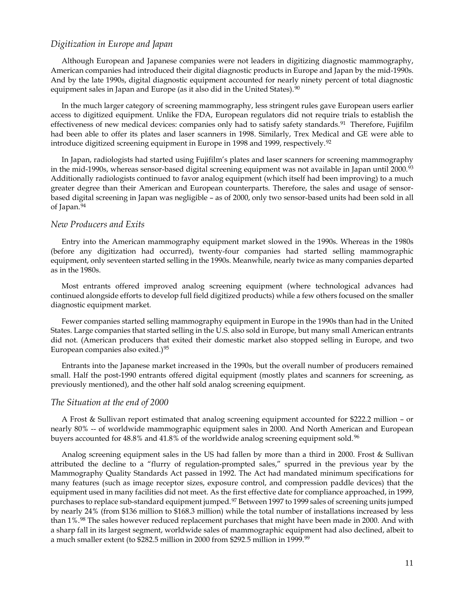#### *Digitization in Europe and Japan*

Although European and Japanese companies were not leaders in digitizing diagnostic mammography, American companies had introduced their digital diagnostic products in Europe and Japan by the mid-1990s. And by the late 1990s, digital diagnostic equipment accounted for nearly ninety percent of total diagnostic equipment sales in Japan and Europe (as it also did in the United States).  $90$ 

In the much larger category of screening mammography, less stringent rules gave European users earlier access to digitized equipment. Unlike the FDA, European regulators did not require trials to establish the effectiveness of new medical devices: companies only had to satisfy safety standards.<sup>[91](#page-42-1)</sup> Therefore, Fujifilm had been able to offer its plates and laser scanners in 1998. Similarly, Trex Medical and GE were able to introduce digitized screening equipment in Europe in 1998 and 1999, respectively.<sup>[92](#page-42-2)</sup>

In Japan, radiologists had started using Fujifilm's plates and laser scanners for screening mammography in the mid-1990s, whereas sensor-based digital screening equipment was not available in Japan until 2000.<sup>[93](#page-42-3)</sup> Additionally radiologists continued to favor analog equipment (which itself had been improving) to a much greater degree than their American and European counterparts. Therefore, the sales and usage of sensorbased digital screening in Japan was negligible – as of 2000, only two sensor-based units had been sold in all of Japan.[94](#page-42-4)

#### *New Producers and Exits*

Entry into the American mammography equipment market slowed in the 1990s. Whereas in the 1980s (before any digitization had occurred), twenty-four companies had started selling mammographic equipment, only seventeen started selling in the 1990s. Meanwhile, nearly twice as many companies departed as in the 1980s.

Most entrants offered improved analog screening equipment (where technological advances had continued alongside efforts to develop full field digitized products) while a few others focused on the smaller diagnostic equipment market.

Fewer companies started selling mammography equipment in Europe in the 1990s than had in the United States. Large companies that started selling in the U.S. also sold in Europe, but many small American entrants did not. (American producers that exited their domestic market also stopped selling in Europe, and two European companies also exited.)<sup>[95](#page-42-5)</sup>

Entrants into the Japanese market increased in the 1990s, but the overall number of producers remained small. Half the post-1990 entrants offered digital equipment (mostly plates and scanners for screening, as previously mentioned), and the other half sold analog screening equipment.

#### *The Situation at the end of 2000*

A Frost & Sullivan report estimated that analog screening equipment accounted for \$222.2 million – or nearly 80% -- of worldwide mammographic equipment sales in 2000. And North American and European buyers accounted for  $48.8\%$  and  $41.8\%$  of the worldwide analog screening equipment sold.<sup>[96](#page-42-6)</sup>

Analog screening equipment sales in the US had fallen by more than a third in 2000. Frost & Sullivan attributed the decline to a "flurry of regulation-prompted sales," spurred in the previous year by the Mammography Quality Standards Act passed in 1992. The Act had mandated minimum specifications for many features (such as image receptor sizes, exposure control, and compression paddle devices) that the equipment used in many facilities did not meet. As the first effective date for compliance approached, in 1999, purchases to replace sub-standard equipment jumped.<sup>[97](#page-42-7)</sup> Between 1997 to 1999 sales of screening units jumped by nearly 24% (from \$136 million to \$168.3 million) while the total number of installations increased by less than  $1\%.^{98}$  $1\%.^{98}$  $1\%.^{98}$  The sales however reduced replacement purchases that might have been made in 2000. And with a sharp fall in its largest segment, worldwide sales of mammographic equipment had also declined, albeit to a much smaller extent (to \$282.5 million in 2000 from \$292.5 million in 1[99](#page-42-9)9.<sup>99</sup>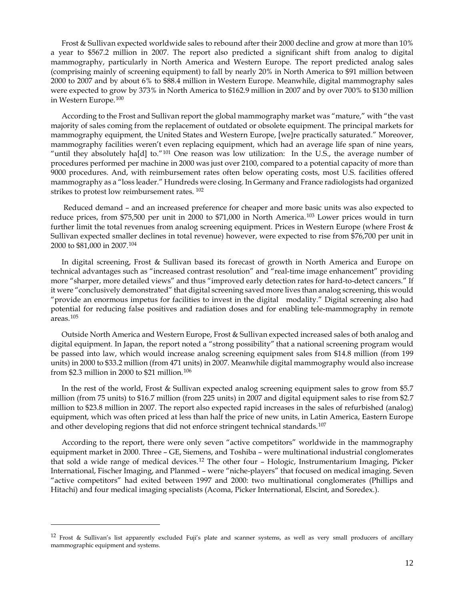Frost & Sullivan expected worldwide sales to rebound after their 2000 decline and grow at more than 10% a year to \$567.2 million in 2007. The report also predicted a significant shift from analog to digital mammography, particularly in North America and Western Europe. The report predicted analog sales (comprising mainly of screening equipment) to fall by nearly 20% in North America to \$91 million between 2000 to 2007 and by about 6% to \$88.4 million in Western Europe. Meanwhile, digital mammography sales were expected to grow by 373% in North America to \$162.9 million in 2007 and by over 700% to \$130 million in Western Europe.[100](#page-42-10)

According to the Frost and Sullivan report the global mammography market was "mature," with "the vast majority of sales coming from the replacement of outdated or obsolete equipment. The principal markets for mammography equipment, the United States and Western Europe, [we]re practically saturated." Moreover, mammography facilities weren't even replacing equipment, which had an average life span of nine years, "until they absolutely ha[d] to." $101$  One reason was low utilization: In the U.S., the average number of procedures performed per machine in 2000 was just over 2100, compared to a potential capacity of more than 9000 procedures. And, with reimbursement rates often below operating costs, most U.S. facilities offered mammography as a "loss leader." Hundreds were closing. In Germany and France radiologists had organized strikes to protest low reimbursement rates. [102](#page-42-12)

Reduced demand – and an increased preference for cheaper and more basic units was also expected to reduce prices, from \$75,500 per unit in 2000 to \$71,000 in North America.[103](#page-42-13) Lower prices would in turn further limit the total revenues from analog screening equipment. Prices in Western Europe (where Frost & Sullivan expected smaller declines in total revenue) however, were expected to rise from \$76,700 per unit in 2000 to \$81,000 in 2007.[104](#page-42-14)

In digital screening, Frost & Sullivan based its forecast of growth in North America and Europe on technical advantages such as "increased contrast resolution" and "real-time image enhancement" providing more "sharper, more detailed views" and thus "improved early detection rates for hard-to-detect cancers." If it were "conclusively demonstrated" that digital screening saved more lives than analog screening, this would "provide an enormous impetus for facilities to invest in the digital modality." Digital screening also had potential for reducing false positives and radiation doses and for enabling tele-mammography in remote areas.[105](#page-42-15)

Outside North America and Western Europe, Frost & Sullivan expected increased sales of both analog and digital equipment. In Japan, the report noted a "strong possibility" that a national screening program would be passed into law, which would increase analog screening equipment sales from \$14.8 million (from 199 units) in 2000 to \$33.2 million (from 471 units) in 2007. Meanwhile digital mammography would also increase from \$2.3 million in 2000 to \$21 million.[106](#page-42-16)

In the rest of the world, Frost & Sullivan expected analog screening equipment sales to grow from \$5.7 million (from 75 units) to \$16.7 million (from 225 units) in 2007 and digital equipment sales to rise from \$2.7 million to \$23.8 million in 2007. The report also expected rapid increases in the sales of refurbished (analog) equipment, which was often priced at less than half the price of new units, in Latin America, Eastern Europe and other developing regions that did not enforce stringent technical standards.<sup>[107](#page-42-17)</sup>

According to the report, there were only seven "active competitors" worldwide in the mammography equipment market in 2000. Three – GE, Siemens, and Toshiba – were multinational industrial conglomerates that sold a wide range of medical devices.<sup>[12](#page-14-0)</sup> The other four - Hologic, Instrumentarium Imaging, Picker International, Fischer Imaging, and Planmed – were "niche-players" that focused on medical imaging. Seven "active competitors" had exited between 1997 and 2000: two multinational conglomerates (Phillips and Hitachi) and four medical imaging specialists (Acoma, Picker International, Elscint, and Soredex.).

 $\overline{a}$ 

<span id="page-14-0"></span><sup>12</sup> Frost & Sullivan's list apparently excluded Fuji's plate and scanner systems, as well as very small producers of ancillary mammographic equipment and systems.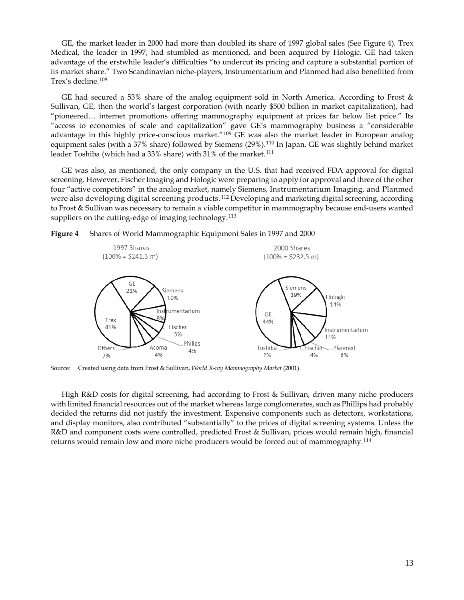GE, the market leader in 2000 had more than doubled its share of 1997 global sales (See Figure 4). Trex Medical, the leader in 1997, had stumbled as mentioned, and been acquired by Hologic. GE had taken advantage of the erstwhile leader's difficulties "to undercut its pricing and capture a substantial portion of its market share." Two Scandinavian niche-players, Instrumentarium and Planmed had also benefitted from Trex's decline.[108](#page-42-18)

GE had secured a 53% share of the analog equipment sold in North America. According to Frost & Sullivan, GE, then the world's largest corporation (with nearly \$500 billion in market capitalization), had "pioneered… internet promotions offering mammography equipment at prices far below list price." Its "access to economies of scale and capitalization" gave GE's mammography business a "considerable advantage in this highly price-conscious market."<sup>[109](#page-42-19)</sup> GE was also the market leader in European analog equipment sales (with a 37% share) followed by Siemens (29%).<sup>[110](#page-42-20)</sup> In Japan, GE was slightly behind market leader Toshiba (which had a 33% share) with 31% of the market.<sup>[111](#page-42-21)</sup>

GE was also, as mentioned, the only company in the U.S. that had received FDA approval for digital screening. However, Fischer Imaging and Hologic were preparing to apply for approval and three of the other four "active competitors" in the analog market, namely Siemens, Instrumentarium Imaging, and Planmed were also developing digital screening products.<sup>[112](#page-42-22)</sup> Developing and marketing digital screening, according to Frost & Sullivan was necessary to remain a viable competitor in mammography because end-users wanted suppliers on the cutting-edge of imaging technology.<sup>[113](#page-42-23)</sup>





Source: Created using data from Frost & Sullivan, *World X-ray Mammography Market* (2001).

High R&D costs for digital screening, had according to Frost & Sullivan, driven many niche producers with limited financial resources out of the market whereas large conglomerates, such as Phillips had probably decided the returns did not justify the investment. Expensive components such as detectors, workstations, and display monitors, also contributed "substantially" to the prices of digital screening systems. Unless the R&D and component costs were controlled, predicted Frost & Sullivan, prices would remain high, financial returns would remain low and more niche producers would be forced out of mammography.[114](#page-42-24)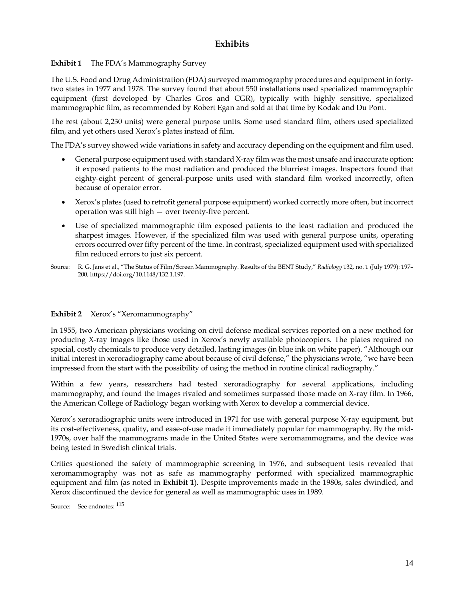# **Exhibits**

**Exhibit 1** The FDA's Mammography Survey

The U.S. Food and Drug Administration (FDA) surveyed mammography procedures and equipment in fortytwo states in 1977 and 1978. The survey found that about 550 installations used specialized mammographic equipment (first developed by Charles Gros and CGR), typically with highly sensitive, specialized mammographic film, as recommended by Robert Egan and sold at that time by Kodak and Du Pont.

The rest (about 2,230 units) were general purpose units. Some used standard film, others used specialized film, and yet others used Xerox's plates instead of film.

The FDA's survey showed wide variations in safety and accuracy depending on the equipment and film used.

- General purpose equipment used with standard X-ray film was the most unsafe and inaccurate option: it exposed patients to the most radiation and produced the blurriest images. Inspectors found that eighty-eight percent of general-purpose units used with standard film worked incorrectly, often because of operator error.
- Xerox's plates (used to retrofit general purpose equipment) worked correctly more often, but incorrect operation was still high — over twenty-five percent.
- Use of specialized mammographic film exposed patients to the least radiation and produced the sharpest images. However, if the specialized film was used with general purpose units, operating errors occurred over fifty percent of the time. In contrast, specialized equipment used with specialized film reduced errors to just six percent.
- Source: R. G. Jans et al., "The Status of Film/Screen Mammography. Results of the BENT Study," *Radiology* 132, no. 1 (July 1979): 197– 200, https://doi.org/10.1148/132.1.197.

# **Exhibit 2** Xerox's "Xeromammography"

In 1955, two American physicians working on civil defense medical services reported on a new method for producing X-ray images like those used in Xerox's newly available photocopiers. The plates required no special, costly chemicals to produce very detailed, lasting images (in blue ink on white paper). "Although our initial interest in xeroradiography came about because of civil defense," the physicians wrote, "we have been impressed from the start with the possibility of using the method in routine clinical radiography."

Within a few years, researchers had tested xeroradiography for several applications, including mammography, and found the images rivaled and sometimes surpassed those made on X-ray film. In 1966, the American College of Radiology began working with Xerox to develop a commercial device.

Xerox's xeroradiographic units were introduced in 1971 for use with general purpose X-ray equipment, but its cost-effectiveness, quality, and ease-of-use made it immediately popular for mammography. By the mid-1970s, over half the mammograms made in the United States were xeromammograms, and the device was being tested in Swedish clinical trials.

Critics questioned the safety of mammographic screening in 1976, and subsequent tests revealed that xeromammography was not as safe as mammography performed with specialized mammographic equipment and film (as noted in **Exhibit 1**). Despite improvements made in the 1980s, sales dwindled, and Xerox discontinued the device for general as well as mammographic uses in 1989.

Source: See endnotes: [115](#page-42-25)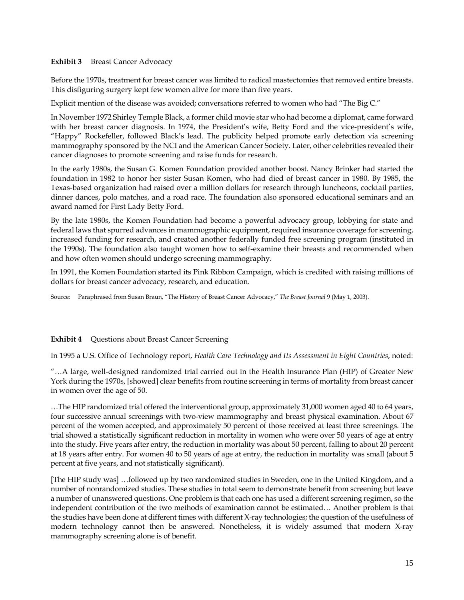## **Exhibit 3** Breast Cancer Advocacy

Before the 1970s, treatment for breast cancer was limited to radical mastectomies that removed entire breasts. This disfiguring surgery kept few women alive for more than five years.

Explicit mention of the disease was avoided; conversations referred to women who had "The Big C."

In November 1972 Shirley Temple Black, a former child movie star who had become a diplomat, came forward with her breast cancer diagnosis. In 1974, the President's wife, Betty Ford and the vice-president's wife, "Happy" Rockefeller, followed Black's lead. The publicity helped promote early detection via screening mammography sponsored by the NCI and the American Cancer Society. Later, other celebrities revealed their cancer diagnoses to promote screening and raise funds for research.

In the early 1980s, the Susan G. Komen Foundation provided another boost. Nancy Brinker had started the foundation in 1982 to honor her sister Susan Komen, who had died of breast cancer in 1980. By 1985, the Texas-based organization had raised over a million dollars for research through luncheons, cocktail parties, dinner dances, polo matches, and a road race. The foundation also sponsored educational seminars and an award named for First Lady Betty Ford.

By the late 1980s, the Komen Foundation had become a powerful advocacy group, lobbying for state and federal laws that spurred advances in mammographic equipment, required insurance coverage for screening, increased funding for research, and created another federally funded free screening program (instituted in the 1990s). The foundation also taught women how to self-examine their breasts and recommended when and how often women should undergo screening mammography.

In 1991, the Komen Foundation started its Pink Ribbon Campaign, which is credited with raising millions of dollars for breast cancer advocacy, research, and education.

Source: Paraphrased from Susan Braun, "The History of Breast Cancer Advocacy," *The Breast Journal* 9 (May 1, 2003).

# **Exhibit 4** Questions about Breast Cancer Screening

In 1995 a U.S. Office of Technology report, *Health Care Technology and Its Assessment in Eight Countries*, noted:

"…A large, well-designed randomized trial carried out in the Health Insurance Plan (HIP) of Greater New York during the 1970s, [showed] clear benefits from routine screening in terms of mortality from breast cancer in women over the age of 50.

…The HIP randomized trial offered the interventional group, approximately 31,000 women aged 40 to 64 years, four successive annual screenings with two-view mammography and breast physical examination. About 67 percent of the women accepted, and approximately 50 percent of those received at least three screenings. The trial showed a statistically significant reduction in mortality in women who were over 50 years of age at entry into the study. Five years after entry, the reduction in mortality was about 50 percent, falling to about 20 percent at 18 years after entry. For women 40 to 50 years of age at entry, the reduction in mortality was small (about 5 percent at five years, and not statistically significant).

[The HIP study was] …followed up by two randomized studies in Sweden, one in the United Kingdom, and a number of nonrandomized studies. These studies in total seem to demonstrate benefit from screening but leave a number of unanswered questions. One problem is that each one has used a different screening regimen, so the independent contribution of the two methods of examination cannot be estimated… Another problem is that the studies have been done at different times with different X-ray technologies; the question of the usefulness of modern technology cannot then be answered. Nonetheless, it is widely assumed that modern X-ray mammography screening alone is of benefit.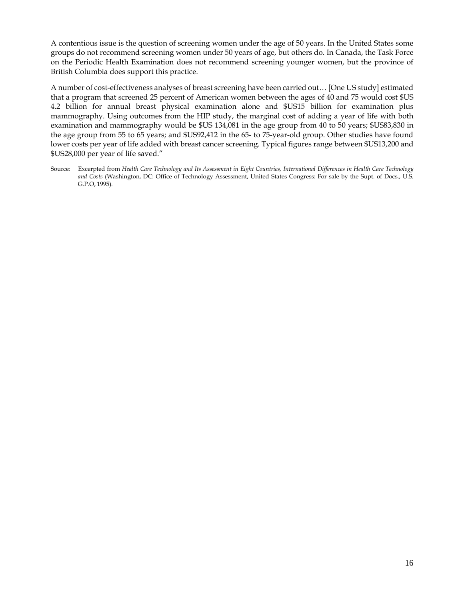A contentious issue is the question of screening women under the age of 50 years. In the United States some groups do not recommend screening women under 50 years of age, but others do. In Canada, the Task Force on the Periodic Health Examination does not recommend screening younger women, but the province of British Columbia does support this practice.

A number of cost-effectiveness analyses of breast screening have been carried out… [One US study] estimated that a program that screened 25 percent of American women between the ages of 40 and 75 would cost \$US 4.2 billion for annual breast physical examination alone and \$US15 billion for examination plus mammography. Using outcomes from the HIP study, the marginal cost of adding a year of life with both examination and mammography would be \$US 134,081 in the age group from 40 to 50 years; \$US83,830 in the age group from 55 to 65 years; and \$US92,412 in the 65- to 75-year-old group. Other studies have found lower costs per year of life added with breast cancer screening. Typical figures range between \$US13,200 and \$US28,000 per year of life saved."

Source: Excerpted from *Health Care Technology and Its Assessment in Eight Countries, International Differences in Health Care Technology and Costs* (Washington, DC: Office of Technology Assessment, United States Congress: For sale by the Supt. of Docs., U.S. G.P.O, 1995).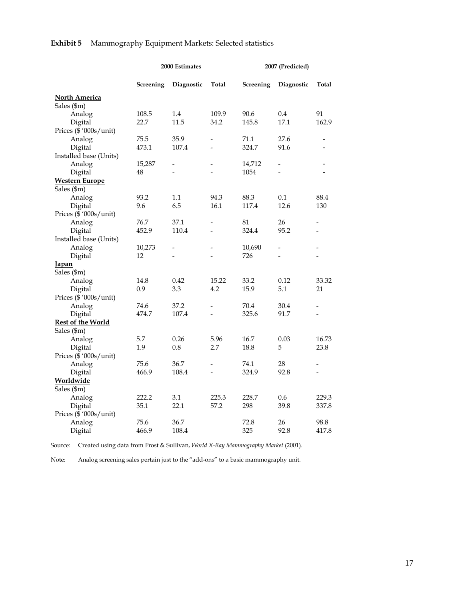|                          | 2000 Estimates |            | 2007 (Predicted) |                  |                |                |
|--------------------------|----------------|------------|------------------|------------------|----------------|----------------|
|                          |                |            |                  |                  |                |                |
|                          | Screening      | Diagnostic | Total            | <b>Screening</b> | Diagnostic     | Total          |
| North America            |                |            |                  |                  |                |                |
| Sales (\$m)              |                |            |                  |                  |                |                |
| Analog                   | 108.5          | 1.4        | 109.9            | 90.6             | 0.4            | 91             |
| Digital                  | 22.7           | 11.5       | 34.2             | 145.8            | 17.1           | 162.9          |
| Prices (\$ '000s/unit)   |                |            |                  |                  |                |                |
| Analog                   | 75.5           | 35.9       | $\overline{a}$   | 71.1             | 27.6           |                |
| Digital                  | 473.1          | 107.4      |                  | 324.7            | 91.6           |                |
| Installed base (Units)   |                |            |                  |                  |                |                |
| Analog                   | 15,287         |            |                  | 14,712           | $\overline{a}$ |                |
| Digital                  | 48             |            |                  | 1054             | $\overline{a}$ |                |
| <b>Western Europe</b>    |                |            |                  |                  |                |                |
| Sales (\$m)              |                |            |                  |                  |                |                |
| Analog                   | 93.2           | $1.1\,$    | 94.3             | 88.3             | 0.1            | 88.4           |
| Digital                  | 9.6            | 6.5        | 16.1             | 117.4            | 12.6           | 130            |
| Prices (\$ '000s/unit)   |                |            |                  |                  |                |                |
| Analog                   | 76.7           | 37.1       |                  | 81               | 26             |                |
| Digital                  | 452.9          | 110.4      |                  | 324.4            | 95.2           |                |
| Installed base (Units)   |                |            |                  |                  |                |                |
| Analog                   | 10,273         |            |                  | 10,690           | $\overline{a}$ |                |
| Digital                  | 12             |            |                  | 726              |                |                |
| <u>Japan</u>             |                |            |                  |                  |                |                |
| Sales (\$m)              |                |            |                  |                  |                |                |
| Analog                   | 14.8           | 0.42       | 15.22            | 33.2             | 0.12           | 33.32          |
| Digital                  | 0.9            | 3.3        | 4.2              | 15.9             | 5.1            | 21             |
| Prices (\$ '000s/unit)   |                |            |                  |                  |                |                |
| Analog                   | 74.6           | 37.2       | $\overline{a}$   | 70.4             | 30.4           |                |
| Digital                  | 474.7          | 107.4      |                  | 325.6            | 91.7           |                |
| <b>Rest of the World</b> |                |            |                  |                  |                |                |
| Sales (\$m)              |                |            |                  |                  |                |                |
| Analog                   | 5.7            | 0.26       | 5.96             | 16.7             | 0.03           | 16.73          |
| Digital                  | 1.9            | 0.8        | 2.7              | 18.8             | 5              | 23.8           |
| Prices (\$ '000s/unit)   |                |            |                  |                  |                |                |
| Analog                   | 75.6           | 36.7       | $\overline{a}$   | 74.1             | 28             |                |
| Digital                  | 466.9          | 108.4      | $\overline{a}$   | 324.9            | 92.8           | $\overline{a}$ |
| Worldwide                |                |            |                  |                  |                |                |
| Sales (\$m)              |                |            |                  |                  |                |                |
| Analog                   | 222.2          | 3.1        | 225.3            | 228.7            | 0.6            | 229.3          |
| Digital                  | 35.1           | 22.1       | 57.2             | 298              | 39.8           | 337.8          |
| Prices (\$ '000s/unit)   |                |            |                  |                  |                |                |
| Analog                   | 75.6           | 36.7       |                  | 72.8             | 26             | 98.8           |
| Digital                  | 466.9          | 108.4      |                  | 325              | 92.8           | 417.8          |

**Exhibit 5** Mammography Equipment Markets: Selected statistics

Source: Created using data from Frost & Sullivan, *World X-Ray Mammography Market* (2001).

Note: Analog screening sales pertain just to the "add-ons" to a basic mammography unit.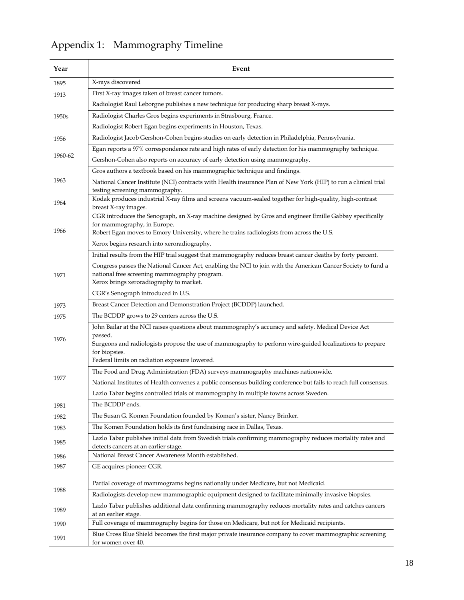| Year    | Event                                                                                                                            |  |  |  |
|---------|----------------------------------------------------------------------------------------------------------------------------------|--|--|--|
| 1895    | X-rays discovered                                                                                                                |  |  |  |
| 1913    | First X-ray images taken of breast cancer tumors.                                                                                |  |  |  |
|         | Radiologist Raul Leborgne publishes a new technique for producing sharp breast X-rays.                                           |  |  |  |
| 1950s   | Radiologist Charles Gros begins experiments in Strasbourg, France.                                                               |  |  |  |
|         | Radiologist Robert Egan begins experiments in Houston, Texas.                                                                    |  |  |  |
| 1956    | Radiologist Jacob Gershon-Cohen begins studies on early detection in Philadelphia, Pennsylvania.                                 |  |  |  |
|         | Egan reports a 97% correspondence rate and high rates of early detection for his mammography technique.                          |  |  |  |
| 1960-62 | Gershon-Cohen also reports on accuracy of early detection using mammography.                                                     |  |  |  |
|         | Gros authors a textbook based on his mammographic technique and findings.                                                        |  |  |  |
| 1963    | National Cancer Institute (NCI) contracts with Health insurance Plan of New York (HIP) to run a clinical trial                   |  |  |  |
|         | testing screening mammography.                                                                                                   |  |  |  |
| 1964    | Kodak produces industrial X-ray films and screens vacuum-sealed together for high-quality, high-contrast<br>breast X-ray images. |  |  |  |
|         | CGR introduces the Senograph, an X-ray machine designed by Gros and engineer Emille Gabbay specifically                          |  |  |  |
|         | for mammography, in Europe.                                                                                                      |  |  |  |
| 1966    | Robert Egan moves to Emory University, where he trains radiologists from across the U.S.                                         |  |  |  |
|         | Xerox begins research into xeroradiography.                                                                                      |  |  |  |
|         | Initial results from the HIP trial suggest that mammography reduces breast cancer deaths by forty percent.                       |  |  |  |
|         | Congress passes the National Cancer Act, enabling the NCI to join with the American Cancer Society to fund a                     |  |  |  |
| 1971    | national free screening mammography program.<br>Xerox brings xeroradiography to market.                                          |  |  |  |
|         | CGR's Senograph introduced in U.S.                                                                                               |  |  |  |
| 1973    | Breast Cancer Detection and Demonstration Project (BCDDP) launched.                                                              |  |  |  |
| 1975    | The BCDDP grows to 29 centers across the U.S.                                                                                    |  |  |  |
|         | John Bailar at the NCI raises questions about mammography's accuracy and safety. Medical Device Act                              |  |  |  |
| 1976    | passed.                                                                                                                          |  |  |  |
|         | Surgeons and radiologists propose the use of mammography to perform wire-guided localizations to prepare                         |  |  |  |
|         | for biopsies.<br>Federal limits on radiation exposure lowered.                                                                   |  |  |  |
|         | The Food and Drug Administration (FDA) surveys mammography machines nationwide.                                                  |  |  |  |
| 1977    | National Institutes of Health convenes a public consensus building conference but fails to reach full consensus.                 |  |  |  |
|         | Lazlo Tabar begins controlled trials of mammography in multiple towns across Sweden.                                             |  |  |  |
| 1981    | The BCDDP ends.                                                                                                                  |  |  |  |
| 1982    | The Susan G. Komen Foundation founded by Komen's sister, Nancy Brinker.                                                          |  |  |  |
| 1983    | The Komen Foundation holds its first fundraising race in Dallas, Texas.                                                          |  |  |  |
|         | Lazlo Tabar publishes initial data from Swedish trials confirming mammography reduces mortality rates and                        |  |  |  |
| 1985    | detects cancers at an earlier stage.                                                                                             |  |  |  |
| 1986    | National Breast Cancer Awareness Month established.                                                                              |  |  |  |
| 1987    | GE acquires pioneer CGR.                                                                                                         |  |  |  |
| 1988    | Partial coverage of mammograms begins nationally under Medicare, but not Medicaid.                                               |  |  |  |
|         | Radiologists develop new mammographic equipment designed to facilitate minimally invasive biopsies.                              |  |  |  |
|         |                                                                                                                                  |  |  |  |
| 1989    | Lazlo Tabar publishes additional data confirming mammography reduces mortality rates and catches cancers<br>at an earlier stage. |  |  |  |
| 1990    | Full coverage of mammography begins for those on Medicare, but not for Medicaid recipients.                                      |  |  |  |
| 1991    | Blue Cross Blue Shield becomes the first major private insurance company to cover mammographic screening                         |  |  |  |
|         | for women over 40.                                                                                                               |  |  |  |

# Appendix 1: Mammography Timeline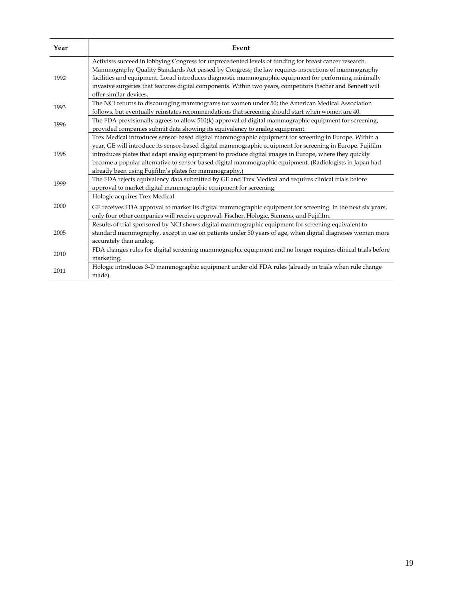| Year | Event                                                                                                                                                                                                                                                                                                                                                                                                                                                                                            |
|------|--------------------------------------------------------------------------------------------------------------------------------------------------------------------------------------------------------------------------------------------------------------------------------------------------------------------------------------------------------------------------------------------------------------------------------------------------------------------------------------------------|
| 1992 | Activists succeed in lobbying Congress for unprecedented levels of funding for breast cancer research.<br>Mammography Quality Standards Act passed by Congress; the law requires inspections of mammography<br>facilities and equipment. Lorad introduces diagnostic mammographic equipment for performing minimally<br>invasive surgeries that features digital components. Within two years, competitors Fischer and Bennett will<br>offer similar devices.                                    |
| 1993 | The NCI returns to discouraging mammograms for women under 50; the American Medical Association<br>follows, but eventually reinstates recommendations that screening should start when women are 40.                                                                                                                                                                                                                                                                                             |
| 1996 | The FDA provisionally agrees to allow 510(k) approval of digital mammographic equipment for screening,<br>provided companies submit data showing its equivalency to analog equipment.                                                                                                                                                                                                                                                                                                            |
| 1998 | Trex Medical introduces sensor-based digital mammographic equipment for screening in Europe. Within a<br>year, GE will introduce its sensor-based digital mammographic equipment for screening in Europe. Fujifilm<br>introduces plates that adapt analog equipment to produce digital images in Europe, where they quickly<br>become a popular alternative to sensor-based digital mammographic equipment. (Radiologists in Japan had<br>already been using Fujifilm's plates for mammography.) |
| 1999 | The FDA rejects equivalency data submitted by GE and Trex Medical and requires clinical trials before<br>approval to market digital mammographic equipment for screening.                                                                                                                                                                                                                                                                                                                        |
| 2000 | Hologic acquires Trex Medical.<br>GE receives FDA approval to market its digital mammographic equipment for screening. In the next six years,<br>only four other companies will receive approval: Fischer, Hologic, Siemens, and Fujifilm.                                                                                                                                                                                                                                                       |
| 2005 | Results of trial sponsored by NCI shows digital mammographic equipment for screening equivalent to<br>standard mammography, except in use on patients under 50 years of age, when digital diagnoses women more<br>accurately than analog.                                                                                                                                                                                                                                                        |
| 2010 | FDA changes rules for digital screening mammographic equipment and no longer requires clinical trials before<br>marketing.                                                                                                                                                                                                                                                                                                                                                                       |
| 2011 | Hologic introduces 3-D mammographic equipment under old FDA rules (already in trials when rule change<br>made).                                                                                                                                                                                                                                                                                                                                                                                  |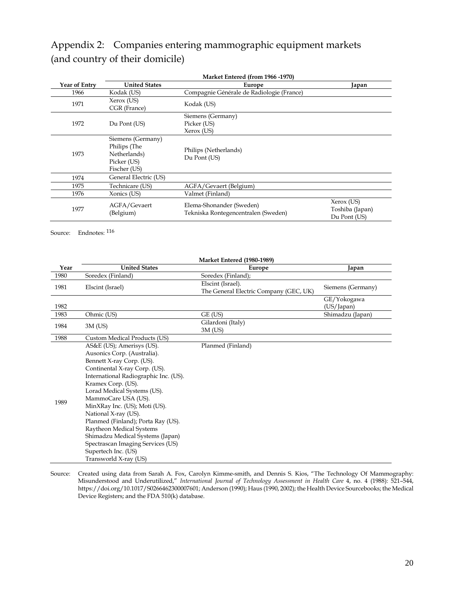# Appendix 2: Companies entering mammographic equipment markets (and country of their domicile)

|               | Market Entered (from 1966 -1970)                                                 |                                                                 |                                               |  |
|---------------|----------------------------------------------------------------------------------|-----------------------------------------------------------------|-----------------------------------------------|--|
| Year of Entry | <b>United States</b>                                                             | Europe                                                          | Japan                                         |  |
| 1966          | Kodak (US)                                                                       | Compagnie Générale de Radiologie (France)                       |                                               |  |
| 1971          | Xerox (US)<br>CGR (France)                                                       | Kodak (US)                                                      |                                               |  |
| 1972          | Du Pont (US)                                                                     | Siemens (Germany)<br>Picker (US)<br>Xerox (US)                  |                                               |  |
| 1973          | Siemens (Germany)<br>Philips (The<br>Netherlands)<br>Picker (US)<br>Fischer (US) | Philips (Netherlands)<br>Du Pont (US)                           |                                               |  |
| 1974          | General Electric (US)                                                            |                                                                 |                                               |  |
| 1975          | Technicare (US)                                                                  | AGFA/Gevaert (Belgium)                                          |                                               |  |
| 1976          | Xonics (US)                                                                      | Valmet (Finland)                                                |                                               |  |
| 1977          | AGFA/Gevaert<br>(Belgium)                                                        | Elema-Shonander (Sweden)<br>Tekniska Rontegencentralen (Sweden) | Xerox (US)<br>Toshiba (Japan)<br>Du Pont (US) |  |

Source: Endnotes: [116](#page-42-26)

|      | <b>Market Entered (1980-1989)</b>                                                                                                                                                                                                                                                                                                                                                                                                                                                               |                                                             |                           |  |  |
|------|-------------------------------------------------------------------------------------------------------------------------------------------------------------------------------------------------------------------------------------------------------------------------------------------------------------------------------------------------------------------------------------------------------------------------------------------------------------------------------------------------|-------------------------------------------------------------|---------------------------|--|--|
| Year | <b>United States</b>                                                                                                                                                                                                                                                                                                                                                                                                                                                                            | Europe                                                      | Japan                     |  |  |
| 1980 | Soredex (Finland)                                                                                                                                                                                                                                                                                                                                                                                                                                                                               | Soredex (Finland);                                          |                           |  |  |
| 1981 | Elscint (Israel)                                                                                                                                                                                                                                                                                                                                                                                                                                                                                | Elscint (Israel).<br>The General Electric Company (GEC, UK) | Siemens (Germany)         |  |  |
| 1982 |                                                                                                                                                                                                                                                                                                                                                                                                                                                                                                 |                                                             | GE/Yokogawa<br>(US/Japan) |  |  |
| 1983 | Ohmic (US)                                                                                                                                                                                                                                                                                                                                                                                                                                                                                      | GE (US)                                                     | Shimadzu (Japan)          |  |  |
| 1984 | $3M$ (US)                                                                                                                                                                                                                                                                                                                                                                                                                                                                                       | Gilardoni (Italy)<br>$3M$ (US)                              |                           |  |  |
| 1988 | Custom Medical Products (US)                                                                                                                                                                                                                                                                                                                                                                                                                                                                    |                                                             |                           |  |  |
| 1989 | AS&E (US); Amerisys (US).<br>Ausonics Corp. (Australia).<br>Bennett X-ray Corp. (US).<br>Continental X-ray Corp. (US).<br>International Radiographic Inc. (US).<br>Kramex Corp. (US).<br>Lorad Medical Systems (US).<br>MammoCare USA (US).<br>MinXRay Inc. (US); Moti (US).<br>National X-ray (US).<br>Planmed (Finland); Porta Ray (US).<br>Raytheon Medical Systems<br>Shimadzu Medical Systems (Japan)<br>Spectrascan Imaging Services (US)<br>Supertech Inc. (US)<br>Transworld X-ray (US) | Planmed (Finland)                                           |                           |  |  |

Source: Created using data from Sarah A. Fox, Carolyn Kimme-smith, and Dennis S. Kios, "The Technology Of Mammography: Misunderstood and Underutilized," *International Journal of Technology Assessment in Health Care* 4, no. 4 (1988): 521–544, https://doi.org/10.1017/S0266462300007601; Anderson (1990); Haus (1990, 2002); the Health Device Sourcebooks; the Medical Device Registers; and the FDA 510(k) database.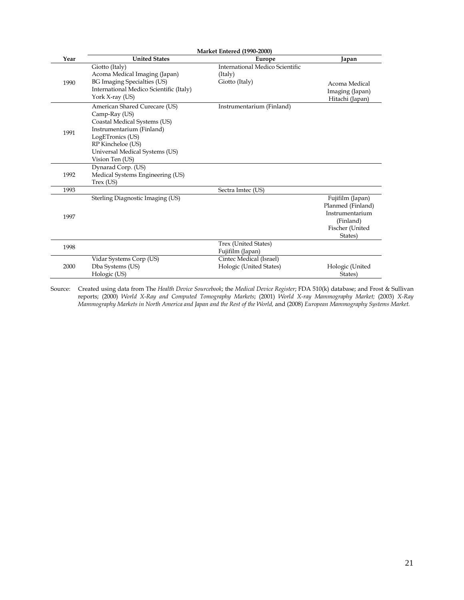|      | <b>Market Entered (1990-2000)</b>                                                                                                                                                                         |                                                              |                                                                                                     |  |  |
|------|-----------------------------------------------------------------------------------------------------------------------------------------------------------------------------------------------------------|--------------------------------------------------------------|-----------------------------------------------------------------------------------------------------|--|--|
| Year | <b>United States</b>                                                                                                                                                                                      | Europe                                                       | Japan                                                                                               |  |  |
| 1990 | Giotto (Italy)<br>Acoma Medical Imaging (Japan)<br>BG Imaging Specialties (US)<br>International Medico Scientific (Italy)<br>York X-ray (US)                                                              | International Medico Scientific<br>(Italy)<br>Giotto (Italy) | Acoma Medical<br>Imaging (Japan)<br>Hitachi (Japan)                                                 |  |  |
| 1991 | American Shared Curecare (US)<br>Camp-Ray (US)<br>Coastal Medical Systems (US)<br>Instrumentarium (Finland)<br>LogETronics (US)<br>RP Kincheloe (US)<br>Universal Medical Systems (US)<br>Vision Ten (US) | Instrumentarium (Finland)                                    |                                                                                                     |  |  |
| 1992 | Dynarad Corp. (US)<br>Medical Systems Engineering (US)<br>Trex (US)                                                                                                                                       |                                                              |                                                                                                     |  |  |
| 1993 |                                                                                                                                                                                                           | Sectra Imtec (US)                                            |                                                                                                     |  |  |
| 1997 | Sterling Diagnostic Imaging (US)                                                                                                                                                                          |                                                              | Fujifilm (Japan)<br>Planmed (Finland)<br>Instrumentarium<br>(Finland)<br>Fischer (United<br>States) |  |  |
| 1998 |                                                                                                                                                                                                           | Trex (United States)<br>Fujifilm (Japan)                     |                                                                                                     |  |  |
| 2000 | Vidar Systems Corp (US)<br>Dba Systems (US)<br>Hologic (US)                                                                                                                                               | Cintec Medical (Israel)<br>Hologic (United States)           | Hologic (United<br>States)                                                                          |  |  |

Source: Created using data from The *Health Device Sourcebook*; the *Medical Device Register*; FDA 510(k) database; and Frost & Sullivan reports; (2000) *World X-Ray and Computed Tomography Markets*; (2001) *World X-ray Mammography Market;* (2003) *X-Ray Mammography Markets in North America and Japan and the Rest of the World,* and (2008) *European Mammography Systems Market.*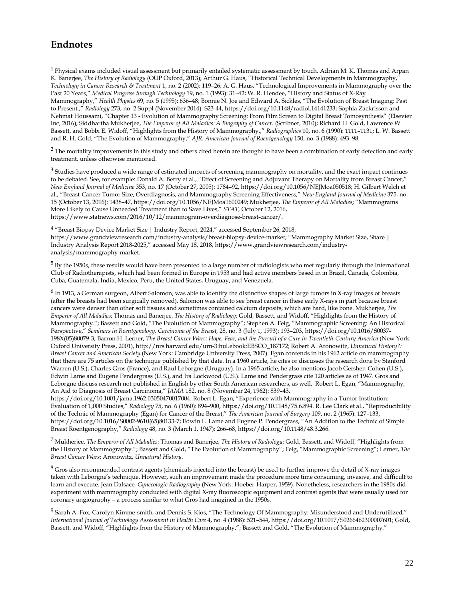# **Endnotes**

 $1$  Physical exams included visual assessment but primarily entailed systematic assessment by touch. Adrian M. K. Thomas and Arpan K. Banerjee, *The History of Radiology* (OUP Oxford, 2013); Arthur G. Haus, "Historical Technical Developments in Mammography," *Technology in Cancer Research & Treatment* 1, no. 2 (2002): 119–26; A. G. Haus, "Technological Improvements in Mammography over the Past 20 Years," *Medical Progress through Technology* 19, no. 1 (1993): 31–42; W. R. Hendee, "History and Status of X-Ray Mammography," *Health Physics* 69, no. 5 (1995): 636–48; Bonnie N. Joe and Edward A. Sickles, "The Evolution of Breast Imaging: Past to Present.," *Radiology* 273, no. 2 Suppl (November 2014): S23-44, https://doi.org/10.1148/radiol.14141233; Sophia Zackrisson and Nehmat Houssami, "Chapter 13 - Evolution of Mammography Screening: From Film Screen to Digital Breast Tomosynthesis" (Elsevier Inc, 2016); Siddhartha Mukherjee, *The Emperor of All Maladies: A Biography of Cancer.* (Scribner, 2010); Richard H. Gold, Lawrence W. Bassett, and Bobbi E. Widoff, "Highlights from the History of Mammography.," *Radiographics* 10, no. 6 (1990): 1111–1131; L. W. Bassett and R. H. Gold, "The Evolution of Mammography," *AJR. American Journal of Roentgenology* 150, no. 3 (1988): 493–98.

<sup>2</sup> The mortality improvements in this study and others cited herein are thought to have been a combination of early detection and early treatment, unless otherwise mentioned.

 $3$  Studies have produced a wide range of estimated impacts of screening mammography on mortality, and the exact impact continues to be debated. See, for example: Donald A. Berry et al., "Effect of Screening and Adjuvant Therapy on Mortality from Breast Cancer," *New England Journal of Medicine* 353, no. 17 (October 27, 2005): 1784–92, https://doi.org/10.1056/NEJMoa050518; H. Gilbert Welch et al., "Breast-Cancer Tumor Size, Overdiagnosis, and Mammography Screening Effectiveness," *New England Journal of Medicine* 375, no. 15 (October 13, 2016): 1438–47, https://doi.org/10.1056/NEJMoa1600249; Mukherjee, *The Emperor of All Maladies*; "Mammograms More Likely to Cause Unneeded Treatment than to Save Lives," *STAT,* October 12, 2016, https://www.statnews.com/2016/10/12/mammogram-overdiagnose-breast-cancer/.

<sup>4</sup> "Breast Biopsy Device Market Size | Industry Report, 2024," accessed September 26, 2018, https://www.grandviewresearch.com/industry-analysis/breast-biopsy-device-market; "Mammography Market Size, Share | Industry Analysis Report 2018-2025," accessed May 18, 2018, https://www.grandviewresearch.com/industryanalysis/mammography-market.

 $5$  By the 1950s, these results would have been presented to a large number of radiologists who met regularly through the International Club of Radiotherapists, which had been formed in Europe in 1953 and had active members based in in Brazil, Canada, Colombia, Cuba, Guatemala, India, Mexico, Peru, the United States, Uruguay, and Venezuela.

<sup>6</sup> In 1913, a German surgeon, Albert Salomon, was able to identify the distinctive shapes of large tumors in X-ray images of breasts (after the breasts had been surgically removed). Salomon was able to see breast cancer in these early X-rays in part because breast cancers were denser than other soft tissues and sometimes contained calcium deposits, which are hard, like bone. Mukherjee, *The Emperor of All Maladies*; Thomas and Banerjee, *The History of Radiology;* Gold, Bassett, and Widoff, "Highlights from the History of Mammography."; Bassett and Gold, "The Evolution of Mammography"; Stephen A. Feig, "Mammographic Screening: An Historical Perspective," *Seminars in Roentgenology, Carcinoma of the Breast,* 28, no. 3 (July 1, 1993): 193–203, https://doi.org/10.1016/S0037- 198X(05)80079-3; Barron H. Lerner, *The Breast Cancer Wars: Hope, Fear, and the Pursuit of a Cure in Twentieth-Century America* (New York: Oxford University Press, 2001), http://nrs.harvard.edu/urn-3:hul.ebook:EBSCO\_187172; Robert A. Aronowitz, *Unnatural History?: Breast Cancer and American Society* (New York: Cambridge University Press, 2007). Egan contends in his 1962 article on mammography that there are 75 articles on the technique published by that date. In a 1960 article, he cites or discusses the research done by Stanford Warren (U.S.), Charles Gros (France), and Raul Leborgne (Uruguay). In a 1965 article, he also mentions Jacob Gershen-Cohen (U.S.), Edwin Lame and Eugene Pendergrass (U.S.), and Ira Lockwood (U.S.). Lame and Pendergrass cite 120 articles as of 1947. Gros and Leborgne discuss research not published in English by other South American researchers, as well. Robert L. Egan, "Mammography, An Aid to Diagnosis of Breast Carcinoma," *JAMA* 182, no. 8 (November 24, 1962): 839–43,

https://doi.org/10.1001/jama.1962.03050470017004. Robert L. Egan, "Experience with Mammography in a Tumor Institution: Evaluation of 1,000 Studies," *Radiology* 75, no. 6 (1960): 894–900, https://doi.org/10.1148/75.6.894. R. Lee Clark et al., "Reproducibility of the Technic of Mammography (Egan) for Cancer of the Breast," *The American Journal of Surgery* 109, no. 2 (1965): 127–133, https://doi.org/10.1016/S0002-9610(65)80133-7; Edwin L. Lame and Eugene P. Pendergrass, "An Addition to the Technic of Simple Breast Roentgenography," *Radiology* 48, no. 3 (March 1, 1947): 266–68, https://doi.org/10.1148/48.3.266.

<sup>7</sup> Mukherjee, *The Emperor of All Maladies*; Thomas and Banerjee, *The History of Radiology*; Gold, Bassett, and Widoff, "Highlights from the History of Mammography."; Bassett and Gold, "The Evolution of Mammography"; Feig, "Mammographic Screening"; Lerner, *The Breast Cancer Wars*; Aronowitz, *Unnatural History*.

<sup>8</sup> Gros also recommended contrast agents (chemicals injected into the breast) be used to further improve the detail of X-ray images taken with Leborgne's technique. However, such an improvement made the procedure more time consuming, invasive, and difficult to learn and execute. Jean Dalsace*, Gynecologic Radiography* (New York: Hoeber-Harper, 1959). Nonetheless, researchers in the 1980s did experiment with mammography conducted with digital X-ray fluoroscopic equipment and contrast agents that were usually used for coronary angiography – a process similar to what Gros had imagined in the 1950s.

<sup>9</sup> Sarah A. Fox, Carolyn Kimme-smith, and Dennis S. Kios, "The Technology Of Mammography: Misunderstood and Underutilized," *International Journal of Technology Assessment in Health Care* 4, no. 4 (1988): 521–544, https://doi.org/10.1017/S0266462300007601; Gold, Bassett, and Widoff, "Highlights from the History of Mammography."; Bassett and Gold, "The Evolution of Mammography."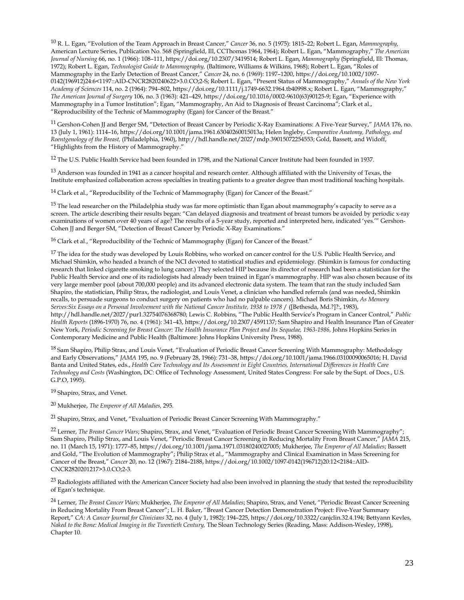<sup>10</sup> R. L. Egan, "Evolution of the Team Approach in Breast Cancer," *Cancer* 36, no. 5 (1975): 1815–22; Robert L. Egan, *Mammography,* American Lecture Series, Publication No. 568 (Springfield, Ill, CCThomas 1964, 1964); Robert L. Egan, "Mammography," *The American Journal of Nursing* 66, no. 1 (1966): 108–111, https://doi.org/10.2307/3419514; Robert L. Egan, *Mammography* (Springfield, Ill: Thomas, 1972); Robert L. Egan, *Technologist Guide to Mammography,* (Baltimore, Williams & Wilkins, 1968); Robert L. Egan, "Roles of Mammography in the Early Detection of Breast Cancer," *Cancer* 24, no. 6 (1969): 1197–1200, https://doi.org/10.1002/1097- 0142(196912)24:6<1197::AID-CNCR2820240622>3.0.CO;2-S; Robert L. Egan, "Present Status of Mammography," *Annals of the New York Academy of Sciences* 114, no. 2 (1964): 794–802, https://doi.org/10.1111/j.1749-6632.1964.tb40998.x; Robert L. Egan, "Mammography," *The American Journal of Surgery* 106, no. 3 (1963): 421–429, https://doi.org/10.1016/0002-9610(63)90125-9; Egan, "Experience with Mammography in a Tumor Institution"; Egan, "Mammography, An Aid to Diagnosis of Breast Carcinoma"; Clark et al., "Reproducibility of the Technic of Mammography (Egan) for Cancer of the Breast."

11 Gershon-Cohen JJ and Berger SM, "Detection of Breast Cancer by Periodic X-Ray Examinations: A Five-Year Survey," *JAMA* 176, no. 13 (July 1, 1961): 1114–16, https://doi.org/10.1001/jama.1961.63040260015013a; Helen Ingleby, *Comparative Anatomy, Pathology, and Roentgenology of the Breast,* (Philadelphia, 1960), http://hdl.handle.net/2027/mdp.39015072254553; Gold, Bassett, and Widoff, "Highlights from the History of Mammography."

12 The U.S. Public Health Service had been founded in 1798, and the National Cancer Institute had been founded in 1937.

 $13$  Anderson was founded in 1941 as a cancer hospital and research center. Although affiliated with the University of Texas, the Institute emphasized collaboration across specialties in treating patients to a greater degree than most traditional teaching hospitals.

<sup>14</sup> Clark et al., "Reproducibility of the Technic of Mammography (Egan) for Cancer of the Breast."

<sup>15</sup> The lead researcher on the Philadelphia study was far more optimistic than Egan about mammography's capacity to serve as a screen. The article describing their results began: "Can delayed diagnosis and treatment of breast tumors be avoided by periodic x-ray examinations of women over 40 years of age? The results of a 5-year study, reported and interpreted here, indicated 'yes.'" Gershon-Cohen JJ and Berger SM, "Detection of Breast Cancer by Periodic X-Ray Examinations."

<sup>16</sup> Clark et al., "Reproducibility of the Technic of Mammography (Egan) for Cancer of the Breast."

<sup>17</sup> The idea for the study was developed by Louis Robbins, who worked on cancer control for the U.S. Public Health Service, and Michael Shimkin, who headed a branch of the NCI devoted to statistical studies and epidemiology. (Shimkin is famous for conducting research that linked cigarette smoking to lung cancer.) They selected HIP because its director of research had been a statistician for the Public Health Service and one of its radiologists had already been trained in Egan's mammography. HIP was also chosen because of its very large member pool (about 700,000 people) and its advanced electronic data system. The team that ran the study included Sam Shapiro, the statistician, Philip Strax, the radiologist, and Louis Venet, a clinician who handled referrals (and was needed, Shimkin recalls, to persuade surgeons to conduct surgery on patients who had no palpable cancers). Michael Boris Shimkin, *As Memory Serves:Six Essays on a Personal Involvement with the National Cancer Institute, 1938 to 1978* / ([Bethesda, Md.?]?:, 1983), http://hdl.handle.net/2027/pur1.32754076368780; Lewis C. Robbins, "The Public Health Service's Program in Cancer Control," *Public Health Reports* (1896-1970) 76, no. 4 (1961): 341–43, https://doi.org/10.2307/4591137; Sam Shapiro and Health Insurance Plan of Greater New York, Periodic Screening for Breast Cancer: The Health Insurance Plan Project and Its Sequelae, 1963-1986, Johns Hopkins Series in Contemporary Medicine and Public Health (Baltimore: Johns Hopkins University Press, 1988).

18 Sam Shapiro, Philip Strax, and Louis Venet, "Evaluation of Periodic Breast Cancer Screening With Mammography: Methodology and Early Observations," *JAMA* 195, no. 9 (February 28, 1966): 731–38, https://doi.org/10.1001/jama.1966.03100090065016; H. David Banta and United States, eds., *Health Care Technology and Its Assessment in Eight Countries, International Differences in Health Care Technology and Costs* (Washington, DC: Office of Technology Assessment, United States Congress: For sale by the Supt. of Docs., U.S. G.P.O, 1995).

<sup>19</sup> Shapiro, Strax, and Venet.

<sup>20</sup> Mukherjee, *The Emperor of All Maladies,* 295*.*

<sup>21</sup> Shapiro, Strax, and Venet, "Evaluation of Periodic Breast Cancer Screening With Mammography."

<sup>22</sup> Lerner, *The Breast Cancer Wars*; Shapiro, Strax, and Venet, "Evaluation of Periodic Breast Cancer Screening With Mammography"; Sam Shapiro, Philip Strax, and Louis Venet, "Periodic Breast Cancer Screening in Reducing Mortality From Breast Cancer," *JAMA* 215, no. 11 (March 15, 1971): 1777–85, https://doi.org/10.1001/jama.1971.03180240027005; Mukherjee, *The Emperor of All Maladies*; Bassett and Gold, "The Evolution of Mammography"; Philip Strax et al., "Mammography and Clinical Examination in Mass Screening for Cancer of the Breast," *Cancer* 20, no. 12 (1967): 2184–2188, https://doi.org/10.1002/1097-0142(196712)20:12<2184::AID-CNCR2820201217>3.0.CO;2-3.

 $^{23}$  Radiologists affiliated with the American Cancer Society had also been involved in planning the study that tested the reproducibility of Egan's technique.

<sup>24</sup> Lerner, *The Breast Cancer Wars;* Mukherjee, *The Emperor of All Maladies*; Shapiro, Strax, and Venet, "Periodic Breast Cancer Screening in Reducing Mortality From Breast Cancer"; L. H. Baker, "Breast Cancer Detection Demonstration Project: Five-Year Summary Report," *CA: A Cancer Journal for Clinicians* 32, no. 4 (July 1, 1982): 194–225, https://doi.org/10.3322/canjclin.32.4.194; Bettyann Kevles, *Naked to the Bone: Medical Imaging in the Twentieth Century,* The Sloan Technology Series (Reading, Mass: Addison-Wesley, 1998), Chapter 10.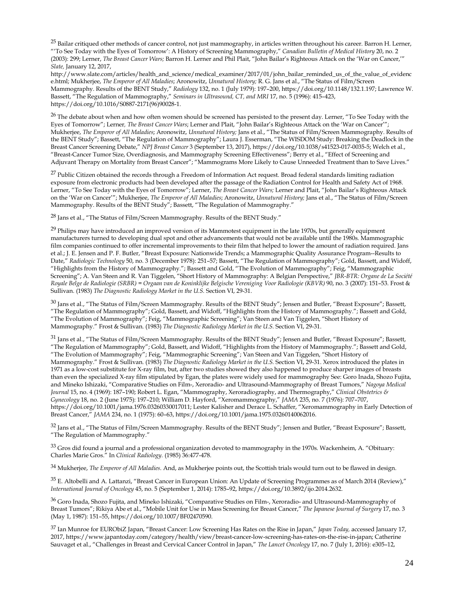<sup>25</sup> Bailar critiqued other methods of cancer control, not just mammography, in articles written throughout his career. Barron H. Lerner, "'To See Today with the Eyes of Tomorrow': A History of Screening Mammography," *Canadian Bulletin of Medical History* 20, no. 2 (2003): 299; Lerner, *The Breast Cancer Wars;* Barron H. Lerner and Phil Plait, "John Bailar's Righteous Attack on the 'War on Cancer,'" *Slate,* January 12, 2017,

http://www.slate.com/articles/health\_and\_science/medical\_examiner/2017/01/john\_bailar\_reminded\_us\_of\_the\_value\_of\_evidenc e.html; Mukherjee, *The Emperor of All Maladies*; Aronowitz, *Unnatural History;* R. G. Jans et al., "The Status of Film/Screen Mammography. Results of the BENT Study," *Radiology* 132, no. 1 (July 1979): 197–200, https://doi.org/10.1148/132.1.197; Lawrence W. Bassett, "The Regulation of Mammography," *Seminars in Ultrasound, CT, and MRI* 17, no. 5 (1996): 415–423, https://doi.org/10.1016/S0887-2171(96)90028-1.

 $26$  The debate about when and how often women should be screened has persisted to the present day. Lerner, "To See Today with the Eyes of Tomorrow"; Lerner*, The Breast Cancer Wars*; Lerner and Plait, "John Bailar's Righteous Attack on the 'War on Cancer'"; Mukherjee, *The Emperor of All Maladies*; Aronowitz, *Unnatural History;* Jans et al., "The Status of Film/Screen Mammography. Results of the BENT Study"; Bassett, "The Regulation of Mammography"; Laura J. Esserman, "The WISDOM Study: Breaking the Deadlock in the Breast Cancer Screening Debate," *NPJ Breast Cancer* 3 (September 13, 2017), https://doi.org/10.1038/s41523-017-0035-5; Welch et al., "Breast-Cancer Tumor Size, Overdiagnosis, and Mammography Screening Effectiveness"; Berry et al., "Effect of Screening and Adjuvant Therapy on Mortality from Breast Cancer"; "Mammograms More Likely to Cause Unneeded Treatment than to Save Lives."

 $27$  Public Citizen obtained the records through a Freedom of Information Act request. Broad federal standards limiting radiation exposure from electronic products had been developed after the passage of the Radiation Control for Health and Safety Act of 1968. Lerner, "To See Today with the Eyes of Tomorrow"; Lerner, *The Breast Cancer Wars;* Lerner and Plait, "John Bailar's Righteous Attack on the 'War on Cancer'"; Mukherjee, *The Emperor of All Maladies*; Aronowitz, *Unnatural History;* Jans et al., "The Status of Film/Screen Mammography. Results of the BENT Study"; Bassett, "The Regulation of Mammography."

<sup>28</sup> Jans et al., "The Status of Film/Screen Mammography. Results of the BENT Study."

 $^{29}$  Philips may have introduced an improved version of its Mammotest equipment in the late 1970s, but generally equipment manufacturers turned to developing dual spot and other advancements that would not be available until the 1980s. Mammographic film companies continued to offer incremental improvements to their film that helped to lower the amount of radiation required. Jans et al.; J. E. Jensen and P. F. Butler, "Breast Exposure: Nationwide Trends; a Mammographic Quality Assurance Program--Results to Date," *Radiologic Technology* 50, no. 3 (December 1978): 251–57; Bassett, "The Regulation of Mammography"; Gold, Bassett, and Widoff, "Highlights from the History of Mammography."; Bassett and Gold, "The Evolution of Mammography"; Feig, "Mammographic Screening"; A. Van Steen and R. Van Tiggelen, "Short History of Mammography: A Belgian Perspective," *JBR-BTR: Organe de La Société Royale Belge de Radiologie (SRBR) = Orgaan van de Koninklijke Belgische Vereniging Voor Radiologie (KBVR)* 90, no. 3 (2007): 151–53. Frost & Sullivan. (1983) *The Diagnostic Radiology Market in the U.S.* Section VI, 29-31.

 $30$  Jans et al., "The Status of Film/Screen Mammography. Results of the BENT Study"; Jensen and Butler, "Breast Exposure"; Bassett, "The Regulation of Mammography"; Gold, Bassett, and Widoff, "Highlights from the History of Mammography."; Bassett and Gold, "The Evolution of Mammography"; Feig, "Mammographic Screening"; Van Steen and Van Tiggelen, "Short History of Mammography." Frost & Sullivan. (1983) *The Diagnostic Radiology Market in the U.S.* Section VI, 29-31.

<sup>31</sup> Jans et al., "The Status of Film/Screen Mammography. Results of the BENT Study"; Jensen and Butler, "Breast Exposure"; Bassett, "The Regulation of Mammography"; Gold, Bassett, and Widoff, "Highlights from the History of Mammography."; Bassett and Gold, "The Evolution of Mammography"; Feig, "Mammographic Screening"; Van Steen and Van Tiggelen, "Short History of Mammography." Frost & Sullivan. (1983) *The Diagnostic Radiology Market in the U.S.* Section VI, 29-31. Xerox introduced the plates in 1971 as a low-cost substitute for X-ray film, but, after two studies showed they also happened to produce sharper images of breasts than even the specialized X-ray film stipulated by Egan, the plates were widely used for mammography See: Goro Inada, Shozo Fujita, and Mineko Ishizaki, "Comparative Studies on Film-, Xeroradio- and Ultrasound-Mammography of Breast Tumors," *Nagoya Medical Journal* 15, no. 4 (1969): 187–190; Robert L. Egan, "Mammography, Xeroradiography, and Thermography," *Clinical Obstetrics & Gynecology* 18, no. 2 (June 1975): 197–210; William D. Hayford, "Xeromammography," *JAMA* 235, no. 7 (1976): 707–707, https://doi.org/10.1001/jama.1976.03260330017011; Lester Kalisher and Derace L. Schaffer, "Xeromammography in Early Detection of Breast Cancer," *JAMA* 234, no. 1 (1975): 60–63, https://doi.org/10.1001/jama.1975.03260140062016.

<sup>32</sup> Jans et al., "The Status of Film/Screen Mammography. Results of the BENT Study"; Jensen and Butler, "Breast Exposure"; Bassett, "The Regulation of Mammography."

 $33$  Gros did found a journal and a professional organization devoted to mammography in the 1970s. Wackenheim, A. "Obituary: Charles Marie Gros." In *Clinical Radiology.* (1985) 36:477-478.

<sup>34</sup> Mukherjee, *The Emperor of All Maladies.* And, as Mukherjee points out, the Scottish trials would turn out to be flawed in design.

<sup>35</sup> E. Altobelli and A. Lattanzi, "Breast Cancer in European Union: An Update of Screening Programmes as of March 2014 (Review)," *International Journal of Oncology* 45, no. 5 (September 1, 2014): 1785–92, https://doi.org/10.3892/ijo.2014.2632.

<sup>36</sup> Goro Inada, Shozo Fujita, and Mineko Ishizaki, "Comparative Studies on Film-, Xeroradio- and Ultrasound-Mammography of Breast Tumors"; Rikiya Abe et al., "Mobile Unit for Use in Mass Screening for Breast Cancer," *The Japanese Journal of Surgery* 17, no. 3 (May 1, 1987): 151–55, https://doi.org/10.1007/BF02470590.

<sup>37</sup> Ian Munroe for EURObiZ Japan, "Breast Cancer: Low Screening Has Rates on the Rise in Japan," *Japan Today,* accessed January 17, 2017, https://www.japantoday.com/category/health/view/breast-cancer-low-screening-has-rates-on-the-rise-in-japan; Catherine Sauvaget et al., "Challenges in Breast and Cervical Cancer Control in Japan," *The Lancet Oncology* 17, no. 7 (July 1, 2016): e305–12,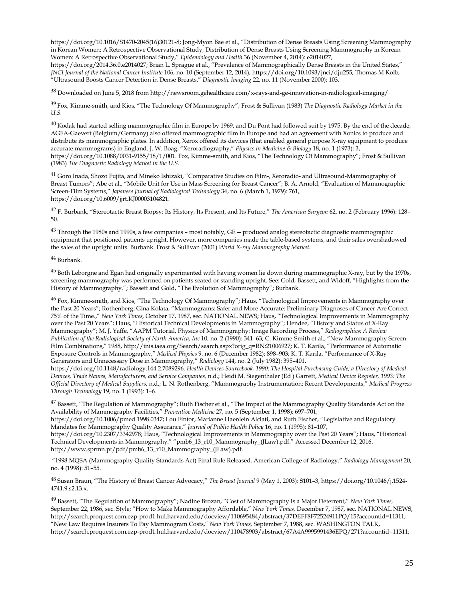https://doi.org/10.1016/S1470-2045(16)30121-8; Jong-Myon Bae et al., "Distribution of Dense Breasts Using Screening Mammography in Korean Women: A Retrospective Observational Study, Distribution of Dense Breasts Using Screening Mammography in Korean Women: A Retrospective Observational Study," *Epidemiology and Health* 36 (November 4, 2014): e2014027,

https://doi.org/2014.36.0.e2014027; Brian L. Sprague et al., "Prevalence of Mammographically Dense Breasts in the United States," *JNCI Journal of the National Cancer Institute* 106, no. 10 (September 12, 2014), https://doi.org/10.1093/jnci/dju255; Thomas M Kolb, "Ultrasound Boosts Cancer Detection in Dense Breasts," *Diagnostic Imaging* 22, no. 11 (November 2000): 103.

 $38$  Downloaded on June 5, 2018 from http://newsroom.gehealthcare.com/x-rays-and-ge-innovation-in-radiological-imaging/

39 Fox, Kimme-smith, and Kios, "The Technology Of Mammography"; Frost & Sullivan (1983) *The Diagnostic Radiology Market in the U.S.*

<sup>40</sup> Kodak had started selling mammographic film in Europe by 1969, and Du Pont had followed suit by 1975. By the end of the decade, AGFA-Gaevert (Belgium/Germany) also offered mammographic film in Europe and had an agreement with Xonics to produce and distribute its mammographic plates. In addition, Xerox offered its devices (that enabled general purpose X-ray equipment to produce accurate mammograms) in England. J. W. Boag, "Xeroradiography," *Physics in Medicine & Biology* 18, no. 1 (1973): 3, https://doi.org/10.1088/0031-9155/18/1/001. Fox, Kimme-smith, and Kios, "The Technology Of Mammography"; Frost & Sullivan (1983) *The Diagnostic Radiology Market in the U.S.*

<sup>41</sup> Goro Inada, Shozo Fujita, and Mineko Ishizaki, "Comparative Studies on Film-, Xeroradio- and Ultrasound-Mammography of Breast Tumors"; Abe et al., "Mobile Unit for Use in Mass Screening for Breast Cancer"; B. A. Arnold, "Evaluation of Mammographic Screen-Film Systems," *Japanese Journal of Radiological Technology* 34, no. 6 (March 1, 1979): 761, https://doi.org/10.6009/jjrt.KJ00003104821.

<sup>42</sup> F. Burbank, "Stereotactic Breast Biopsy: Its History, Its Present, and Its Future," *The American Surgeon* 62, no. 2 (February 1996): 128– 50.

 $43$  Through the 1980s and 1990s, a few companies – most notably, GE -- produced analog stereotactic diagnostic mammographic equipment that positioned patients upright. However, more companies made the table-based systems, and their sales overshadowed the sales of the upright units. Burbank. Frost & Sullivan (2001) *World X-ray Mammography Market.*

## 44 Burbank.

<sup>45</sup> Both Leborgne and Egan had originally experimented with having women lie down during mammographic X-ray, but by the 1970s, screening mammography was performed on patients seated or standing upright. See: Gold, Bassett, and Widoff, "Highlights from the History of Mammography."; Bassett and Gold, "The Evolution of Mammography"; Burbank.

<sup>46</sup> Fox, Kimme-smith, and Kios, "The Technology Of Mammography"; Haus, "Technological Improvements in Mammography over the Past 20 Years"; Rothenberg; Gina Kolata, "Mammograms: Safer and More Accurate: Preliminary Diagnoses of Cancer Are Correct 75% of the Time.," *New York Times,* October 17, 1987, sec. NATIONAL NEWS; Haus, "Technological Improvements in Mammography over the Past 20 Years"; Haus, "Historical Technical Developments in Mammography"; Hendee, "History and Status of X-Ray Mammography"; M. J. Yaffe, "AAPM Tutorial. Physics of Mammography: Image Recording Process," *Radiographics: A Review Publication of the Radiological Society of North America, Inc* 10, no. 2 (1990): 341–63; C. Kimme-Smith et al., "New Mammography Screen-Film Combinations," 1988, http://inis.iaea.org/Search/search.aspx?orig\_q=RN:21006927; K. T. Karila, "Performance of Automatic Exposure Controls in Mammography," *Medical Physics* 9, no. 6 (December 1982): 898–903; K. T. Karila, "Performance of X-Ray Generators and Unnecessary Dose in Mammography," *Radiology* 144, no. 2 (July 1982): 395–401,

https://doi.org/10.1148/radiology.144.2.7089296. *Health Devices Sourcebook, 1990: The Hospital Purchasing Guide; a Directory of Medical Devices, Trade Names, Manufacturers, and Service Companies,* n.d.; Heidi M. Siegenthaler (Ed ) Garrett, *Medical Device Register, 1993: The Official Directory of Medical Suppliers,* n.d.; L. N. Rothenberg, "Mammography Instrumentation: Recent Developments," *Medical Progress Through Technology* 19, no. 1 (1993): 1–6.

 $^{47}$  Bassett, "The Regulation of Mammography"; Ruth Fischer et al., "The Impact of the Mammography Quality Standards Act on the Availability of Mammography Facilities," *Preventive Medicine* 27, no. 5 (September 1, 1998): 697–701, https://doi.org/10.1006/pmed.1998.0347; Lou Fintor, Marianne Haenlein Alciati, and Ruth Fischer, "Legislative and Regulatory

Mandates for Mammography Quality Assurance," *Journal of Public Health Policy* 16, no. 1 (1995): 81–107, https://doi.org/10.2307/3342978; Haus, "Technological Improvements in Mammography over the Past 20 Years"; Haus, "Historical Technical Developments in Mammography." "pmb6\_13\_r10\_Mammography\_(JLaw).pdf." Accessed December 12, 2016. http://www.sprmn.pt/pdf/pmb6\_13\_r10\_Mammography\_(JLaw).pdf.

"1998 MQSA (Mammography Quality Standards Act) Final Rule Released. American College of Radiology." *Radiology Management* 20, no. 4 (1998): 51–55.

48 Susan Braun, "The History of Breast Cancer Advocacy," *The Breast Journal* 9 (May 1, 2003): S101–3, https://doi.org/10.1046/j.1524- 4741.9.s2.13.x.

<sup>49</sup> Bassett, "The Regulation of Mammography"; Nadine Brozan, "Cost of Mammography Is a Major Deterrent," *New York Times,*  September 22, 1986, sec. Style; "How to Make Mammography Affordable," *New York Times,* December 7, 1987, sec. NATIONAL NEWS, http://search.proquest.com.ezp-prod1.hul.harvard.edu/docview/110695484/abstract/37DEFF8F72524911PQ/15?accountid=11311; "New Law Requires Insurers To Pay Mammogram Costs," *New York Times,* September 7, 1988, sec. WASHINGTON TALK, http://search.proquest.com.ezp-prod1.hul.harvard.edu/docview/110478903/abstract/67A4A9995991436EPQ/271?accountid=11311;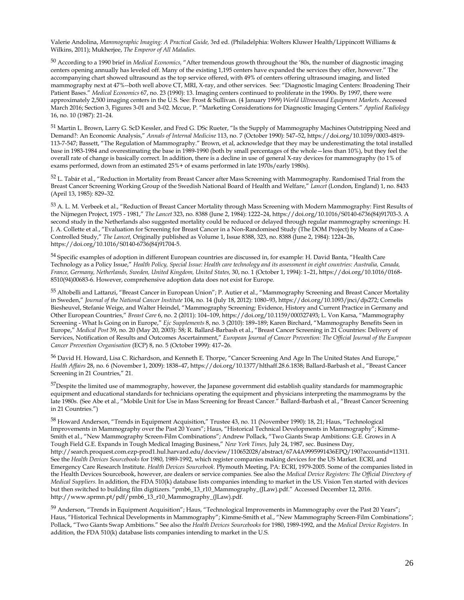Valerie Andolina, *Mammographic Imaging: A Practical Guide,* 3rd ed. (Philadelphia: Wolters Kluwer Health/Lippincott Williams & Wilkins, 2011); Mukherjee, *The Emperor of All Maladies.*

<sup>50</sup> According to a 1990 brief in *Medical Economics,* "After tremendous growth throughout the '80s, the number of diagnostic imaging centers opening annually has leveled off. Many of the existing 1,195 centers have expanded the services they offer, however." The accompanying chart showed ultrasound as the top service offered, with 49% of centers offering ultrasound imaging, and listed mammography next at 47%--both well above CT, MRI, X-ray, and other services. See: "Diagnostic Imaging Centers: Broadening Their Patient Bases." *Medical Economics* 67, no. 23 (1990): 13. Imaging centers continued to proliferate in the 1990s. By 1997, there were approximately 2,500 imaging centers in the U.S. See: Frost & Sullivan. (4 January 1999) *World Ultrasound Equipment Markets.* Accessed March 2016; Section 3, Figures 3-01 and 3-02. Mccue, P. "Marketing Considerations for Diagnostic Imaging Centers." *Applied Radiology*  16, no. 10 (1987): 21–24.

<sup>51</sup> Martin L. Brown, Larry G. ScD Kessler, and Fred G. DSc Rueter, "Is the Supply of Mammography Machines Outstripping Need and Demand?: An Economic Analysis," *Annals of Internal Medicine* 113, no. 7 (October 1990): 547–52, https://doi.org/10.1059/0003-4819- 113-7-547; Bassett, "The Regulation of Mammography." Brown, et al, acknowledge that they may be underestimating the total installed base in 1983-1984 and overestimating the base in 1989-1990 (both by small percentages of the whole—less than 10%), but they feel the overall rate of change is basically correct. In addition, there is a decline in use of general X-ray devices for mammography (to 1% of exams performed, down from an estimated 25%+ of exams performed in late 1970s/early 1980s).

<sup>52</sup> L. Tabár et al., "Reduction in Mortality from Breast Cancer after Mass Screening with Mammography. Randomised Trial from the Breast Cancer Screening Working Group of the Swedish National Board of Health and Welfare," *Lancet* (London, England) 1, no. 8433 (April 13, 1985): 829–32.

53 A. L. M. Verbeek et al., "Reduction of Breast Cancer Mortality through Mass Screening with Modern Mammography: First Results of the Nijmegen Project, 1975 - 1981," *The Lancet* 323, no. 8388 (June 2, 1984): 1222–24, https://doi.org/10.1016/S0140-6736(84)91703-3. A second study in the Netherlands also suggested mortality could be reduced or delayed through regular mammography screenings: H. J. A. Collette et al., "Evaluation for Screening for Breast Cancer in a Non-Randomised Study (The DOM Project) by Means of a Case-Controlled Study," *The Lancet,* Originally published as Volume 1, Issue 8388, 323, no. 8388 (June 2, 1984): 1224–26, https://doi.org/10.1016/S0140-6736(84)91704-5.

<sup>54</sup> Specific examples of adoption in different European countries are discussed in, for example: H. David Banta, "Health Care Technology as a Policy Issue," *Health Policy, Special Issue: Health care technology and its assessment in eight countries: Australia, Canada, France, Germany, Netherlands, Sweden, United Kingdom, United States,* 30, no. 1 (October 1, 1994): 1–21, https://doi.org/10.1016/0168- 8510(94)00683-6. However, comprehensive adoption data does not exist for Europe.

55 Altobelli and Lattanzi, "Breast Cancer in European Union"; P. Autier et al., "Mammography Screening and Breast Cancer Mortality in Sweden," *Journal of the National Cancer Institute* 104, no. 14 (July 18, 2012): 1080–93, https://doi.org/10.1093/jnci/djs272; Cornelis Biesheuvel, Stefanie Weige, and Walter Heindel, "Mammography Screening: Evidence, History and Current Practice in Germany and Other European Countries," *Breast Care* 6, no. 2 (2011): 104–109, https://doi.org/10.1159/000327493; L. Von Karsa, "Mammography Screening - What Is Going on in Europe," *Ejc Supplements* 8, no. 3 (2010): 189–189; Karen Birchard, "Mammography Benefits Seen in Europe," *Medical Post* 39, no. 20 (May 20, 2003): 58; R. Ballard-Barbash et al., "Breast Cancer Screening in 21 Countries: Delivery of Services, Notification of Results and Outcomes Ascertainment," *European Journal of Cancer Prevention: The Official Journal of the European Cancer Prevention Organisation* (ECP) 8, no. 5 (October 1999): 417–26.

<sup>56</sup> David H. Howard, Lisa C. Richardson, and Kenneth E. Thorpe, "Cancer Screening And Age In The United States And Europe," *Health Affairs* 28, no. 6 (November 1, 2009): 1838–47, https://doi.org/10.1377/hlthaff.28.6.1838; Ballard-Barbash et al., "Breast Cancer Screening in 21 Countries," 21.

<sup>57</sup>Despite the limited use of mammography, however, the Japanese government did establish quality standards for mammographic equipment and educational standards for technicians operating the equipment and physicians interpreting the mammograms by the late 1980s. (See Abe et al., "Mobile Unit for Use in Mass Screening for Breast Cancer." Ballard-Barbash et al., "Breast Cancer Screening in 21 Countries.")

<sup>58</sup> Howard Anderson, "Trends in Equipment Acquisition," Trustee 43, no. 11 (November 1990): 18, 21; Haus, "Technological Improvements in Mammography over the Past 20 Years"; Haus, "Historical Technical Developments in Mammography"; Kimme-Smith et al., "New Mammography Screen-Film Combinations"; Andrew Pollack, "Two Giants Swap Ambitions: G.E. Grows in A Tough Field G.E. Expands in Tough Medical Imaging Business," *New York Times,* July 24, 1987, sec. Business Day, http://search.proquest.com.ezp-prod1.hul.harvard.edu/docview/110652028/abstract/67A4A9995991436EPQ/190?accountid=11311. See the *Health Devices Sourcebooks* for 1980, 1989-1992, which register companies making devices for the US Market. ECRI, and Emergency Care Research Institute. *Health Devices Sourcebook.* Plymouth Meeting, PA: ECRI, 1979-2005. Some of the companies listed in the Health Devices Sourcebook, however, are dealers or service companies. See also the *Medical Device Registers: The Official Directory of Medical Suppliers.* In addition, the FDA 510(k) database lists companies intending to market in the US. Vision Ten started with devices but then switched to building film digitizers. "pmb6\_13\_r10\_Mammography\_(JLaw).pdf." Accessed December 12, 2016. http://www.sprmn.pt/pdf/pmb6\_13\_r10\_Mammography\_(JLaw).pdf.

 $59$  Anderson, "Trends in Equipment Acquisition"; Haus, "Technological Improvements in Mammography over the Past 20 Years"; Haus, "Historical Technical Developments in Mammography"; Kimme-Smith et al., "New Mammography Screen-Film Combinations"; Pollack, "Two Giants Swap Ambitions." See also the *Health Devices Sourcebooks* for 1980, 1989-1992, and the *Medical Device Registers.* In addition, the FDA 510(k) database lists companies intending to market in the U.S.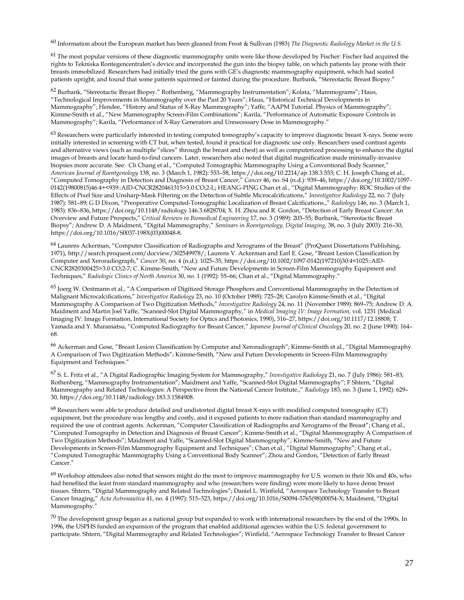<sup>60</sup> Information about the European market has been gleaned from Frost & Sullivan (1983) *The Diagnostic Radiology Market in the U.S.* 

 $61$  The most popular versions of these diagnostic mammography units were like those developed by Fischer: Fischer had acquired the rights to Tekniska Rontegencentralen's device and incorporated the gun into the biopsy table, on which patients lay prone with their breasts immobilized. Researchers had initially tried the guns with GE's diagnostic mammography equipment, which had seated patients upright, and found that some patients squirmed or fainted during the procedure. Burbank, "Stereotactic Breast Biopsy."

<sup>62</sup> Burbank, "Stereotactic Breast Biopsy." Rothenberg, "Mammography Instrumentation"; Kolata, "Mammograms"; Haus, "Technological Improvements in Mammography over the Past 20 Years"; Haus, "Historical Technical Developments in Mammography"; Hendee, "History and Status of X-Ray Mammography"; Yaffe, "AAPM Tutorial. Physics of Mammography"; Kimme-Smith et al., "New Mammography Screen-Film Combinations"; Karila, "Performance of Automatic Exposure Controls in Mammography"; Karila, "Performance of X-Ray Generators and Unnecessary Dose in Mammography."

<sup>63</sup> Researchers were particularly interested in testing computed tomography's capacity to improve diagnostic breast X-rays. Some were initially interested in screening with CT but, when tested, found it practical for diagnostic use only. Researchers used contrast agents and alternative views (such as multiple "slices" through the breast and chest) as well as computerized processing to enhance the digital images of breasts and locate hard-to-find cancers. Later, researchers also noted that digital magnification made minimally-invasive biopsies more accurate. See: Ch Chang et al., "Computed Tomographic Mammography Using a Conventional Body Scanner," *American Journal of Roentgenology* 138, no. 3 (March 1, 1982): 553–58, https://doi.org/10.2214/ajr.138.3.553; C. H. Joseph Chang et al., "Computed Tomography in Detection and Diagnosis of Breast Cancer," *Cancer* 46, no. S4 (n.d.): 939–46, https://doi.org/10.1002/1097- 0142(19800815)46:4+<939::AID-CNCR2820461315>3.0.CO;2-L; HEANG-PING Chan et al., "Digital Mammography: ROC Studies of the Effects of Pixel Size and Unsharp-Mask Filtering on the Detection of Subtle Microcalcifications," *Investigative Radiology* 22, no. 7 (July 1987): 581–89; G D Dixon, "Preoperative Computed-Tomographic Localization of Breast Calcifications.," *Radiology* 146, no. 3 (March 1, 1983): 836–836, https://doi.org/10.1148/radiology.146.3.6828704; X. H. Zhou and R. Gordon, "Detection of Early Breast Cancer: An Overview and Future Prospects," *Critical Reviews in Biomedical Engineering* 17, no. 3 (1989): 203–55; Burbank, "Stereotactic Breast Biopsy"; Andrew D. A Maidment, "Digital Mammography," *Seminars in Roentgenology, Digital Imaging,* 38, no. 3 (July 2003): 216–30, https://doi.org/10.1016/S0037-198X(03)00048-8.

<sup>64</sup> Laurens Ackerman, "Computer Classification of Radiographs and Xerograms of the Breast" (ProQuest Dissertations Publishing, 1971), http://search.proquest.com/docview/302549978/; Laurens V. Ackerman and Earl E. Gose, "Breast Lesion Classification by Computer and Xeroradiograph," *Cancer* 30, no. 4 (n.d.): 1025–35, https://doi.org/10.1002/1097-0142(197210)30:4<1025::AID-CNCR2820300425>3.0.CO;2-7; C. Kimme-Smith, "New and Future Developments in Screen-Film Mammography Equipment and Techniques," *Radiologic Clinics of North America* 30, no. 1 (1992): 55–66; Chan et al., "Digital Mammography."

<sup>65</sup> Joerg W. Oestmann et al., "A Comparison of Digitized Storage Phosphors and Conventional Mammography in the Detection of Malignant Microcalcifications," *Investigative Radiology* 23, no. 10 (October 1988): 725–28; Carolyn Kimme-Smith et al., "Digital Mammography A Comparison of Two Digitization Methods," *Investigative Radiology* 24, no. 11 (November 1989): 869–75; Andrew D. A. Maidment and Martin Joel Yaffe, "Scanned-Slot Digital Mammography," in *Medical Imaging IV: Image Formation,* vol. 1231 (Medical Imaging IV: Image Formation, International Society for Optics and Photonics, 1990), 316–27, https://doi.org/10.1117/12.18808; T. Yamada and Y. Muramatsu, "Computed Radiography for Breast Cancer," *Japanese Journal of Clinical Oncology* 20, no. 2 (June 1990): 164– 68.

<sup>66</sup> Ackerman and Gose, "Breast Lesion Classification by Computer and Xeroradiograph"; Kimme-Smith et al., "Digital Mammography A Comparison of Two Digitization Methods"; Kimme-Smith, "New and Future Developments in Screen-Film Mammography Equipment and Techniques."

<sup>67</sup> S. L. Fritz et al., "A Digital Radiographic Imaging System for Mammography," *Investigative Radiology* 21, no. 7 (July 1986): 581–83; Rothenberg, "Mammography Instrumentation"; Maidment and Yaffe, "Scanned-Slot Digital Mammography"; F Shtern, "Digital Mammography and Related Technologies: A Perspective from the National Cancer Institute.," *Radiology* 183, no. 3 (June 1, 1992): 629– 30, https://doi.org/10.1148/radiology.183.3.1584908.

 $68$  Researchers were able to produce detailed and undistorted digital breast X-rays with modified computed tomography (CT) equipment, but the procedure was lengthy and costly, and it exposed patients to more radiation than standard mammography and required the use of contrast agents. Ackerman, "Computer Classification of Radiographs and Xerograms of the Breast"; Chang et al., "Computed Tomography in Detection and Diagnosis of Breast Cancer"; Kimme-Smith et al., "Digital Mammography A Comparison of Two Digitization Methods"; Maidment and Yaffe, "Scanned-Slot Digital Mammography"; Kimme-Smith, "New and Future Developments in Screen-Film Mammography Equipment and Techniques"; Chan et al., "Digital Mammography"; Chang et al., "Computed Tomographic Mammography Using a Conventional Body Scanner"; Zhou and Gordon, "Detection of Early Breast Cancer."

<sup>69</sup> Workshop attendees also noted that sensors might do the most to improve mammography for U.S. women in their 30s and 40s, who had benefited the least from standard mammography and who (researchers were finding) were more likely to have dense breast tissues. Shtern, "Digital Mammography and Related Technologies"; Daniel L. Winfield, "Aerospace Technology Transfer to Breast Cancer Imaging," *Acta Astronautica* 41, no. 4 (1997): 515–523, https://doi.org/10.1016/S0094-5765(98)00054-X; Maidment, "Digital Mammography."

 $^{70}$  The development group began as a national group but expanded to work with international researchers by the end of the 1990s. In 1996, the USPHS funded an expansion of the program that enabled additional agencies within the U.S. federal government to participate. Shtern, "Digital Mammography and Related Technologies"; Winfield, "Aerospace Technology Transfer to Breast Cancer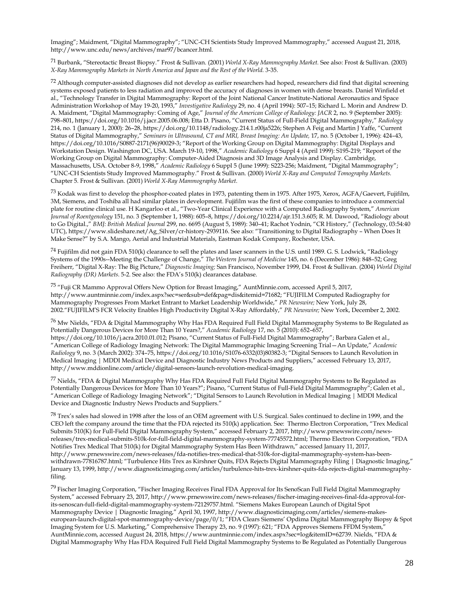Imaging"; Maidment, "Digital Mammography"; "UNC-CH Scientists Study Improved Mammography," accessed August 21, 2018, http://www.unc.edu/news/archives/mar97/bcancer.html.

71 Burbank, "Stereotactic Breast Biopsy." Frost & Sullivan. (2001) *World X-Ray Mammography Market.* See also: Frost & Sullivan. (2003) *X-Ray Mammography Markets in North America and Japan and the Rest of the World.* 3-35.

 $72$  Although computer-assisted diagnoses did not develop as earlier researchers had hoped, researchers did find that digital screening systems exposed patients to less radiation and improved the accuracy of diagnoses in women with dense breasts. Daniel Winfield et al., "Technology Transfer in Digital Mammography: Report of the Joint National Cancer Institute-National Aeronautics and Space Administration Workshop of May 19-20, 1993," *Investigative Radiology* 29, no. 4 (April 1994): 507–15; Richard L. Morin and Andrew D. A. Maidment, "Digital Mammography: Coming of Age," *Journal of the American College of Radiology: JACR* 2, no. 9 (September 2005): 798–801, https://doi.org/10.1016/j.jacr.2005.06.008; Etta D. Pisano, "Current Status of Full-Field Digital Mammography," *Radiology*  214, no. 1 (January 1, 2000): 26–28, https://doi.org/10.1148/radiology.214.1.r00ja5226; Stephen A Feig and Martin J Yaffe, "Current Status of Digital Mammography," *Seminars in Ultrasound, CT and MRI, Breast Imaging: An Update,* 17, no. 5 (October 1, 1996): 424–43, https://doi.org/10.1016/S0887-2171(96)90029-3; "Report of the Working Group on Digital Mammography: Digital Displays and Workstation Design. Washington DC, USA. March 19-10, 1998," *Academic Radiology* 6 Suppl 4 (April 1999): S195-219; "Report of the Working Group on Digital Mammography: Computer-Aided Diagnosis and 3D Image Analysis and Display. Cambridge, Massachusetts, USA. October 8-9, 1998," *Academic Radiology* 6 Suppl 5 (June 1999): S223-256; Maidment, "Digital Mammography"; "UNC-CH Scientists Study Improved Mammography." Frost & Sullivan. (2000) *World X-Ray and Computed Tomography Markets.* Chapter 5. Frost & Sullivan. (2001) *World X-Ray Mammography Market*.

 $^{73}$  Kodak was first to develop the phosphor-coated plates in 1973, patenting them in 1975. After 1975, Xerox, AGFA/Gaevert, Fujifilm, 3M, Siemens, and Toshiba all had similar plates in development. Fujifilm was the first of these companies to introduce a commercial plate for routine clinical use. H Kangarloo et al., "Two-Year Clinical Experience with a Computed Radiography System," *American Journal of Roentgenology* 151, no. 3 (September 1, 1988): 605–8, https://doi.org/10.2214/ajr.151.3.605; R. M. Dawood, "Radiology about to Go Digital.," *BMJ: British Medical Journal* 299, no. 6695 (August 5, 1989): 340–41; Rachot Yodnin, "CR History," (Technology, 03:54:40 UTC), https://www.slideshare.net/Ag\_Silver/cr-history-2939116. See also: "Transitioning to Digital Radiography – When Does It Make Sense?" by S.A. Mango, Aerial and Industrial Materials, Eastman Kodak Company, Rochester, USA.

 $^{74}$  Fujifilm did not gain FDA 510(k) clearance to sell the plates and laser scanners in the U.S. until 1989. G. S. Lodwick, "Radiology Systems of the 1990s--Meeting the Challenge of Change," *The Western Journal of Medicine* 145, no. 6 (December 1986): 848–52; Greg Freiherr, "Digital X-Ray: The Big Picture," *Diagnostic Imaging;* San Francisco, November 1999, D4. Frost & Sullivan. (2004) *World Digital Radiography (DR) Markets.* 5-2. See also: the FDA's 510(k) clearances database.

<sup>75</sup> "Fuji CR Mammo Approval Offers New Option for Breast Imaging," AuntMinnie.com, accessed April 5, 2017, http://www.auntminnie.com/index.aspx?sec=ser&sub=def&pag=dis&itemid=71682; "FUJIFILM Computed Radiography for Mammography Progresses From Market Entrant to Market Leadership Worldwide," *PR Newswire;* New York, July 28, 2002."FUJIFILM'S FCR Velocity Enables High Productivity Digital X-Ray Affordably," *PR Newswire;* New York, December 2, 2002.

<sup>76</sup> Mw Nields, "FDA & Digital Mammography Why Has FDA Required Full Field Digital Mammography Systems to Be Regulated as Potentially Dangerous Devices for More Than 10 Years?," *Academic Radiology* 17, no. 5 (2010): 652–657, https://doi.org/10.1016/j.acra.2010.01.012; Pisano, "Current Status of Full-Field Digital Mammography"; Barbara Galen et al., "American College of Radiology Imaging Network: The Digital Mammographic Imaging Screening Trial—An Update," *Academic Radiology* 9, no. 3 (March 2002): 374–75, https://doi.org/10.1016/S1076-6332(03)80382-3; "Digital Sensors to Launch Revolution in Medical Imaging | MDDI Medical Device and Diagnostic Industry News Products and Suppliers," accessed February 13, 2017, http://www.mddionline.com/article/digital-sensors-launch-revolution-medical-imaging.

<sup>77</sup> Nields, "FDA & Digital Mammography Why Has FDA Required Full Field Digital Mammography Systems to Be Regulated as Potentially Dangerous Devices for More Than 10 Years?"; Pisano, "Current Status of Full-Field Digital Mammography"; Galen et al., "American College of Radiology Imaging Network"; "Digital Sensors to Launch Revolution in Medical Imaging | MDDI Medical Device and Diagnostic Industry News Products and Suppliers."

<sup>78</sup> Trex's sales had slowed in 1998 after the loss of an OEM agreement with U.S. Surgical. Sales continued to decline in 1999, and the CEO left the company around the time that the FDA rejected its 510(k) application. See: Thermo Electron Corporation, "Trex Medical Submits 510(K) for Full-Field Digital Mammography System," accessed February 2, 2017, http://www.prnewswire.com/newsreleases/trex-medical-submits-510k-for-full-field-digital-mammography-system-77745572.html; Thermo Electron Corporation, "FDA Notifies Trex Medical That 510(k) for Digital Mammography System Has Been Withdrawn," accessed January 11, 2017, http://www.prnewswire.com/news-releases/fda-notifies-trex-medical-that-510k-for-digital-mammography-system-has-beenwithdrawn-77816787.html; "Turbulence Hits Trex as Kirshner Quits, FDA Rejects Digital Mammography Filing | Diagnostic Imaging," January 13, 1999, http://www.diagnosticimaging.com/articles/turbulence-hits-trex-kirshner-quits-fda-rejects-digital-mammographyfiling.

<sup>79</sup> Fischer Imaging Corporation, "Fischer Imaging Receives Final FDA Approval for Its SenoScan Full Field Digital Mammography System," accessed February 23, 2017, http://www.prnewswire.com/news-releases/fischer-imaging-receives-final-fda-approval-forits-senoscan-full-field-digital-mammography-system-72129757.html. "Siemens Makes European Launch of Digital Spot Mammography Device | Diagnostic Imaging," April 30, 1997, http://www.diagnosticimaging.com/articles/siemens-makeseuropean-launch-digital-spot-mammography-device/page/0/1; "FDA Clears Siemens' Opdima Digital Mammography Biopsy & Spot Imaging System for U.S. Marketing," Comprehensive Therapy 23, no. 9 (1997): 621; "FDA Approves Siemens FFDM System," AuntMinnie.com, accessed August 24, 2018, https://www.auntminnie.com/index.aspx?sec=log&itemID=62739. Nields, "FDA & Digital Mammography Why Has FDA Required Full Field Digital Mammography Systems to Be Regulated as Potentially Dangerous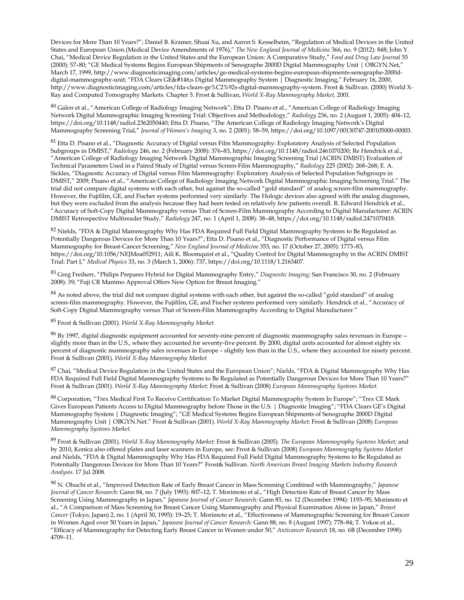Devices for More Than 10 Years?"; Daniel B. Kramer, Shuai Xu, and Aaron S. Kesselheim, "Regulation of Medical Devices in the United States and European Union.(Medical Device Amendments of 1976)," *The New England Journal of Medicine* 366, no. 9 (2012): 848; John Y. Chai, "Medical Device Regulation in the United States and the European Union: A Comparative Study," *Food and Drug Law Journal* 55 (2000): 57–80; "GE Medical Systems Begins European Shipments of Senographe 2000D Digital Mammography Unit | OBGYN.Net," March 17, 1999, http://www.diagnosticimaging.com/articles/ge-medical-systems-begins-european-shipments-senographe-2000ddigital-mammography-unit; "FDA Clears GE's Digital Mammography System | Diagnostic Imaging," February 16, 2000, http://www.diagnosticimaging.com/articles/fda-clears-ge%C2%92s-digital-mammography-system. Frost & Sullivan. (2000) World X-Ray and Computed Tomography Markets. Chapter 5. Frost & Sullivan, *World X-Ray Mammography Market,* 2001.

<sup>80</sup> Galen et al., "American College of Radiology Imaging Network"; Etta D. Pisano et al., "American College of Radiology Imaging Network Digital Mammographic Imaging Screening Trial: Objectives and Methodology," *Radiology* 236, no. 2 (August 1, 2005): 404–12, https://doi.org/10.1148/radiol.2362050440; Etta D. Pisano, "The American College of Radiology Imaging Network's Digital Mammography Screening Trial," *Journal of Women's Imaging* 3, no. 2 (2001): 58–59, https://doi.org/10.1097/00130747-200105000-00003.

<sup>81</sup> Etta D. Pisano et al., "Diagnostic Accuracy of Digital versus Film Mammography: Exploratory Analysis of Selected Population Subgroups in DMIST," *Radiology* 246, no. 2 (February 2008): 376–83, https://doi.org/10.1148/radiol.2461070200; Re Hendrick et al., "American College of Radiology Imaging Network Digital Mammographic Imaging Screening Trial (ACRIN DMIST) Evaluation of Technical Parameters Used in a Paired Study of Digital versus Screen-Film Mammography," *Radiology* 225 (2002): 268–268; E. A. Sickles, "Diagnostic Accuracy of Digital versus Film Mammography: Exploratory Analysis of Selected Population Subgroups in DMIST," 2009; Pisano et al., "American College of Radiology Imaging Network Digital Mammographic Imaging Screening Trial." The trial did not compare digital systems with each other, but against the so-called "gold standard" of analog screen-film mammography. However, the Fujifilm, GE, and Fischer systems performed very similarly. The Hologic devices also agreed with the analog diagnoses, but they were excluded from the analysis because they had been tested on relatively few patients overall. R. Edward Hendrick et al., "Accuracy of Soft-Copy Digital Mammography versus That of Screen-Film Mammography According to Digital Manufacturer: ACRIN DMIST Retrospective Multireader Study," *Radiology* 247, no. 1 (April 1, 2008): 38–48, https://doi.org/10.1148/radiol.2471070418.

82 Nields, "FDA & Digital Mammography Why Has FDA Required Full Field Digital Mammography Systems to Be Regulated as Potentially Dangerous Devices for More Than 10 Years?"; Etta D. Pisano et al., "Diagnostic Performance of Digital versus Film Mammography for Breast-Cancer Screening," *New England Journal of Medicine* 353, no. 17 (October 27, 2005): 1773–83, https://doi.org/10.1056/NEJMoa052911; Aili K. Bloomquist et al., "Quality Control for Digital Mammography in the ACRIN DMIST Trial: Part I," *Medical Physics* 33, no. 3 (March 1, 2006): 737, https://doi.org/10.1118/1.2163407.

<sup>83</sup> Greg Freiherr, "Philips Prepares Hybrid for Digital Mammography Entry," *Diagnostic Imaging;* San Francisco 30, no. 2 (February 2008): 39; "Fuji CR Mammo Approval Offers New Option for Breast Imaging."

 $84$  As noted above, the trial did not compare digital systems with each other, but against the so-called "gold standard" of analog screen-film mammography. However, the Fujifilm, GE, and Fischer systems performed very similarly. Hendrick et al., "Accuracy of Soft-Copy Digital Mammography versus That of Screen-Film Mammography According to Digital Manufacturer."

<sup>85</sup> Frost & Sullivan (2001). *World X-Ray Mammography Market.*

<sup>86</sup> By 1997, digital diagnostic equipment accounted for seventy-nine percent of diagnostic mammography sales revenues in Europe - slightly more than in the U.S., where they accounted for seventy-five percent. By 2000, digital units accounted for almost eighty six percent of diagnostic mammography sales revenues in Europe – slightly less than in the U.S., where they accounted for ninety percent. Frost & Sullivan (2001). *World X-Ray Mammography Market*

87 Chai, "Medical Device Regulation in the United States and the European Union"; Nields, "FDA & Digital Mammography Why Has FDA Required Full Field Digital Mammography Systems to Be Regulated as Potentially Dangerous Devices for More Than 10 Years?" Frost & Sullivan (2001). *World X-Ray Mammography Market;* Frost & Sullivan (2008) *European Mammography Systems Market.*

88 Corporation, "Trex Medical First To Receive Certification To Market Digital Mammography System In Europe"; "Trex CE Mark Gives European Patients Access to Digital Mammography before Those in the U.S. | Diagnostic Imaging"; "FDA Clears GE's Digital Mammography System | Diagnostic Imaging"; "GE Medical Systems Begins European Shipments of Senographe 2000D Digital Mammography Unit | OBGYN.Net." Frost & Sullivan (2001). *World X-Ray Mammography Market;* Frost & Sullivan (2008) *European Mammography Systems Market.*

<sup>89</sup> Frost & Sullivan (2001). *World X-Ray Mammography Market;* Frost & Sullivan (2005). *The European Mammography Systems Market;* and by 2010, Konica also offered plates and laser scanners in Europe, see: Frost & Sullivan (2008) *European Mammography Systems Market* and Nields, "FDA & Digital Mammography Why Has FDA Required Full Field Digital Mammography Systems to Be Regulated as Potentially Dangerous Devices for More Than 10 Years?" Frost& Sullivan. *North American Breast Imaging Markets Industry Research Analysis.* 17 Jul 2008.

<sup>90</sup> N. Ohuchi et al., "Improved Detection Rate of Early Breast Cancer in Mass Screening Combined with Mammography," *Japanese Journal of Cancer Research:* Gann 84, no. 7 (July 1993): 807–12; T. Morimoto et al., "High Detection Rate of Breast Cancer by Mass Screening Using Mammography in Japan," *Japanese Journal of Cancer Research:* Gann 85, no. 12 (December 1994): 1193–95; Morimoto et al., "A Comparison of Mass Screening for Breast Cancer Using Mammography and Physical Examination Alone in Japan," *Breast Cancer* (Tokyo, Japan) 2, no. 1 (April 30, 1995): 19–25; T. Morimoto et al., "Effectiveness of Mammographic Screening for Breast Cancer in Women Aged over 50 Years in Japan," *Japanese Journal of Cancer Research:* Gann 88, no. 8 (August 1997): 778–84; T. Yokoe et al., "Efficacy of Mammography for Detecting Early Breast Cancer in Women under 50," *Anticancer Research* 18, no. 6B (December 1998): 4709–11.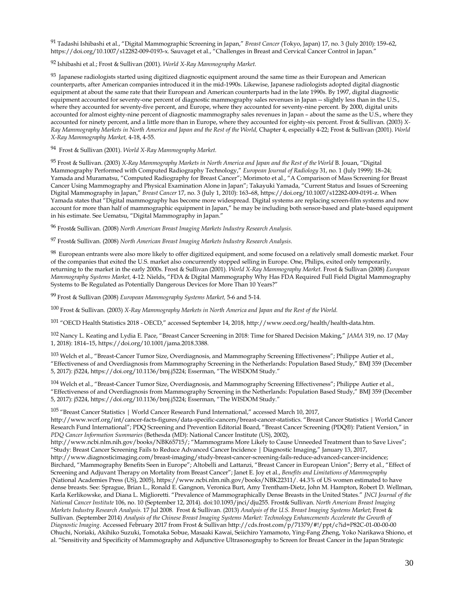91 Tadashi Ishibashi et al., "Digital Mammographic Screening in Japan," *Breast Cancer* (Tokyo, Japan) 17, no. 3 (July 2010): 159–62, https://doi.org/10.1007/s12282-009-0193-x. Sauvaget et al., "Challenges in Breast and Cervical Cancer Control in Japan."

92 Ishibashi et al.; Frost & Sullivan (2001). *World X-Ray Mammography Market.*

 $93$  Japanese radiologists started using digitized diagnostic equipment around the same time as their European and American counterparts, after American companies introduced it in the mid-1990s. Likewise, Japanese radiologists adopted digital diagnostic equipment at about the same rate that their European and American counterparts had in the late 1990s. By 1997, digital diagnostic equipment accounted for seventy-one percent of diagnostic mammography sales revenues in Japan -- slightly less than in the U.S., where they accounted for seventy-five percent, and Europe, where they accounted for seventy-nine percent. By 2000, digital units accounted for almost eighty-nine percent of diagnostic mammography sales revenues in Japan – about the same as the U.S., where they accounted for ninety percent, and a little more than in Europe, where they accounted for eighty-six percent. Frost & Sullivan. (2003) *X-Ray Mammography Markets in North America and Japan and the Rest of the World,* Chapter 4, especially 4-22; Frost & Sullivan (2001). *World X-Ray Mammography Market,* 4-18, 4-55.

94 Frost & Sullivan (2001). *World X-Ray Mammography Market.*

<sup>95</sup> Frost & Sullivan. (2003) *X-Ray Mammography Markets in North America and Japan and the Rest of the World* B. Jouan, "Digital Mammography Performed with Computed Radiography Technology," *European Journal of Radiology* 31, no. 1 (July 1999): 18–24; Yamada and Muramatsu, "Computed Radiography for Breast Cancer"; Morimoto et al., "A Comparison of Mass Screening for Breast Cancer Using Mammography and Physical Examination Alone in Japan"; Takayuki Yamada, "Current Status and Issues of Screening Digital Mammography in Japan," *Breast Cancer* 17, no. 3 (July 1, 2010): 163–68, https://doi.org/10.1007/s12282-009-0191-z. When Yamada states that "Digital mammography has become more widespread. Digital systems are replacing screen-film systems and now account for more than half of mammographic equipment in Japan," he may be including both sensor-based and plate-based equipment in his estimate. See Uematsu, "Digital Mammography in Japan."

<sup>96</sup> Frost& Sullivan. (2008) *North American Breast Imaging Markets Industry Research Analysis.*

<sup>97</sup> Frost& Sullivan. (2008) *North American Breast Imaging Markets Industry Research Analysis.*

<sup>98</sup> European entrants were also more likely to offer digitized equipment, and some focused on a relatively small domestic market. Four of the companies that exited the U.S. market also concurrently stopped selling in Europe. One, Philips, exited only temporarily, returning to the market in the early 2000s. Frost & Sullivan (2001). *World X-Ray Mammography Market.* Frost & Sullivan (2008) *European Mammography Systems Market,* 4-12. Nields, "FDA & Digital Mammography Why Has FDA Required Full Field Digital Mammography Systems to Be Regulated as Potentially Dangerous Devices for More Than 10 Years?"

<sup>99</sup> Frost & Sullivan (2008) *European Mammography Systems Market,* 5-6 and 5-14.

<sup>100</sup> Frost & Sullivan. (2003) *X-Ray Mammography Markets in North America and Japan and the Rest of the World.*

<sup>101</sup> "OECD Health Statistics 2018 - OECD," accessed September 14, 2018, http://www.oecd.org/health/health-data.htm.

<sup>102</sup> Nancy L. Keating and Lydia E. Pace, "Breast Cancer Screening in 2018: Time for Shared Decision Making," *JAMA* 319, no. 17 (May 1, 2018): 1814–15, https://doi.org/10.1001/jama.2018.3388.

103 Welch et al., "Breast-Cancer Tumor Size, Overdiagnosis, and Mammography Screening Effectiveness"; Philippe Autier et al., "Effectiveness of and Overdiagnosis from Mammography Screening in the Netherlands: Population Based Study," BMJ 359 (December 5, 2017): j5224, https://doi.org/10.1136/bmj.j5224; Esserman, "The WISDOM Study."

104 Welch et al., "Breast-Cancer Tumor Size, Overdiagnosis, and Mammography Screening Effectiveness"; Philippe Autier et al., "Effectiveness of and Overdiagnosis from Mammography Screening in the Netherlands: Population Based Study," BMJ 359 (December 5, 2017): j5224, https://doi.org/10.1136/bmj.j5224; Esserman, "The WISDOM Study."

<sup>105</sup> "Breast Cancer Statistics | World Cancer Research Fund International," accessed March 10, 2017,

http://www.wcrf.org/int/cancer-facts-figures/data-specific-cancers/breast-cancer-statistics. "Breast Cancer Statistics | World Cancer Research Fund International"; PDQ Screening and Prevention Editorial Board, "Breast Cancer Screening (PDQ®): Patient Version," in *PDQ Cancer Information Summaries* (Bethesda (MD): National Cancer Institute (US), 2002),

http://www.ncbi.nlm.nih.gov/books/NBK65715/; "Mammograms More Likely to Cause Unneeded Treatment than to Save Lives"; "Study: Breast Cancer Screening Fails to Reduce Advanced Cancer Incidence | Diagnostic Imaging," January 13, 2017, http://www.diagnosticimaging.com/breast-imaging/study-breast-cancer-screening-fails-reduce-advanced-cancer-incidence; Birchard, "Mammography Benefits Seen in Europe"; Altobelli and Lattanzi, "Breast Cancer in European Union"; Berry et al., "Effect of Screening and Adjuvant Therapy on Mortality from Breast Cancer"; Janet E. Joy et al., *Benefits and Limitations of Mammography*  (National Academies Press (US), 2005), https://www.ncbi.nlm.nih.gov/books/NBK22311/. 44.3% of US women estimated to have dense breasts. See: Sprague, Brian L., Ronald E. Gangnon, Veronica Burt, Amy Trentham-Dietz, John M. Hampton, Robert D. Wellman, Karla Kerlikowske, and Diana L. Miglioretti. "Prevalence of Mammographically Dense Breasts in the United States." *JNCI Journal of the National Cancer Institute* 106, no. 10 (September 12, 2014). doi:10.1093/jnci/dju255. Frost& Sullivan. *North American Breast Imaging Markets Industry Research Analysis.* 17 Jul 2008. Frost & Sullivan. (2013) *Analysis of the U.S. Breast Imaging Systems Market*; Frost & Sullivan. (September 2014) *Analysis of the Chinese Breast Imaging Systems Market: Technology Enhancements Accelerate the Growth of Diagnostic Imaging.* Accessed February 2017 from Frost & Sullivan http://cds.frost.com/p/71379/#!/ppt/c?id=P82C-01-00-00-00 Ohuchi, Noriaki, Akihiko Suzuki, Tomotaka Sobue, Masaaki Kawai, Seiichiro Yamamoto, Ying-Fang Zheng, Yoko Narikawa Shiono, et al. "Sensitivity and Specificity of Mammography and Adjunctive Ultrasonography to Screen for Breast Cancer in the Japan Strategic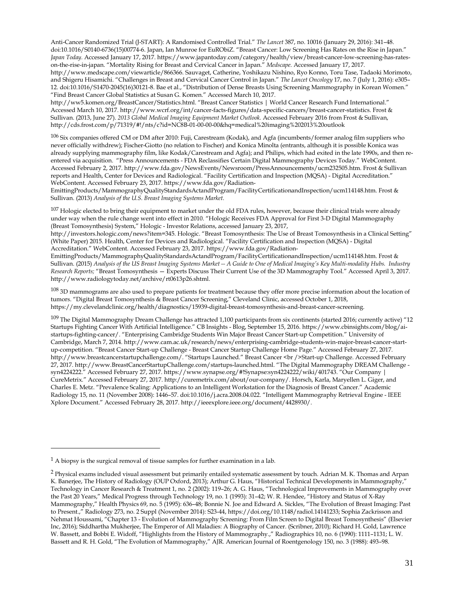Anti-Cancer Randomized Trial (J-START): A Randomised Controlled Trial." *The Lancet* 387, no. 10016 (January 29, 2016): 341–48. doi:10.1016/S0140-6736(15)00774-6. Japan, Ian Munroe for EuRObiZ. "Breast Cancer: Low Screening Has Rates on the Rise in Japan." *Japan Today.* Accessed January 17, 2017. https://www.japantoday.com/category/health/view/breast-cancer-low-screening-has-rateson-the-rise-in-japan. "Mortality Rising for Breast and Cervical Cancer in Japan." *Medscape.* Accessed January 17, 2017. http://www.medscape.com/viewarticle/866366. Sauvaget, Catherine, Yoshikazu Nishino, Ryo Konno, Toru Tase, Tadaoki Morimoto, and Shigeru Hisamichi. "Challenges in Breast and Cervical Cancer Control in Japan." *The Lancet Oncology* 17, no. 7 (July 1, 2016): e305– 12. doi:10.1016/S1470-2045(16)30121-8. Bae et al., "Distribution of Dense Breasts Using Screening Mammography in Korean Women." "Find Breast Cancer Global Statistics at Susan G. Komen." Accessed March 10, 2017.

http://ww5.komen.org/BreastCancer/Statistics.html. "Breast Cancer Statistics | World Cancer Research Fund International." Accessed March 10, 2017. http://www.wcrf.org/int/cancer-facts-figures/data-specific-cancers/breast-cancer-statistics. Frost & Sullivan. (2013, June 27). *2013 Global Medical Imaging Equipment Market Outlook.* Accessed February 2016 from Frost & Sullivan, http://cds.frost.com/p/71319/#!/nts/c?id=NC8B-01-00-00-00&hq=medical%20imaging%202013%20outlook

<sup>106</sup> Six companies offered CM or DM after 2010: Fuji, Carestream (Kodak), and Agfa (incumbents/former analog film suppliers who never officially withdrew); Fischer-Giotto (no relation to Fischer) and Konica Minolta (entrants, although it is possible Konica was already supplying mammography film, like Kodak/Carestream and Agfa); and Philips, which had exited in the late 1990s, and then reentered via acquisition. "Press Announcements - FDA Reclassifies Certain Digital Mammography Devices Today." WebContent. Accessed February 2, 2017. http://www.fda.gov/NewsEvents/Newsroom/PressAnnouncements/ucm232505.htm. Frost & Sullivan reports and Health, Center for Devices and Radiological. "Facility Certification and Inspection (MQSA) - Digital Accreditation." WebContent. Accessed February 23, 2017. https://www.fda.gov/Radiation-

EmittingProducts/MammographyQualityStandardsActandProgram/FacilityCertificationandInspection/ucm114148.htm. Frost & Sullivan. (2013) *Analysis of the U.S. Breast Imaging Systems Market*.

 $107$  Hologic elected to bring their equipment to market under the old FDA rules, however, because their clinical trials were already under way when the rule change went into effect in 2010. "Hologic Receives FDA Approval for First 3-D Digital Mammography (Breast Tomosynthesis) System," Hologic - Investor Relations, accessed January 23, 2017,

http://investors.hologic.com/news?item=345. Hologic. "Breast Tomosynthesis: The Use of Breast Tomosynthesis in a Clinical Setting" (White Paper) 2015. Health, Center for Devices and Radiological. "Facility Certification and Inspection (MQSA) - Digital Accreditation." WebContent. Accessed February 23, 2017. https://www.fda.gov/Radiation-

EmittingProducts/MammographyQualityStandardsActandProgram/FacilityCertificationandInspection/ucm114148.htm. Frost & Sullivan. (2015) *Analysis of the US Breast Imaging Systems Market -- A Guide to One of Medical Imaging's Key Multi-modality Hubs. Industry Research Reports;* "Breast Tomosynthesis — Experts Discuss Their Current Use of the 3D Mammography Tool." Accessed April 3, 2017. http://www.radiologytoday.net/archive/rt0613p26.shtml.

108 3D mammograms are also used to prepare patients for treatment because they offer more precise information about the location of tumors. "Digital Breast Tomosynthesis & Breast Cancer Screening," Cleveland Clinic, accessed October 1, 2018, https://my.clevelandclinic.org/health/diagnostics/15939-digital-breast-tomosynthesis-and-breast-cancer-screening.

 $^{109}$  The Digital Mammography Dream Challenge has attracted 1,100 participants from six continents (started 2016; currently active) "12 Startups Fighting Cancer With Artificial Intelligence." CB Insights - Blog, September 15, 2016. https://www.cbinsights.com/blog/aistartups-fighting-cancer/. "Enterprising Cambridge Students Win Major Breast Cancer Start-up Competition." University of Cambridge, March 7, 2014. http://www.cam.ac.uk/research/news/enterprising-cambridge-students-win-major-breast-cancer-startup-competition. "Breast Cancer Start-up Challenge - Breast Cancer Startup Challenge Home Page." Accessed February 27, 2017. http://www.breastcancerstartupchallenge.com/. "Startups Launched." Breast Cancer <br />Start-up Challenge. Accessed February 27, 2017. http://www.BreastCancerStartupChallenge.com/startups-launched.html. "The Digital Mammography DREAM Challenge syn4224222." Accessed February 27, 2017. https://www.synapse.org/#!Synapse:syn4224222/wiki/401743. "Our Company | CureMetrix." Accessed February 27, 2017. http://curemetrix.com/about/our-company/. Horsch, Karla, Maryellen L. Giger, and Charles E. Metz. "Prevalence Scaling: Applications to an Intelligent Workstation for the Diagnosis of Breast Cancer." Academic Radiology 15, no. 11 (November 2008): 1446–57. doi:10.1016/j.acra.2008.04.022. "Intelligent Mammography Retrieval Engine - IEEE Xplore Document." Accessed February 28, 2017. http://ieeexplore.ieee.org/document/4428930/.

**.** 

 $<sup>1</sup>$  A biopsy is the surgical removal of tissue samples for further examination in a lab.</sup>

<sup>2</sup> Physical exams included visual assessment but primarily entailed systematic assessment by touch. Adrian M. K. Thomas and Arpan K. Banerjee, The History of Radiology (OUP Oxford, 2013); Arthur G. Haus, "Historical Technical Developments in Mammography," Technology in Cancer Research & Treatment 1, no. 2 (2002): 119–26; A. G. Haus, "Technological Improvements in Mammography over the Past 20 Years," Medical Progress through Technology 19, no. 1 (1993): 31–42; W. R. Hendee, "History and Status of X-Ray Mammography," Health Physics 69, no. 5 (1995): 636–48; Bonnie N. Joe and Edward A. Sickles, "The Evolution of Breast Imaging: Past to Present.," Radiology 273, no. 2 Suppl (November 2014): S23-44, https://doi.org/10.1148/radiol.14141233; Sophia Zackrisson and Nehmat Houssami, "Chapter 13 - Evolution of Mammography Screening: From Film Screen to Digital Breast Tomosynthesis" (Elsevier Inc, 2016); Siddhartha Mukherjee, The Emperor of All Maladies: A Biography of Cancer. (Scribner, 2010); Richard H. Gold, Lawrence W. Bassett, and Bobbi E. Widoff, "Highlights from the History of Mammography.," Radiographics 10, no. 6 (1990): 1111–1131; L. W. Bassett and R. H. Gold, "The Evolution of Mammography," AJR. American Journal of Roentgenology 150, no. 3 (1988): 493–98.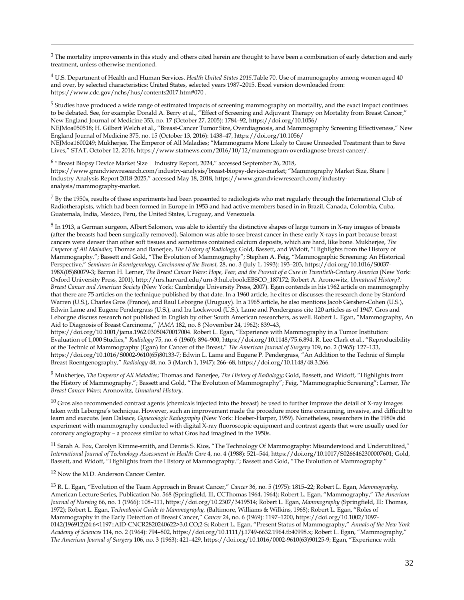$3$  The mortality improvements in this study and others cited herein are thought to have been a combination of early detection and early treatment, unless otherwise mentioned.

<sup>4</sup> U.S. Department of Health and Human Services. *Health United States 2015.*Table 70. Use of mammography among women aged 40 and over, by selected characteristics: United States, selected years 1987–2015. Excel version downloaded from: https://www.cdc.gov/nchs/hus/contents2017.htm#070 .

 $5$  Studies have produced a wide range of estimated impacts of screening mammography on mortality, and the exact impact continues to be debated. See, for example: Donald A. Berry et al., "Effect of Screening and Adjuvant Therapy on Mortality from Breast Cancer," New England Journal of Medicine 353, no. 17 (October 27, 2005): 1784–92, https://doi.org/10.1056/ NEJMoa050518; H. Gilbert Welch et al., "Breast-Cancer Tumor Size, Overdiagnosis, and Mammography Screening Effectiveness," New England Journal of Medicine 375, no. 15 (October 13, 2016): 1438–47, https://doi.org/10.1056/ NEJMoa1600249; Mukherjee, The Emperor of All Maladies; "Mammograms More Likely to Cause Unneeded Treatment than to Save Lives," STAT, October 12, 2016, https://www.statnews.com/2016/10/12/mammogram-overdiagnose-breast-cancer/.

<sup>6</sup> "Breast Biopsy Device Market Size | Industry Report, 2024," accessed September 26, 2018, https://www.grandviewresearch.com/industry-analysis/breast-biopsy-device-market; "Mammography Market Size, Share | Industry Analysis Report 2018-2025," accessed May 18, 2018, https://www.grandviewresearch.com/industryanalysis/mammography-market.

 $7$  By the 1950s, results of these experiments had been presented to radiologists who met regularly through the International Club of Radiotherapists, which had been formed in Europe in 1953 and had active members based in in Brazil, Canada, Colombia, Cuba, Guatemala, India, Mexico, Peru, the United States, Uruguay, and Venezuela.

8 In 1913, a German surgeon, Albert Salomon, was able to identify the distinctive shapes of large tumors in X-ray images of breasts (after the breasts had been surgically removed). Salomon was able to see breast cancer in these early X-rays in part because breast cancers were denser than other soft tissues and sometimes contained calcium deposits, which are hard, like bone. Mukherjee, *The Emperor of All Maladies*; Thomas and Banerjee, *The History of Radiology;* Gold, Bassett, and Widoff, "Highlights from the History of Mammography."; Bassett and Gold, "The Evolution of Mammography"; Stephen A. Feig, "Mammographic Screening: An Historical Perspective," *Seminars in Roentgenology, Carcinoma of the Breast,* 28, no. 3 (July 1, 1993): 193–203, https://doi.org/10.1016/S0037- 198X(05)80079-3; Barron H. Lerner, *The Breast Cancer Wars: Hope, Fear, and the Pursuit of a Cure in Twentieth-Century America* (New York: Oxford University Press, 2001), http://nrs.harvard.edu/urn-3:hul.ebook:EBSCO\_187172; Robert A. Aronowitz, *Unnatural History?: Breast Cancer and American Society* (New York: Cambridge University Press, 2007). Egan contends in his 1962 article on mammography that there are 75 articles on the technique published by that date. In a 1960 article, he cites or discusses the research done by Stanford Warren (U.S.), Charles Gros (France), and Raul Leborgne (Uruguay). In a 1965 article, he also mentions Jacob Gershen-Cohen (U.S.), Edwin Lame and Eugene Pendergrass (U.S.), and Ira Lockwood (U.S.). Lame and Pendergrass cite 120 articles as of 1947. Gros and Leborgne discuss research not published in English by other South American researchers, as well. Robert L. Egan, "Mammography, An Aid to Diagnosis of Breast Carcinoma," *JAMA* 182, no. 8 (November 24, 1962): 839–43,

https://doi.org/10.1001/jama.1962.03050470017004. Robert L. Egan, "Experience with Mammography in a Tumor Institution: Evaluation of 1,000 Studies," *Radiology* 75, no. 6 (1960): 894–900, https://doi.org/10.1148/75.6.894. R. Lee Clark et al., "Reproducibility of the Technic of Mammography (Egan) for Cancer of the Breast," *The American Journal of Surgery* 109, no. 2 (1965): 127–133, https://doi.org/10.1016/S0002-9610(65)80133-7; Edwin L. Lame and Eugene P. Pendergrass, "An Addition to the Technic of Simple Breast Roentgenography," *Radiology* 48, no. 3 (March 1, 1947): 266–68, https://doi.org/10.1148/48.3.266.

<sup>9</sup> Mukherjee, *The Emperor of All Maladies*; Thomas and Banerjee, *The History of Radiology*; Gold, Bassett, and Widoff, "Highlights from the History of Mammography."; Bassett and Gold, "The Evolution of Mammography"; Feig, "Mammographic Screening"; Lerner, *The Breast Cancer Wars*; Aronowitz, *Unnatural History*.

 $10$  Gros also recommended contrast agents (chemicals injected into the breast) be used to further improve the detail of X-ray images taken with Leborgne's technique. However, such an improvement made the procedure more time consuming, invasive, and difficult to learn and execute. Jean Dalsace*, Gynecologic Radiography* (New York: Hoeber-Harper, 1959). Nonetheless, researchers in the 1980s did experiment with mammography conducted with digital X-ray fluoroscopic equipment and contrast agents that were usually used for coronary angiography – a process similar to what Gros had imagined in the 1950s.

<sup>11</sup> Sarah A. Fox, Carolyn Kimme-smith, and Dennis S. Kios, "The Technology Of Mammography: Misunderstood and Underutilized," *International Journal of Technology Assessment in Health Care* 4, no. 4 (1988): 521–544, https://doi.org/10.1017/S0266462300007601; Gold, Bassett, and Widoff, "Highlights from the History of Mammography."; Bassett and Gold, "The Evolution of Mammography."

<span id="page-34-1"></span><span id="page-34-0"></span><sup>12</sup> Now the M.D. Anderson Cancer Center.

 $\overline{a}$ 

<sup>13</sup> R. L. Egan, "Evolution of the Team Approach in Breast Cancer," *Cancer* 36, no. 5 (1975): 1815–22; Robert L. Egan, *Mammography,* American Lecture Series, Publication No. 568 (Springfield, Ill, CCThomas 1964, 1964); Robert L. Egan, "Mammography," *The American Journal of Nursing* 66, no. 1 (1966): 108–111, https://doi.org/10.2307/3419514; Robert L. Egan, *Mammography* (Springfield, Ill: Thomas, 1972); Robert L. Egan, *Technologist Guide to Mammography,* (Baltimore, Williams & Wilkins, 1968); Robert L. Egan, "Roles of Mammography in the Early Detection of Breast Cancer," *Cancer* 24, no. 6 (1969): 1197–1200, https://doi.org/10.1002/1097- 0142(196912)24:6<1197::AID-CNCR2820240622>3.0.CO;2-S; Robert L. Egan, "Present Status of Mammography," *Annals of the New York Academy of Sciences* 114, no. 2 (1964): 794–802, https://doi.org/10.1111/j.1749-6632.1964.tb40998.x; Robert L. Egan, "Mammography," *The American Journal of Surgery* 106, no. 3 (1963): 421–429, https://doi.org/10.1016/0002-9610(63)90125-9; Egan, "Experience with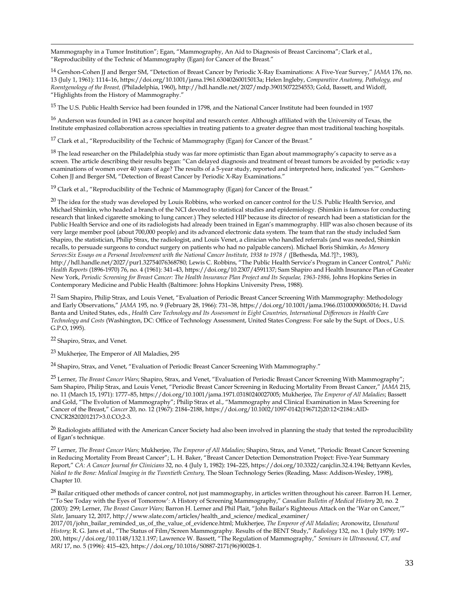<span id="page-35-0"></span> $\overline{a}$ Mammography in a Tumor Institution"; Egan, "Mammography, An Aid to Diagnosis of Breast Carcinoma"; Clark et al., "Reproducibility of the Technic of Mammography (Egan) for Cancer of the Breast."

<span id="page-35-1"></span><sup>14</sup> Gershon-Cohen JJ and Berger SM, "Detection of Breast Cancer by Periodic X-Ray Examinations: A Five-Year Survey," *JAMA* 176, no. 13 (July 1, 1961): 1114–16, https://doi.org/10.1001/jama.1961.63040260015013a; Helen Ingleby, *Comparative Anatomy, Pathology, and Roentgenology of the Breast,* (Philadelphia, 1960), http://hdl.handle.net/2027/mdp.39015072254553; Gold, Bassett, and Widoff, "Highlights from the History of Mammography."

<span id="page-35-2"></span><sup>15</sup> The U.S. Public Health Service had been founded in 1798, and the National Cancer Institute had been founded in 1937

 $16$  Anderson was founded in 1941 as a cancer hospital and research center. Although affiliated with the University of Texas, the Institute emphasized collaboration across specialties in treating patients to a greater degree than most traditional teaching hospitals.

<sup>17</sup> Clark et al., "Reproducibility of the Technic of Mammography (Egan) for Cancer of the Breast."

<span id="page-35-3"></span> $18$  The lead researcher on the Philadelphia study was far more optimistic than Egan about mammography's capacity to serve as a screen. The article describing their results began: "Can delayed diagnosis and treatment of breast tumors be avoided by periodic x-ray examinations of women over 40 years of age? The results of a 5-year study, reported and interpreted here, indicated 'yes.'" Gershon-Cohen JJ and Berger SM, "Detection of Breast Cancer by Periodic X-Ray Examinations."

<sup>19</sup> Clark et al., "Reproducibility of the Technic of Mammography (Egan) for Cancer of the Breast."

<span id="page-35-5"></span><span id="page-35-4"></span><sup>20</sup> The idea for the study was developed by Louis Robbins, who worked on cancer control for the U.S. Public Health Service, and Michael Shimkin, who headed a branch of the NCI devoted to statistical studies and epidemiology. (Shimkin is famous for conducting research that linked cigarette smoking to lung cancer.) They selected HIP because its director of research had been a statistician for the Public Health Service and one of its radiologists had already been trained in Egan's mammography. HIP was also chosen because of its very large member pool (about 700,000 people) and its advanced electronic data system. The team that ran the study included Sam Shapiro, the statistician, Philip Strax, the radiologist, and Louis Venet, a clinician who handled referrals (and was needed, Shimkin recalls, to persuade surgeons to conduct surgery on patients who had no palpable cancers). Michael Boris Shimkin, *As Memory Serves:Six Essays on a Personal Involvement with the National Cancer Institute, 1938 to 1978* / ([Bethesda, Md.?]?:, 1983), http://hdl.handle.net/2027/pur1.32754076368780; Lewis C. Robbins, "The Public Health Service's Program in Cancer Control," *Public Health Reports* (1896-1970) 76, no. 4 (1961): 341–43, https://doi.org/10.2307/4591137; Sam Shapiro and Health Insurance Plan of Greater New York, Periodic Screening for Breast Cancer: The Health Insurance Plan Project and Its Sequelae, 1963-1986, Johns Hopkins Series in Contemporary Medicine and Public Health (Baltimore: Johns Hopkins University Press, 1988).

<sup>21</sup> Sam Shapiro, Philip Strax, and Louis Venet, "Evaluation of Periodic Breast Cancer Screening With Mammography: Methodology and Early Observations," *JAMA* 195, no. 9 (February 28, 1966): 731–38, https://doi.org/10.1001/jama.1966.03100090065016; H. David Banta and United States, eds., *Health Care Technology and Its Assessment in Eight Countries, International Differences in Health Care Technology and Costs* (Washington, DC: Office of Technology Assessment, United States Congress: For sale by the Supt. of Docs., U.S. G.P.O, 1995).

<sup>22</sup> Shapiro, Strax, and Venet.

<sup>23</sup> Mukherjee, The Emperor of All Maladies, 295

<sup>24</sup> Shapiro, Strax, and Venet, "Evaluation of Periodic Breast Cancer Screening With Mammography."

<span id="page-35-7"></span><span id="page-35-6"></span><sup>25</sup> Lerner, *The Breast Cancer Wars*; Shapiro, Strax, and Venet, "Evaluation of Periodic Breast Cancer Screening With Mammography"; Sam Shapiro, Philip Strax, and Louis Venet, "Periodic Breast Cancer Screening in Reducing Mortality From Breast Cancer," *JAMA* 215, no. 11 (March 15, 1971): 1777–85, https://doi.org/10.1001/jama.1971.03180240027005; Mukherjee, *The Emperor of All Maladies*; Bassett and Gold, "The Evolution of Mammography"; Philip Strax et al., "Mammography and Clinical Examination in Mass Screening for Cancer of the Breast," *Cancer* 20, no. 12 (1967): 2184–2188, https://doi.org/10.1002/1097-0142(196712)20:12<2184::AID-CNCR2820201217>3.0.CO;2-3.

 $^{26}$  Radiologists affiliated with the American Cancer Society had also been involved in planning the study that tested the reproducibility of Egan's technique.

<span id="page-35-8"></span><sup>27</sup> Lerner, *The Breast Cancer Wars;* Mukherjee, *The Emperor of All Maladies*; Shapiro, Strax, and Venet, "Periodic Breast Cancer Screening in Reducing Mortality From Breast Cancer"; L. H. Baker, "Breast Cancer Detection Demonstration Project: Five-Year Summary Report," *CA: A Cancer Journal for Clinicians* 32, no. 4 (July 1, 1982): 194–225, https://doi.org/10.3322/canjclin.32.4.194; Bettyann Kevles, *Naked to the Bone: Medical Imaging in the Twentieth Century,* The Sloan Technology Series (Reading, Mass: Addison-Wesley, 1998), Chapter 10.

<span id="page-35-10"></span><span id="page-35-9"></span><sup>28</sup> Bailar critiqued other methods of cancer control, not just mammography, in articles written throughout his career. Barron H. Lerner, "'To See Today with the Eyes of Tomorrow': A History of Screening Mammography," *Canadian Bulletin of Medical History* 20, no. 2 (2003): 299; Lerner, *The Breast Cancer Wars;* Barron H. Lerner and Phil Plait, "John Bailar's Righteous Attack on the 'War on Cancer,'" *Slate,* January 12, 2017, http://www.slate.com/articles/health\_and\_science/medical\_examiner/

2017/01/john\_bailar\_reminded\_us\_of\_the\_value\_of\_evidence.html; Mukherjee, *The Emperor of All Maladies*; Aronowitz, *Unnatural History;* R. G. Jans et al., "The Status of Film/Screen Mammography. Results of the BENT Study," *Radiology* 132, no. 1 (July 1979): 197– 200, https://doi.org/10.1148/132.1.197; Lawrence W. Bassett, "The Regulation of Mammography," *Seminars in Ultrasound, CT, and MRI* 17, no. 5 (1996): 415–423, https://doi.org/10.1016/S0887-2171(96)90028-1.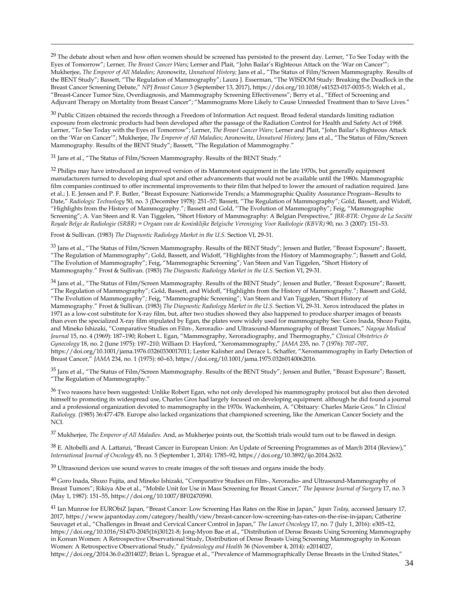<span id="page-36-0"></span><sup>29</sup> The debate about when and how often women should be screened has persisted to the present day. Lerner, "To See Today with the Eyes of Tomorrow"; Lerner*, The Breast Cancer Wars*; Lerner and Plait, "John Bailar's Righteous Attack on the 'War on Cancer'"; Mukherjee, *The Emperor of All Maladies*; Aronowitz, *Unnatural History;* Jans et al., "The Status of Film/Screen Mammography. Results of the BENT Study"; Bassett, "The Regulation of Mammography"; Laura J. Esserman, "The WISDOM Study: Breaking the Deadlock in the Breast Cancer Screening Debate," *NPJ Breast Cancer* 3 (September 13, 2017), https://doi.org/10.1038/s41523-017-0035-5; Welch et al., "Breast-Cancer Tumor Size, Overdiagnosis, and Mammography Screening Effectiveness"; Berry et al., "Effect of Screening and Adjuvant Therapy on Mortality from Breast Cancer"; "Mammograms More Likely to Cause Unneeded Treatment than to Save Lives."

<span id="page-36-2"></span><span id="page-36-1"></span><sup>30</sup> Public Citizen obtained the records through a Freedom of Information Act request. Broad federal standards limiting radiation exposure from electronic products had been developed after the passage of the Radiation Control for Health and Safety Act of 1968. Lerner, "To See Today with the Eyes of Tomorrow"; Lerner, *The Breast Cancer Wars;* Lerner and Plait, "John Bailar's Righteous Attack on the 'War on Cancer'"; Mukherjee, *The Emperor of All Maladies*; Aronowitz, *Unnatural History;* Jans et al., "The Status of Film/Screen Mammography. Results of the BENT Study"; Bassett, "The Regulation of Mammography."

<span id="page-36-4"></span><span id="page-36-3"></span><sup>31</sup> Jans et al., "The Status of Film/Screen Mammography. Results of the BENT Study."

 $\overline{a}$ 

<span id="page-36-6"></span><span id="page-36-5"></span><sup>32</sup> Philips may have introduced an improved version of its Mammotest equipment in the late 1970s, but generally equipment manufacturers turned to developing dual spot and other advancements that would not be available until the 1980s. Mammographic film companies continued to offer incremental improvements to their film that helped to lower the amount of radiation required. Jans et al.; J. E. Jensen and P. F. Butler, "Breast Exposure: Nationwide Trends; a Mammographic Quality Assurance Program--Results to Date," *Radiologic Technology* 50, no. 3 (December 1978): 251–57; Bassett, "The Regulation of Mammography"; Gold, Bassett, and Widoff, "Highlights from the History of Mammography."; Bassett and Gold, "The Evolution of Mammography"; Feig, "Mammographic Screening"; A. Van Steen and R. Van Tiggelen, "Short History of Mammography: A Belgian Perspective," *JBR-BTR: Organe de La Société Royale Belge de Radiologie (SRBR) = Orgaan van de Koninklijke Belgische Vereniging Voor Radiologie (KBVR)* 90, no. 3 (2007): 151–53.

Frost & Sullivan. (1983) *The Diagnostic Radiology Market in the U.S.* Section VI, 29-31.

<sup>33</sup> Jans et al., "The Status of Film/Screen Mammography. Results of the BENT Study"; Jensen and Butler, "Breast Exposure"; Bassett, "The Regulation of Mammography"; Gold, Bassett, and Widoff, "Highlights from the History of Mammography."; Bassett and Gold, "The Evolution of Mammography"; Feig, "Mammographic Screening"; Van Steen and Van Tiggelen, "Short History of Mammography." Frost & Sullivan. (1983) *The Diagnostic Radiology Market in the U.S.* Section VI, 29-31.

<span id="page-36-7"></span> $34$  Jans et al., "The Status of Film/Screen Mammography. Results of the BENT Study"; Jensen and Butler, "Breast Exposure"; Bassett, "The Regulation of Mammography"; Gold, Bassett, and Widoff, "Highlights from the History of Mammography."; Bassett and Gold, "The Evolution of Mammography"; Feig, "Mammographic Screening"; Van Steen and Van Tiggelen, "Short History of Mammography." Frost & Sullivan. (1983) *The Diagnostic Radiology Market in the U.S.* Section VI, 29-31. Xerox introduced the plates in 1971 as a low-cost substitute for X-ray film, but, after two studies showed they also happened to produce sharper images of breasts than even the specialized X-ray film stipulated by Egan, the plates were widely used for mammography See: Goro Inada, Shozo Fujita, and Mineko Ishizaki, "Comparative Studies on Film-, Xeroradio- and Ultrasound-Mammography of Breast Tumors," *Nagoya Medical Journal* 15, no. 4 (1969): 187–190; Robert L. Egan, "Mammography, Xeroradiography, and Thermography," *Clinical Obstetrics & Gynecology* 18, no. 2 (June 1975): 197–210; William D. Hayford, "Xeromammography," *JAMA* 235, no. 7 (1976): 707–707, https://doi.org/10.1001/jama.1976.03260330017011; Lester Kalisher and Derace L. Schaffer, "Xeromammography in Early Detection of Breast Cancer," *JAMA* 234, no. 1 (1975): 60–63, https://doi.org/10.1001/jama.1975.03260140062016.

<span id="page-36-11"></span><span id="page-36-10"></span><span id="page-36-9"></span><span id="page-36-8"></span><sup>35</sup> Jans et al., "The Status of Film/Screen Mammography. Results of the BENT Study"; Jensen and Butler, "Breast Exposure"; Bassett, "The Regulation of Mammography."

<sup>36</sup> Two reasons have been suggested: Unlike Robert Egan, who not only developed his mammography protocol but also then devoted himself to promoting its widespread use, Charles Gros had largely focused on developing equipment. although he did found a journal and a professional organization devoted to mammography in the 1970s. Wackenheim, A. "Obituary: Charles Marie Gros." In *Clinical Radiology.* (1985) 36:477-478. Europe also lacked organizations that championed screening, like the American Cancer Society and the NCI.

<span id="page-36-12"></span><sup>37</sup> Mukherjee, *The Emperor of All Maladies.* And, as Mukherjee points out, the Scottish trials would turn out to be flawed in design.

<span id="page-36-13"></span><sup>38</sup> E. Altobelli and A. Lattanzi, "Breast Cancer in European Union: An Update of Screening Programmes as of March 2014 (Review)," *International Journal of Oncology* 45, no. 5 (September 1, 2014): 1785–92, https://doi.org/10.3892/ijo.2014.2632.

<sup>39</sup> Ultrasound devices use sound waves to create images of the soft tissues and organs inside the body.

<span id="page-36-14"></span><sup>40</sup> Goro Inada, Shozo Fujita, and Mineko Ishizaki, "Comparative Studies on Film-, Xeroradio- and Ultrasound-Mammography of Breast Tumors"; Rikiya Abe et al., "Mobile Unit for Use in Mass Screening for Breast Cancer," *The Japanese Journal of Surgery* 17, no. 3 (May 1, 1987): 151–55, https://doi.org/10.1007/BF02470590.

<sup>41</sup> Ian Munroe for EURObiZ Japan, "Breast Cancer: Low Screening Has Rates on the Rise in Japan," *Japan Today,* accessed January 17, 2017, https://www.japantoday.com/category/health/view/breast-cancer-low-screening-has-rates-on-the-rise-in-japan; Catherine Sauvaget et al., "Challenges in Breast and Cervical Cancer Control in Japan," *The Lancet Oncology* 17, no. 7 (July 1, 2016): e305–12, https://doi.org/10.1016/S1470-2045(16)30121-8; Jong-Myon Bae et al., "Distribution of Dense Breasts Using Screening Mammography in Korean Women: A Retrospective Observational Study, Distribution of Dense Breasts Using Screening Mammography in Korean Women: A Retrospective Observational Study," *Epidemiology and Health* 36 (November 4, 2014): e2014027,

https://doi.org/2014.36.0.e2014027; Brian L. Sprague et al., "Prevalence of Mammographically Dense Breasts in the United States,"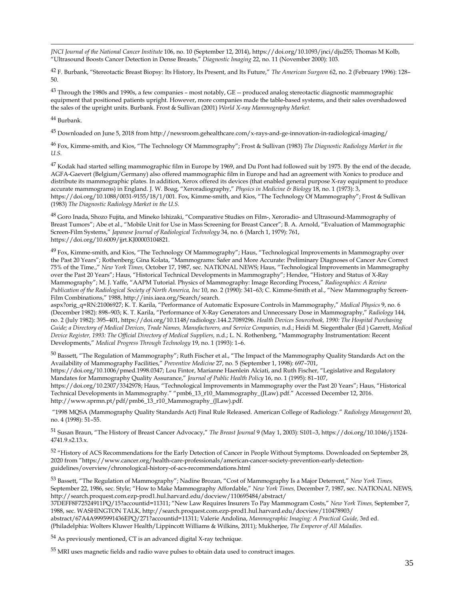<span id="page-37-0"></span>*JNCI Journal of the National Cancer Institute* 106, no. 10 (September 12, 2014), https://doi.org/10.1093/jnci/dju255; Thomas M Kolb, "Ultrasound Boosts Cancer Detection in Dense Breasts," *Diagnostic Imaging* 22, no. 11 (November 2000): 103.

<sup>42</sup> F. Burbank, "Stereotactic Breast Biopsy: Its History, Its Present, and Its Future," *The American Surgeon* 62, no. 2 (February 1996): 128– 50.

 $43$  Through the 1980s and 1990s, a few companies – most notably, GE –- produced analog stereotactic diagnostic mammographic equipment that positioned patients upright. However, more companies made the table-based systems, and their sales overshadowed the sales of the upright units. Burbank. Frost & Sullivan (2001) *World X-ray Mammography Market.*

#### <span id="page-37-1"></span><sup>44</sup> Burbank.

 $\overline{a}$ 

<sup>45</sup> Downloaded on June 5, 2018 from http://newsroom.gehealthcare.com/x-rays-and-ge-innovation-in-radiological-imaging/

<sup>46</sup> Fox, Kimme-smith, and Kios, "The Technology Of Mammography"; Frost & Sullivan (1983) *The Diagnostic Radiology Market in the U.S.*

<span id="page-37-3"></span><span id="page-37-2"></span> $^{47}$  Kodak had started selling mammographic film in Europe by 1969, and Du Pont had followed suit by 1975. By the end of the decade, AGFA-Gaevert (Belgium/Germany) also offered mammographic film in Europe and had an agreement with Xonics to produce and distribute its mammographic plates. In addition, Xerox offered its devices (that enabled general purpose X-ray equipment to produce accurate mammograms) in England. J. W. Boag, "Xeroradiography," *Physics in Medicine & Biology* 18, no. 1 (1973): 3, https://doi.org/10.1088/0031-9155/18/1/001. Fox, Kimme-smith, and Kios, "The Technology Of Mammography"; Frost & Sullivan (1983) *The Diagnostic Radiology Market in the U.S.*

<sup>48</sup> Goro Inada, Shozo Fujita, and Mineko Ishizaki, "Comparative Studies on Film-, Xeroradio- and Ultrasound-Mammography of Breast Tumors"; Abe et al., "Mobile Unit for Use in Mass Screening for Breast Cancer"; B. A. Arnold, "Evaluation of Mammographic Screen-Film Systems," *Japanese Journal of Radiological Technology* 34, no. 6 (March 1, 1979): 761, https://doi.org/10.6009/jjrt.KJ00003104821.

<span id="page-37-4"></span><sup>49</sup> Fox, Kimme-smith, and Kios, "The Technology Of Mammography"; Haus, "Technological Improvements in Mammography over the Past 20 Years"; Rothenberg; Gina Kolata, "Mammograms: Safer and More Accurate: Preliminary Diagnoses of Cancer Are Correct 75% of the Time.," *New York Times,* October 17, 1987, sec. NATIONAL NEWS; Haus, "Technological Improvements in Mammography over the Past 20 Years"; Haus, "Historical Technical Developments in Mammography"; Hendee, "History and Status of X-Ray Mammography"; M. J. Yaffe, "AAPM Tutorial. Physics of Mammography: Image Recording Process," *Radiographics: A Review Publication of the Radiological Society of North America, Inc* 10, no. 2 (1990): 341–63; C. Kimme-Smith et al., "New Mammography Screen-Film Combinations," 1988, http://inis.iaea.org/Search/search.

<span id="page-37-5"></span>aspx?orig\_q=RN:21006927; K. T. Karila, "Performance of Automatic Exposure Controls in Mammography," *Medical Physics* 9, no. 6 (December 1982): 898–903; K. T. Karila, "Performance of X-Ray Generators and Unnecessary Dose in Mammography," *Radiology* 144, no. 2 (July 1982): 395–401, https://doi.org/10.1148/radiology.144.2.7089296. *Health Devices Sourcebook, 1990: The Hospital Purchasing*  Guide; a Directory of Medical Devices, Trade Names, Manufacturers, and Service Companies, n.d.; Heidi M. Siegenthaler (Ed) Garrett, Medical *Device Register, 1993: The Official Directory of Medical Suppliers,* n.d.; L. N. Rothenberg, "Mammography Instrumentation: Recent Developments," *Medical Progress Through Technology* 19, no. 1 (1993): 1–6.

<span id="page-37-6"></span><sup>50</sup> Bassett, "The Regulation of Mammography"; Ruth Fischer et al., "The Impact of the Mammography Quality Standards Act on the Availability of Mammography Facilities," *Preventive Medicine* 27, no. 5 (September 1, 1998): 697–701, https://doi.org/10.1006/pmed.1998.0347; Lou Fintor, Marianne Haenlein Alciati, and Ruth Fischer, "Legislative and Regulatory Mandates for Mammography Quality Assurance," *Journal of Public Health Policy* 16, no. 1 (1995): 81–107, https://doi.org/10.2307/3342978; Haus, "Technological Improvements in Mammography over the Past 20 Years"; Haus, "Historical Technical Developments in Mammography." "pmb6\_13\_r10\_Mammography\_(JLaw).pdf." Accessed December 12, 2016.

"1998 MQSA (Mammography Quality Standards Act) Final Rule Released. American College of Radiology." *Radiology Management* 20, no. 4 (1998): 51–55.

<span id="page-37-8"></span><sup>51</sup> Susan Braun, "The History of Breast Cancer Advocacy," *The Breast Journal* 9 (May 1, 2003): S101–3, https://doi.org/10.1046/j.1524- 4741.9.s2.13.x.

<span id="page-37-9"></span><sup>52</sup> "History of ACS Recommendations for the Early Detection of Cancer in People Without Symptoms. Downloaded on September 28, 2020 from "https://www.cancer.org/health-care-professionals/american-cancer-society-prevention-early-detectionguidelines/overview/chronological-history-of-acs-recommendations.html

<span id="page-37-12"></span><span id="page-37-11"></span><span id="page-37-10"></span><sup>53</sup> Bassett, "The Regulation of Mammography"; Nadine Brozan, "Cost of Mammography Is a Major Deterrent," *New York Times,*  September 22, 1986, sec. Style; "How to Make Mammography Affordable," *New York Times,* December 7, 1987, sec. NATIONAL NEWS, http://search.proquest.com.ezp-prod1.hul.harvard.edu/docview/110695484/abstract/ 37DEFF8F72524911PQ/15?accountid=11311; "New Law Requires Insurers To Pay Mammogram Costs," *New York Times,* September 7, 1988, sec. WASHINGTON TALK, http://search.proquest.com.ezp-prod1.hul.harvard.edu/docview/110478903/ abstract/67A4A9995991436EPQ/271?accountid=11311; Valerie Andolina, *Mammographic Imaging: A Practical Guide,* 3rd ed. (Philadelphia: Wolters Kluwer Health/Lippincott Williams & Wilkins, 2011); Mukherjee, *The Emperor of All Maladies.*

<sup>54</sup> As previously mentioned, CT is an advanced digital X-ray technique.

<span id="page-37-7"></span>http://www.sprmn.pt/pdf/pmb6\_13\_r10\_Mammography\_(JLaw).pdf.

<sup>55</sup> MRI uses magnetic fields and radio wave pulses to obtain data used to construct images.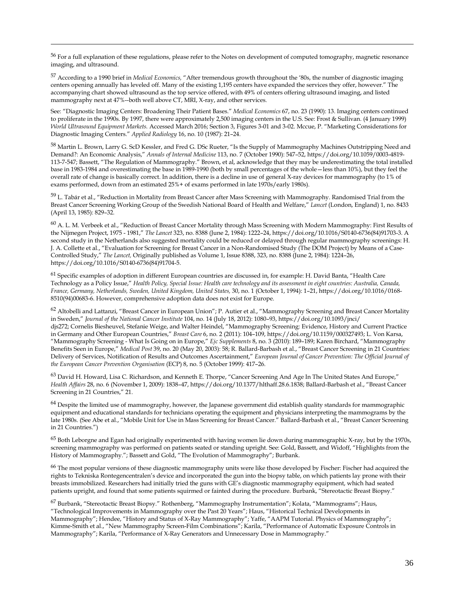<sup>56</sup> For a full explanation of these regulations, please refer to the Notes on development of computed tomography, magnetic resonance imaging, and ultrasound.

 $\overline{a}$ 

<span id="page-38-1"></span><span id="page-38-0"></span><sup>57</sup> According to a 1990 brief in *Medical Economics,* "After tremendous growth throughout the '80s, the number of diagnostic imaging centers opening annually has leveled off. Many of the existing 1,195 centers have expanded the services they offer, however." The accompanying chart showed ultrasound as the top service offered, with 49% of centers offering ultrasound imaging, and listed mammography next at 47%--both well above CT, MRI, X-ray, and other services.

<span id="page-38-2"></span>See: "Diagnostic Imaging Centers: Broadening Their Patient Bases." *Medical Economics* 67, no. 23 (1990): 13. Imaging centers continued to proliferate in the 1990s. By 1997, there were approximately 2,500 imaging centers in the U.S. See: Frost & Sullivan. (4 January 1999) *World Ultrasound Equipment Markets.* Accessed March 2016; Section 3, Figures 3-01 and 3-02. Mccue, P. "Marketing Considerations for Diagnostic Imaging Centers." *Applied Radiology* 16, no. 10 (1987): 21–24.

<span id="page-38-5"></span><span id="page-38-4"></span><span id="page-38-3"></span><sup>58</sup> Martin L. Brown, Larry G. ScD Kessler, and Fred G. DSc Rueter, "Is the Supply of Mammography Machines Outstripping Need and Demand?: An Economic Analysis," *Annals of Internal Medicine* 113, no. 7 (October 1990): 547–52, https://doi.org/10.1059/0003-4819- 113-7-547; Bassett, "The Regulation of Mammography." Brown, et al, acknowledge that they may be underestimating the total installed base in 1983-1984 and overestimating the base in 1989-1990 (both by small percentages of the whole—less than 10%), but they feel the overall rate of change is basically correct. In addition, there is a decline in use of general X-ray devices for mammography (to 1% of exams performed, down from an estimated 25%+ of exams performed in late 1970s/early 1980s).

<sup>59</sup> L. Tabár et al., "Reduction in Mortality from Breast Cancer after Mass Screening with Mammography. Randomised Trial from the Breast Cancer Screening Working Group of the Swedish National Board of Health and Welfare," *Lancet* (London, England) 1, no. 8433 (April 13, 1985): 829–32.

<span id="page-38-6"></span> $60$  A. L. M. Verbeek et al., "Reduction of Breast Cancer Mortality through Mass Screening with Modern Mammography: First Results of the Nijmegen Project, 1975 - 1981," *The Lancet* 323, no. 8388 (June 2, 1984): 1222–24, https://doi.org/10.1016/S0140-6736(84)91703-3. A second study in the Netherlands also suggested mortality could be reduced or delayed through regular mammography screenings: H. J. A. Collette et al., "Evaluation for Screening for Breast Cancer in a Non-Randomised Study (The DOM Project) by Means of a Case-Controlled Study," *The Lancet,* Originally published as Volume 1, Issue 8388, 323, no. 8388 (June 2, 1984): 1224–26, https://doi.org/10.1016/S0140-6736(84)91704-5.

<span id="page-38-7"></span><sup>61</sup> Specific examples of adoption in different European countries are discussed in, for example: H. David Banta, "Health Care Technology as a Policy Issue," *Health Policy, Special Issue: Health care technology and its assessment in eight countries: Australia, Canada, France, Germany, Netherlands, Sweden, United Kingdom, United States,* 30, no. 1 (October 1, 1994): 1–21, https://doi.org/10.1016/0168- 8510(94)00683-6. However, comprehensive adoption data does not exist for Europe.

<sup>62</sup> Altobelli and Lattanzi, "Breast Cancer in European Union"; P. Autier et al., "Mammography Screening and Breast Cancer Mortality in Sweden," *Journal of the National Cancer Institute* 104, no. 14 (July 18, 2012): 1080–93, https://doi.org/10.1093/jnci/ djs272; Cornelis Biesheuvel, Stefanie Weige, and Walter Heindel, "Mammography Screening: Evidence, History and Current Practice in Germany and Other European Countries," *Breast Care* 6, no. 2 (2011): 104–109, https://doi.org/10.1159/000327493; L. Von Karsa, "Mammography Screening - What Is Going on in Europe," *Ejc Supplements* 8, no. 3 (2010): 189–189; Karen Birchard, "Mammography Benefits Seen in Europe," *Medical Post* 39, no. 20 (May 20, 2003): 58; R. Ballard-Barbash et al., "Breast Cancer Screening in 21 Countries: Delivery of Services, Notification of Results and Outcomes Ascertainment," *European Journal of Cancer Prevention: The Official Journal of the European Cancer Prevention Organisation* (ECP) 8, no. 5 (October 1999): 417–26.

<span id="page-38-8"></span><sup>63</sup> David H. Howard, Lisa C. Richardson, and Kenneth E. Thorpe, "Cancer Screening And Age In The United States And Europe," *Health Affairs* 28, no. 6 (November 1, 2009): 1838–47, https://doi.org/10.1377/hlthaff.28.6.1838; Ballard-Barbash et al., "Breast Cancer Screening in 21 Countries," 21.

 $64$  Despite the limited use of mammography, however, the Japanese government did establish quality standards for mammographic equipment and educational standards for technicians operating the equipment and physicians interpreting the mammograms by the late 1980s. (See Abe et al., "Mobile Unit for Use in Mass Screening for Breast Cancer." Ballard-Barbash et al., "Breast Cancer Screening in 21 Countries.")

<span id="page-38-10"></span><span id="page-38-9"></span> $65$  Both Leborgne and Egan had originally experimented with having women lie down during mammographic X-ray, but by the 1970s, screening mammography was performed on patients seated or standing upright. See: Gold, Bassett, and Widoff, "Highlights from the History of Mammography."; Bassett and Gold, "The Evolution of Mammography"; Burbank.

<span id="page-38-11"></span><sup>66</sup> The most popular versions of these diagnostic mammography units were like those developed by Fischer: Fischer had acquired the rights to Tekniska Rontegencentralen's device and incorporated the gun into the biopsy table, on which patients lay prone with their breasts immobilized. Researchers had initially tried the guns with GE's diagnostic mammography equipment, which had seated patients upright, and found that some patients squirmed or fainted during the procedure. Burbank, "Stereotactic Breast Biopsy."

<span id="page-38-13"></span><span id="page-38-12"></span><sup>67</sup> Burbank, "Stereotactic Breast Biopsy." Rothenberg, "Mammography Instrumentation"; Kolata, "Mammograms"; Haus, "Technological Improvements in Mammography over the Past 20 Years"; Haus, "Historical Technical Developments in Mammography"; Hendee, "History and Status of X-Ray Mammography"; Yaffe, "AAPM Tutorial. Physics of Mammography"; Kimme-Smith et al., "New Mammography Screen-Film Combinations"; Karila, "Performance of Automatic Exposure Controls in Mammography"; Karila, "Performance of X-Ray Generators and Unnecessary Dose in Mammography."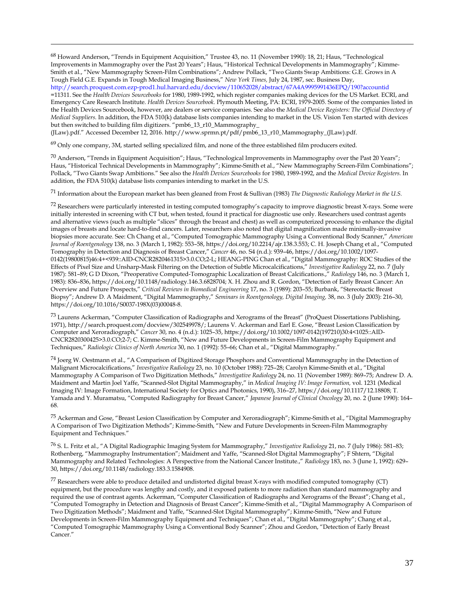<span id="page-39-0"></span><sup>68</sup> Howard Anderson, "Trends in Equipment Acquisition," Trustee 43, no. 11 (November 1990): 18, 21; Haus, "Technological Improvements in Mammography over the Past 20 Years"; Haus, "Historical Technical Developments in Mammography"; Kimme-Smith et al., "New Mammography Screen-Film Combinations"; Andrew Pollack, "Two Giants Swap Ambitions: G.E. Grows in A Tough Field G.E. Expands in Tough Medical Imaging Business," *New York Times,* July 24, 1987, sec. Business Day,

<span id="page-39-1"></span><http://search.proquest.com.ezp-prod1.hul.harvard.edu/docview/110652028/abstract/67A4A9995991436EPQ/190?accountid> =11311. See the *Health Devices Sourcebooks* for 1980, 1989-1992, which register companies making devices for the US Market. ECRI, and Emergency Care Research Institute. *Health Devices Sourcebook.* Plymouth Meeting, PA: ECRI, 1979-2005. Some of the companies listed in the Health Devices Sourcebook, however, are dealers or service companies. See also the *Medical Device Registers: The Official Directory of Medical Suppliers.* In addition, the FDA 510(k) database lists companies intending to market in the US. Vision Ten started with devices but then switched to building film digitizers. "pmb6\_13\_r10\_Mammography\_

(JLaw).pdf." Accessed December 12, 2016. http://www.sprmn.pt/pdf/pmb6\_13\_r10\_Mammography\_(JLaw).pdf.

 $\overline{a}$ 

<span id="page-39-2"></span> $69$  Only one company, 3M, started selling specialized film, and none of the three established film producers exited.

<sup>70</sup> Anderson, "Trends in Equipment Acquisition"; Haus, "Technological Improvements in Mammography over the Past 20 Years"; Haus, "Historical Technical Developments in Mammography"; Kimme-Smith et al., "New Mammography Screen-Film Combinations"; Pollack, "Two Giants Swap Ambitions." See also the *Health Devices Sourcebooks* for 1980, 1989-1992, and the *Medical Device Registers.* In addition, the FDA 510(k) database lists companies intending to market in the U.S.

<span id="page-39-3"></span><sup>71</sup> Information about the European market has been gleaned from Frost & Sullivan (1983) *The Diagnostic Radiology Market in the U.S.* 

<span id="page-39-4"></span> $72$  Researchers were particularly interested in testing computed tomography's capacity to improve diagnostic breast X-rays. Some were initially interested in screening with CT but, when tested, found it practical for diagnostic use only. Researchers used contrast agents and alternative views (such as multiple "slices" through the breast and chest) as well as computerized processing to enhance the digital images of breasts and locate hard-to-find cancers. Later, researchers also noted that digital magnification made minimally-invasive biopsies more accurate. See: Ch Chang et al., "Computed Tomographic Mammography Using a Conventional Body Scanner," *American Journal of Roentgenology* 138, no. 3 (March 1, 1982): 553–58, https://doi.org/10.2214/ajr.138.3.553; C. H. Joseph Chang et al., "Computed Tomography in Detection and Diagnosis of Breast Cancer," *Cancer* 46, no. S4 (n.d.): 939–46, https://doi.org/10.1002/1097- 0142(19800815)46:4+<939::AID-CNCR2820461315>3.0.CO;2-L; HEANG-PING Chan et al., "Digital Mammography: ROC Studies of the Effects of Pixel Size and Unsharp-Mask Filtering on the Detection of Subtle Microcalcifications," *Investigative Radiology* 22, no. 7 (July 1987): 581–89; G D Dixon, "Preoperative Computed-Tomographic Localization of Breast Calcifications.," *Radiology* 146, no. 3 (March 1, 1983): 836–836, https://doi.org/10.1148/radiology.146.3.6828704; X. H. Zhou and R. Gordon, "Detection of Early Breast Cancer: An Overview and Future Prospects," *Critical Reviews in Biomedical Engineering* 17, no. 3 (1989): 203–55; Burbank, "Stereotactic Breast Biopsy"; Andrew D. A Maidment, "Digital Mammography," *Seminars in Roentgenology, Digital Imaging,* 38, no. 3 (July 2003): 216–30, https://doi.org/10.1016/S0037-198X(03)00048-8.

<span id="page-39-6"></span><span id="page-39-5"></span><sup>73</sup> Laurens Ackerman, "Computer Classification of Radiographs and Xerograms of the Breast" (ProQuest Dissertations Publishing, 1971), http://search.proquest.com/docview/302549978/; Laurens V. Ackerman and Earl E. Gose, "Breast Lesion Classification by Computer and Xeroradiograph," *Cancer* 30, no. 4 (n.d.): 1025–35, https://doi.org/10.1002/1097-0142(197210)30:4<1025::AID-CNCR2820300425>3.0.CO;2-7; C. Kimme-Smith, "New and Future Developments in Screen-Film Mammography Equipment and Techniques," *Radiologic Clinics of North America* 30, no. 1 (1992): 55–66; Chan et al., "Digital Mammography."

<span id="page-39-7"></span><sup>74</sup> Joerg W. Oestmann et al., "A Comparison of Digitized Storage Phosphors and Conventional Mammography in the Detection of Malignant Microcalcifications," *Investigative Radiology* 23, no. 10 (October 1988): 725–28; Carolyn Kimme-Smith et al., "Digital Mammography A Comparison of Two Digitization Methods," *Investigative Radiology* 24, no. 11 (November 1989): 869–75; Andrew D. A. Maidment and Martin Joel Yaffe, "Scanned-Slot Digital Mammography," in *Medical Imaging IV: Image Formation,* vol. 1231 (Medical Imaging IV: Image Formation, International Society for Optics and Photonics, 1990), 316–27, https://doi.org/10.1117/12.18808; T. Yamada and Y. Muramatsu, "Computed Radiography for Breast Cancer," *Japanese Journal of Clinical Oncology* 20, no. 2 (June 1990): 164– 68.

<span id="page-39-8"></span><sup>75</sup> Ackerman and Gose, "Breast Lesion Classification by Computer and Xeroradiograph"; Kimme-Smith et al., "Digital Mammography A Comparison of Two Digitization Methods"; Kimme-Smith, "New and Future Developments in Screen-Film Mammography Equipment and Techniques."

<span id="page-39-9"></span><sup>76</sup> S. L. Fritz et al., "A Digital Radiographic Imaging System for Mammography," *Investigative Radiology* 21, no. 7 (July 1986): 581–83; Rothenberg, "Mammography Instrumentation"; Maidment and Yaffe, "Scanned-Slot Digital Mammography"; F Shtern, "Digital Mammography and Related Technologies: A Perspective from the National Cancer Institute.," *Radiology* 183, no. 3 (June 1, 1992): 629– 30, https://doi.org/10.1148/radiology.183.3.1584908.

<span id="page-39-11"></span><span id="page-39-10"></span> $^{77}$  Researchers were able to produce detailed and undistorted digital breast X-rays with modified computed tomography (CT) equipment, but the procedure was lengthy and costly, and it exposed patients to more radiation than standard mammography and required the use of contrast agents. Ackerman, "Computer Classification of Radiographs and Xerograms of the Breast"; Chang et al., "Computed Tomography in Detection and Diagnosis of Breast Cancer"; Kimme-Smith et al., "Digital Mammography A Comparison of Two Digitization Methods"; Maidment and Yaffe, "Scanned-Slot Digital Mammography"; Kimme-Smith, "New and Future Developments in Screen-Film Mammography Equipment and Techniques"; Chan et al., "Digital Mammography"; Chang et al., "Computed Tomographic Mammography Using a Conventional Body Scanner"; Zhou and Gordon, "Detection of Early Breast Cancer."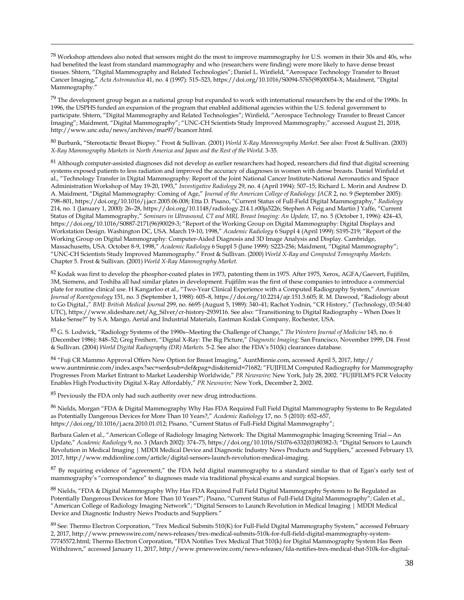<span id="page-40-0"></span><sup>78</sup> Workshop attendees also noted that sensors might do the most to improve mammography for U.S. women in their 30s and 40s, who had benefited the least from standard mammography and who (researchers were finding) were more likely to have dense breast tissues. Shtern, "Digital Mammography and Related Technologies"; Daniel L. Winfield, "Aerospace Technology Transfer to Breast Cancer Imaging," *Acta Astronautica* 41, no. 4 (1997): 515–523, https://doi.org/10.1016/S0094-5765(98)00054-X; Maidment, "Digital Mammography."

 $^{79}$  The development group began as a national group but expanded to work with international researchers by the end of the 1990s. In 1996, the USPHS funded an expansion of the program that enabled additional agencies within the U.S. federal government to participate. Shtern, "Digital Mammography and Related Technologies"; Winfield, "Aerospace Technology Transfer to Breast Cancer Imaging"; Maidment, "Digital Mammography"; "UNC-CH Scientists Study Improved Mammography," accessed August 21, 2018, http://www.unc.edu/news/archives/mar97/bcancer.html.

<span id="page-40-1"></span><sup>80</sup> Burbank, "Stereotactic Breast Biopsy." Frost & Sullivan. (2001) *World X-Ray Mammography Market*. See also: Frost & Sullivan. (2003) *X-Ray Mammography Markets in North America and Japan and the Rest of the World*. 3-35.

<span id="page-40-4"></span><span id="page-40-3"></span><span id="page-40-2"></span> $81$  Although computer-assisted diagnoses did not develop as earlier researchers had hoped, researchers did find that digital screening systems exposed patients to less radiation and improved the accuracy of diagnoses in women with dense breasts. Daniel Winfield et al., "Technology Transfer in Digital Mammography: Report of the Joint National Cancer Institute-National Aeronautics and Space Administration Workshop of May 19-20, 1993," *Investigative Radiology* 29, no. 4 (April 1994): 507–15; Richard L. Morin and Andrew D. A. Maidment, "Digital Mammography: Coming of Age," *Journal of the American College of Radiology: JACR* 2, no. 9 (September 2005): 798–801, https://doi.org/10.1016/j.jacr.2005.06.008; Etta D. Pisano, "Current Status of Full-Field Digital Mammography," *Radiology*  214, no. 1 (January 1, 2000): 26–28, https://doi.org/10.1148/radiology.214.1.r00ja5226; Stephen A Feig and Martin J Yaffe, "Current Status of Digital Mammography," *Seminars in Ultrasound, CT and MRI, Breast Imaging: An Update,* 17, no. 5 (October 1, 1996): 424–43, https://doi.org/10.1016/S0887-2171(96)90029-3; "Report of the Working Group on Digital Mammography: Digital Displays and Workstation Design. Washington DC, USA. March 19-10, 1998," *Academic Radiology* 6 Suppl 4 (April 1999): S195-219; "Report of the Working Group on Digital Mammography: Computer-Aided Diagnosis and 3D Image Analysis and Display. Cambridge, Massachusetts, USA. October 8-9, 1998," *Academic Radiology* 6 Suppl 5 (June 1999): S223-256; Maidment, "Digital Mammography"; "UNC-CH Scientists Study Improved Mammography." Frost & Sullivan. (2000) *World X-Ray and Computed Tomography Markets.* Chapter 5. Frost & Sullivan. (2001) *World X-Ray Mammography Market*.

 $82$  Kodak was first to develop the phosphor-coated plates in 1973, patenting them in 1975. After 1975, Xerox, AGFA/Gaevert, Fujifilm, 3M, Siemens, and Toshiba all had similar plates in development. Fujifilm was the first of these companies to introduce a commercial plate for routine clinical use. H Kangarloo et al., "Two-Year Clinical Experience with a Computed Radiography System," *American Journal of Roentgenology* 151, no. 3 (September 1, 1988): 605–8, https://doi.org/10.2214/ajr.151.3.605; R. M. Dawood, "Radiology about to Go Digital.," *BMJ: British Medical Journal* 299, no. 6695 (August 5, 1989): 340–41; Rachot Yodnin, "CR History," (Technology, 03:54:40 UTC), https://www.slideshare.net/Ag\_Silver/cr-history-2939116. See also: "Transitioning to Digital Radiography – When Does It Make Sense?" by S.A. Mango, Aerial and Industrial Materials, Eastman Kodak Company, Rochester, USA.

<span id="page-40-5"></span><sup>83</sup> G. S. Lodwick, "Radiology Systems of the 1990s--Meeting the Challenge of Change," *The Western Journal of Medicine* 145, no. 6 (December 1986): 848–52; Greg Freiherr, "Digital X-Ray: The Big Picture," *Diagnostic Imaging;* San Francisco, November 1999, D4. Frost & Sullivan. (2004) *World Digital Radiography (DR) Markets.* 5-2. See also: the FDA's 510(k) clearances database.

<span id="page-40-6"></span><sup>84</sup> "Fuji CR Mammo Approval Offers New Option for Breast Imaging," AuntMinnie.com, accessed April 5, 2017, http:// www.auntminnie.com/index.aspx?sec=ser&sub=def&pag=dis&itemid=71682; "FUJIFILM Computed Radiography for Mammography Progresses From Market Entrant to Market Leadership Worldwide," *PR Newswire;* New York, July 28, 2002. "FUJIFILM'S FCR Velocity Enables High Productivity Digital X-Ray Affordably," *PR Newswire;* New York, December 2, 2002.

<sup>85</sup> Previously the FDA only had such authority over new drug introductions.

 $\overline{a}$ 

<span id="page-40-7"></span>86 Nields, Morgan "FDA & Digital Mammography Why Has FDA Required Full Field Digital Mammography Systems to Be Regulated as Potentially Dangerous Devices for More Than 10 Years?," *Academic Radiology* 17, no. 5 (2010): 652–657, https://doi.org/10.1016/j.acra.2010.01.012; Pisano, "Current Status of Full-Field Digital Mammography";

<span id="page-40-8"></span>Barbara Galen et al., "American College of Radiology Imaging Network: The Digital Mammographic Imaging Screening Trial—An Update," *Academic Radiology* 9, no. 3 (March 2002): 374–75, https://doi.org/10.1016/S1076-6332(03)80382-3; "Digital Sensors to Launch Revolution in Medical Imaging | MDDI Medical Device and Diagnostic Industry News Products and Suppliers," accessed February 13, 2017, http://www.mddionline.com/article/digital-sensors-launch-revolution-medical-imaging.

<sup>87</sup> By requiring evidence of "agreement," the FDA held digital mammography to a standard similar to that of Egan's early test of mammography's "correspondence" to diagnoses made via traditional physical exams and surgical biopsies.

<span id="page-40-9"></span>88 Nields, "FDA & Digital Mammography Why Has FDA Required Full Field Digital Mammography Systems to Be Regulated as Potentially Dangerous Devices for More Than 10 Years?"; Pisano, "Current Status of Full-Field Digital Mammography"; Galen et al., "American College of Radiology Imaging Network"; "Digital Sensors to Launch Revolution in Medical Imaging | MDDI Medical Device and Diagnostic Industry News Products and Suppliers."

89 See: Thermo Electron Corporation, "Trex Medical Submits 510(K) for Full-Field Digital Mammography System," accessed February 2, 2017, http://www.prnewswire.com/news-releases/trex-medical-submits-510k-for-full-field-digital-mammography-system-77745572.html; Thermo Electron Corporation, "FDA Notifies Trex Medical That 510(k) for Digital Mammography System Has Been Withdrawn," accessed January 11, 2017, http://www.prnewswire.com/news-releases/fda-notifies-trex-medical-that-510k-for-digital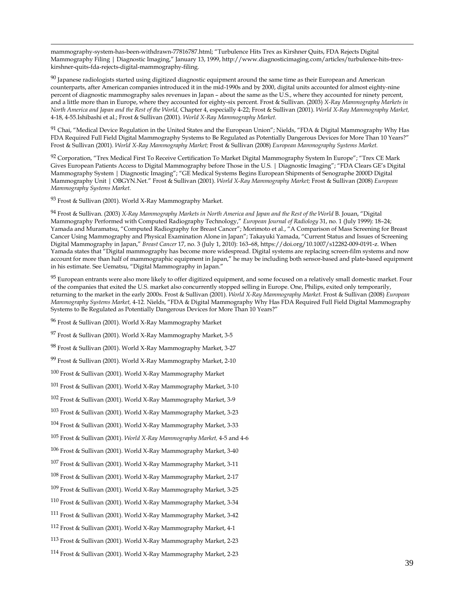<span id="page-41-0"></span>mammography-system-has-been-withdrawn-77816787.html; "Turbulence Hits Trex as Kirshner Quits, FDA Rejects Digital Mammography Filing | Diagnostic Imaging," January 13, 1999, http://www.diagnosticimaging.com/articles/turbulence-hits-trexkirshner-quits-fda-rejects-digital-mammography-filing.

<span id="page-41-1"></span> $90$  Japanese radiologists started using digitized diagnostic equipment around the same time as their European and American counterparts, after American companies introduced it in the mid-1990s and by 2000, digital units accounted for almost eighty-nine percent of diagnostic mammography sales revenues in Japan – about the same as the U.S., where they accounted for ninety percent, and a little more than in Europe, where they accounted for eighty-six percent. Frost & Sullivan. (2003) *X-Ray Mammography Markets in North America and Japan and the Rest of the World,* Chapter 4, especially 4-22; Frost & Sullivan (2001). *World X-Ray Mammography Market,*  4-18, 4-55.Ishibashi et al.; Frost & Sullivan (2001). *World X-Ray Mammography Market.*

<span id="page-41-2"></span><sup>91</sup> Chai, "Medical Device Regulation in the United States and the European Union"; Nields, "FDA & Digital Mammography Why Has FDA Required Full Field Digital Mammography Systems to Be Regulated as Potentially Dangerous Devices for More Than 10 Years?" Frost & Sullivan (2001). *World X-Ray Mammography Market;* Frost & Sullivan (2008) *European Mammography Systems Market.*

<span id="page-41-3"></span>92 Corporation, "Trex Medical First To Receive Certification To Market Digital Mammography System In Europe"; "Trex CE Mark Gives European Patients Access to Digital Mammography before Those in the U.S. | Diagnostic Imaging"; "FDA Clears GE's Digital Mammography System | Diagnostic Imaging"; "GE Medical Systems Begins European Shipments of Senographe 2000D Digital Mammography Unit | OBGYN.Net." Frost & Sullivan (2001). *World X-Ray Mammography Market;* Frost & Sullivan (2008) *European Mammography Systems Market.*

<sup>93</sup> Frost & Sullivan (2001). World X-Ray Mammography Market.

 $\overline{a}$ 

<sup>94</sup> Frost & Sullivan. (2003) *X-Ray Mammography Markets in North America and Japan and the Rest of the World* B. Jouan, "Digital Mammography Performed with Computed Radiography Technology," *European Journal of Radiology* 31, no. 1 (July 1999): 18–24; Yamada and Muramatsu, "Computed Radiography for Breast Cancer"; Morimoto et al., "A Comparison of Mass Screening for Breast Cancer Using Mammography and Physical Examination Alone in Japan"; Takayuki Yamada, "Current Status and Issues of Screening Digital Mammography in Japan," *Breast Cancer* 17, no. 3 (July 1, 2010): 163–68, https://doi.org/10.1007/s12282-009-0191-z. When Yamada states that "Digital mammography has become more widespread. Digital systems are replacing screen-film systems and now account for more than half of mammographic equipment in Japan," he may be including both sensor-based and plate-based equipment in his estimate. See Uematsu, "Digital Mammography in Japan."

<span id="page-41-4"></span><sup>95</sup> European entrants were also more likely to offer digitized equipment, and some focused on a relatively small domestic market. Four of the companies that exited the U.S. market also concurrently stopped selling in Europe. One, Philips, exited only temporarily, returning to the market in the early 2000s. Frost & Sullivan (2001). *World X-Ray Mammography Market.* Frost & Sullivan (2008) *European Mammography Systems Market,* 4-12. Nields, "FDA & Digital Mammography Why Has FDA Required Full Field Digital Mammography Systems to Be Regulated as Potentially Dangerous Devices for More Than 10 Years?"

<sup>96</sup> Frost & Sullivan (2001). World X-Ray Mammography Market

<span id="page-41-5"></span><sup>97</sup> Frost & Sullivan (2001). World X-Ray Mammography Market, 3-5

<sup>98</sup> Frost & Sullivan (2001). World X-Ray Mammography Market, 3-27

<span id="page-41-6"></span><sup>99</sup> Frost & Sullivan (2001). World X-Ray Mammography Market, 2-10

<sup>100</sup> Frost & Sullivan (2001). World X-Ray Mammography Market

<sup>101</sup> Frost & Sullivan (2001). World X-Ray Mammography Market, 3-10

<span id="page-41-7"></span><sup>102</sup> Frost & Sullivan (2001). World X-Ray Mammography Market, 3-9

<span id="page-41-8"></span><sup>103</sup> Frost & Sullivan (2001). World X-Ray Mammography Market, 3-23

<sup>104</sup> Frost & Sullivan (2001). World X-Ray Mammography Market, 3-33

<sup>105</sup> Frost & Sullivan (2001). *World X-Ray Mammography Market,* 4-5 and 4-6

<sup>106</sup> Frost & Sullivan (2001). World X-Ray Mammography Market, 3-40

<span id="page-41-9"></span><sup>107</sup> Frost & Sullivan (2001). World X-Ray Mammography Market, 3-11

<sup>108</sup> Frost & Sullivan (2001). World X-Ray Mammography Market, 2-17

<span id="page-41-10"></span><sup>109</sup> Frost & Sullivan (2001). World X-Ray Mammography Market, 3-25

<sup>110</sup> Frost & Sullivan (2001). World X-Ray Mammography Market, 3-34

<sup>111</sup> Frost & Sullivan (2001). World X-Ray Mammography Market, 3-42

<span id="page-41-11"></span><sup>112</sup> Frost & Sullivan (2001). World X-Ray Mammography Market, 4-1

<sup>113</sup> Frost & Sullivan (2001). World X-Ray Mammography Market, 2-23

<sup>114</sup> Frost & Sullivan (2001). World X-Ray Mammography Market, 2-23